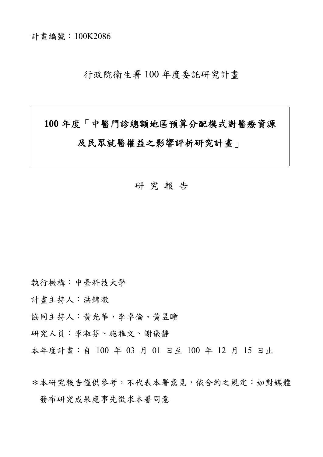計畫編號:100K2086

行政院衛生署 100 年度委託研究計畫

# **100** 年度「中醫門診總額地區預算分配模式對醫療資源 及民眾就醫權益之影響評析研究計畫」

## 研 究 報 告

執行機構:中臺科技大學

計畫主持人:洪錦墩

協同主持人:黃光華、李卓倫、黃昱瞳

研究人員:李淑芬、施雅文、謝儀靜

本年度計畫:自 100 年 03 月 01 日至 100 年 12 月 15 日止

\*本研究報告僅供參考,不代表本署意見,依合約之規定:如對媒體 發布研究成果應事先徵求本署同意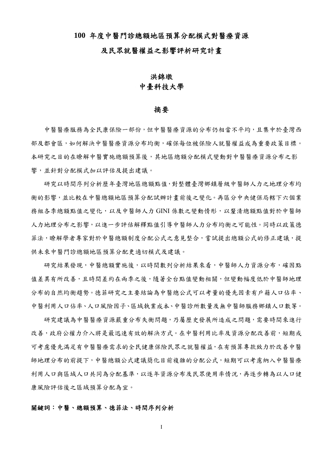#### **100** 年度中醫門診總額地區預算分配模式對醫療資源

#### 及民眾就醫權益之影響評析研究計畫

## 洪錦墩 中臺科技大學

#### 摘要

中醫醫療服務為全民康保險一部份,但中醫醫療資源的分布仍相當不平均,且集中於臺灣西 部及都會區,如何解決中醫醫療資源分布均衡,確保每位被保險人就醫權益成為重要政策目標。 本研究之目的在瞭解中醫實施總額預算後,其地區總額分配模式變動對中醫醫療資源分布之影 響,並針對分配模式加以評估及提出建議。

研究以時間序列分析歷年臺灣地區總額點值,對整體臺灣鄉鎮層級中醫師人力之地理分布均 衡的影響,並比較在中醫總額地區預算分配試辦計畫前後之變化。再區分中央健保局轄下六個業 務組各季總額點值之變化,以及中醫師人力 GINI 係數之變動情形,以釐清總額點值對於中醫師 人力地理分布之影響,以進一步評估解釋點值引導中醫師人力分布均衡之可能性。同時以政策德 菲法,瞭解學者專家對於中醫總額制度分配公式之意見整合,嘗試提出總額公式的修正建議,提 供未來中醫門診總額地區預算分配更適切模式及建議。

研究結果發現,中醫總額實施後,以時間數列分析結果來看,中醫師人力資源分布,確因點 值差異有所改善,且時間差約在兩季之後,隨著全台點值變動相關,但變動幅度低於中醫師地理 分布的自然均衡趨勢。德菲研究之主要結論為中醫總公式可以考量的優先因素有戶籍人口佔率、 中醫利用人口佔率、人口風險因子、區域執業成本、中醫診所數量及無中醫師服務鄉鎮人口數等。

研究建議為中醫醫療資源嚴重分布失衡問題,乃屬歷史發展所造成之問題,需要時間來進行 改善,政府公權力介入將是最迅速有效的解決方式。在中醫利用比率及資源分配改善前,短期或 可考慮優先滿足有中醫醫療需求的全民健康保險民眾之就醫權益,在有預算專款致力於改善中醫 師地理分布的前提下,中醫總額公式建議簡化目前複雜的分配公式,短期可以考慮納入中醫醫療 利用人口與區域人口共同為分配基準,以逐年資源分布及民眾使用率情況,再逐步轉為以人口健 康風險評估後之區域預算分配為宜。

## 關鍵詞:中醫、總額預算、德菲法、時間序列分析

I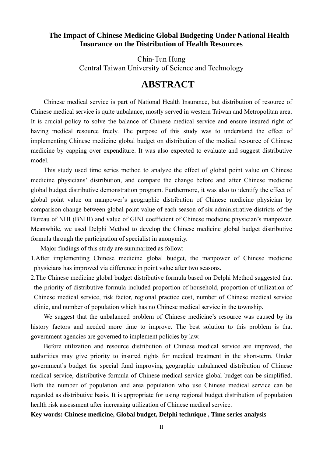## **The Impact of Chinese Medicine Global Budgeting Under National Health Insurance on the Distribution of Health Resources**

Chin-Tun Hung Central Taiwan University of Science and Technology

## **ABSTRACT**

Chinese medical service is part of National Health Insurance, but distribution of resource of Chinese medical service is quite unbalance, mostly served in western Taiwan and Metropolitan area. It is crucial policy to solve the balance of Chinese medical service and ensure insured right of having medical resource freely. The purpose of this study was to understand the effect of implementing Chinese medicine global budget on distribution of the medical resource of Chinese medicine by capping over expenditure. It was also expected to evaluate and suggest distributive model.

This study used time series method to analyze the effect of global point value on Chinese medicine physicians' distribution, and compare the change before and after Chinese medicine global budget distributive demonstration program. Furthermore, it was also to identify the effect of global point value on manpower's geographic distribution of Chinese medicine physician by comparison change between global point value of each season of six administrative districts of the Bureau of NHI (BNHI) and value of GINI coefficient of Chinese medicine physician's manpower. Meanwhile, we used Delphi Method to develop the Chinese medicine global budget distributive formula through the participation of specialist in anonymity.

Major findings of this study are summarized as follow:

- 1.After implementing Chinese medicine global budget, the manpower of Chinese medicine physicians has improved via difference in point value after two seasons.
- 2.The Chinese medicine global budget distributive formula based on Delphi Method suggested that the priority of distributive formula included proportion of household, proportion of utilization of Chinese medical service, risk factor, regional practice cost, number of Chinese medical service clinic, and number of population which has no Chinese medical service in the township.

We suggest that the unbalanced problem of Chinese medicine's resource was caused by its history factors and needed more time to improve. The best solution to this problem is that government agencies are governed to implement policies by law.

Before utilization and resource distribution of Chinese medical service are improved, the authorities may give priority to insured rights for medical treatment in the short-term. Under government's budget for special fund improving geographic unbalanced distribution of Chinese medical service, distributive formula of Chinese medical service global budget can be simplified. Both the number of population and area population who use Chinese medical service can be regarded as distributive basis. It is appropriate for using regional budget distribution of population health risk assessment after increasing utilization of Chinese medical service.

## **Key words: Chinese medicine, Global budget, Delphi technique , Time series analysis**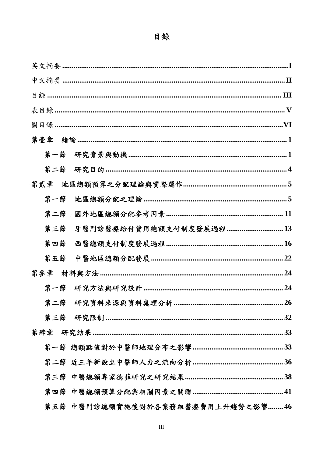## 目錄

| 第壹章 |                                    |
|-----|------------------------------------|
|     |                                    |
| 第二節 |                                    |
| 第貳章 |                                    |
| 第一節 |                                    |
| 第二節 |                                    |
| 第三節 | 牙醫門診醫療給付費用總額支付制度發展過程 ……………………………13 |
| 第四節 |                                    |
| 第五節 |                                    |
| 第參章 |                                    |
| 第一節 |                                    |
|     | 26                                 |
|     |                                    |
|     |                                    |
|     |                                    |
|     |                                    |
|     |                                    |
|     |                                    |
|     | 第五節 中醫門診總額實施後對於各業務組醫療費用上升趨勢之影響46   |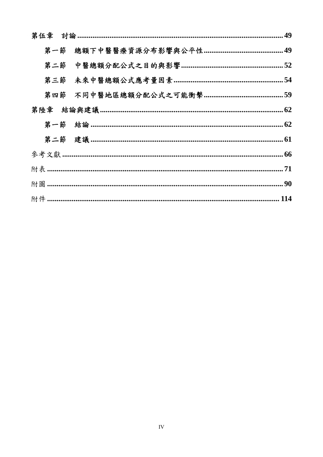| 第一節 |  |  |  |  |
|-----|--|--|--|--|
|     |  |  |  |  |
|     |  |  |  |  |
|     |  |  |  |  |
|     |  |  |  |  |
|     |  |  |  |  |
|     |  |  |  |  |
|     |  |  |  |  |
|     |  |  |  |  |
|     |  |  |  |  |
|     |  |  |  |  |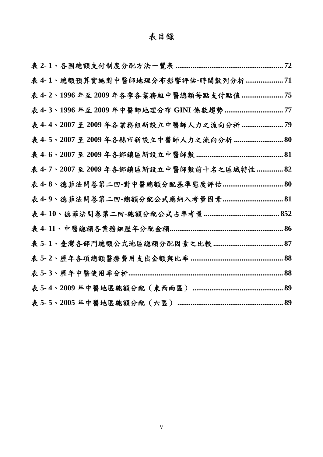## 表目錄

|  | 表 4-1、總額預算實施對中醫師地理分布影響評估-時間數列分析 71       |  |
|--|------------------------------------------|--|
|  | 表 4-2、1996年至2009年各季各業務組中醫總額每點支付點值  75    |  |
|  | 表 4-3、1996 年至 2009 年中醫師地理分布 GINI 係數趨勢 77 |  |
|  | 表 4-4、2007至2009年各業務組新設立中醫師人力之流向分析  79    |  |
|  | 表 4-5、2007至2009年各縣市新設立中醫師人力之流向分析  80     |  |
|  |                                          |  |
|  | 表 4-7、2007至2009年各鄉鎮區新設立中醫師數前十名之區域特性  82  |  |
|  |                                          |  |
|  |                                          |  |
|  |                                          |  |
|  |                                          |  |
|  |                                          |  |
|  |                                          |  |
|  |                                          |  |
|  |                                          |  |
|  |                                          |  |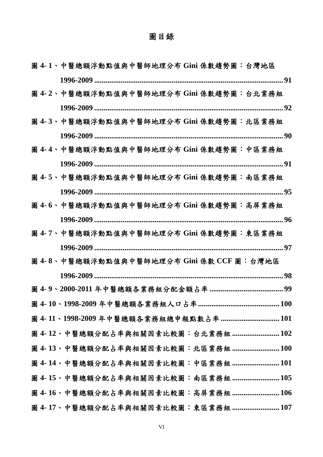## 圖目錄

| 圖 4-1、中醫總額浮動點值與中醫師地理分布 Gini 係數趨勢圖:台灣地區    |
|-------------------------------------------|
|                                           |
| 圖 4-2、中醫總額浮動點值與中醫師地理分布 Gini 係數趨勢圖:台北業務組   |
|                                           |
| 圖 4-3、中醫總額浮動點值與中醫師地理分布 Gini 係數趨勢圖:北區業務組   |
|                                           |
| 圖 4-4丶中醫總額浮動點值與中醫師地理分布 Gini 係數趨勢圖:中區業務組   |
|                                           |
| 圖 4-5、中醫總額浮動點值與中醫師地理分布 Gini 係數趨勢圖:南區業務組   |
|                                           |
| 圖 4-6、中醫總額浮動點值與中醫師地理分布 Gini 係數趨勢圖:高屏業務組   |
|                                           |
| 圖 4-7丶中醫總額浮動點值與中醫師地理分布 Gini 係數趨勢圖:東區業務組   |
|                                           |
| 圖 4-8丶中醫總額浮動點值與中醫師地理分布 Gini 係數 CCF 圖:台灣地區 |
|                                           |
|                                           |
|                                           |
| 圖 4-11、1998-2009年中醫總額各業務組總申報點數占率  101     |
| 圖 4-12、中醫總額分配占率與相關因素比較圖:台北業務組  102        |
| 圖 4-13、中醫總額分配占率與相關因素比較圖: 北區業務組  100       |
| 圖 4-14、中醫總額分配占率與相關因素比較圖:中區業務組 101         |
| 圖 4-15、中醫總額分配占率與相關因素比較圖:南區業務組  105        |
| 圖 4-16、中醫總額分配占率與相關因素比較圖:高屏業務組  106        |
| 圖 4-17、中醫總額分配占率與相關因素比較圖:東區業務組 107         |

VI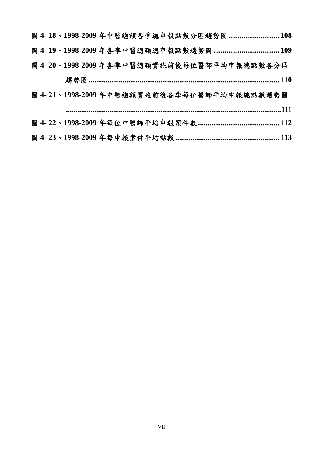|  |  |  | 圖 4-18、1998-2009年中醫總額各季總申報點數分區趨勢圖  108    |
|--|--|--|-------------------------------------------|
|  |  |  |                                           |
|  |  |  | 圖 4-20、1998-2009年各季中醫總額實施前後每位醫師平均申報總點數各分區 |
|  |  |  |                                           |
|  |  |  | 圖 4-21、1998-2009年中醫總額實施前後各季每位醫師平均申報總點數趨勢圖 |
|  |  |  |                                           |
|  |  |  |                                           |
|  |  |  |                                           |
|  |  |  |                                           |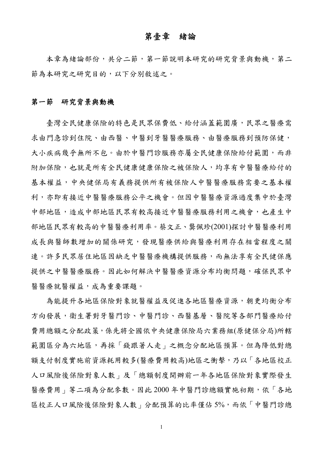## 第壹章緒論

本章為緒論部份,共分二節,第一節說明本研究的研究背景與動機,第二 節為本研究之研究目的,以下分別敘述之。

## 第一節研究背景與動機

臺灣全民健康保險的特色是民眾保費低、給付涵蓋範圍廣,民眾之醫療需 求由門急診到住院、由西醫、中醫到牙醫醫療服務、由醫療服務到預防保健, 大小疾病幾乎無所不包。由於中醫門診服務亦屬全民健康保險給付範圍,而非 附加保險,也就是所有全民健康健康保險之被保險人,均享有中醫醫療給付的 基本權益,中央健保局有義務提供所有被保險人中醫醫療服務需要之基本權 利,亦即有接近中醫醫療股務公平之機會。但因中醫醫療資源過度集中於臺灣 中部地區,造成中部地區民眾有較高接近中醫醫療服務利用之機會,也產生中 部地區民眾有較高的中醫醫療利用率。蔡文正、龔佩珍(2001)探討中醫醫療利用 成長與醫師數增加的關係研究,發現醫療供給與醫療利用存在相當程度之關 連。許多民眾居住地區因缺乏中醫醫療機構提供服務,而無法享有全民健保應 提供之中醫醫療服務。因此如何解決中醫醫療資源分布均衡問題,確保民眾中 醫醫療就醫權益,成為重要課題。

為能提升各地區保險對象就醫權益及促進各地區醫療資源,朝更均衡分布 方向發展,衛生署對牙醫門診、中醫門診、西醫基層、醫院等各部門醫療給付 費用總額之分配政策,係先將全國依中央健康保險局六業務組(原健保分局)所轄 範圍區分為六地區,再採「錢跟著人走」之概念分配地區預算。但為降低對總 額支付制度實施前資源耗用較多(醫療費用較高)地區之衝擊,乃以「各地區校正 人口風險後保險對象人數」及「總額制度開辦前一年各地區保險對象實際發生 醫療費用」等二項為分配參數。因此 2000 年中醫門診總額實施初期,依「各地 區校正人口風險後保險對象人數」分配預算的比率僅佔5%,而依「中醫門診總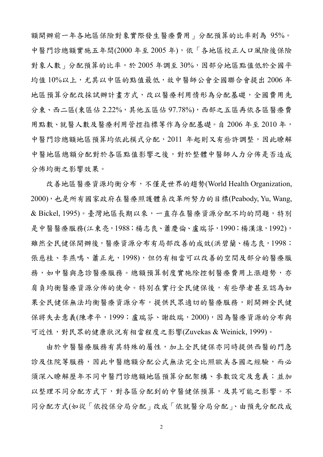額開辦前一年各地區保險對象實際發生醫療費用」分配預算的比率則為 95%。 中醫門診總額實施五年間(2000 年至 2005 年),依「各地區校正人口風險後保險 對象人數」分配預算的比率,於 2005年調至30%,因部分地區點值低於全國平 均值 10%以上,尤其以中區的點值最低,故中醫師公會全國聯合會提出 2006 年 地區預算分配改採試辦計畫方式,改以醫療利用情形為分配基礎,全國費用先 分東、西二區(東區佔 2.22%,其他五區佔 97.78%),西部之五區再依各區醫療費 用點數、就醫人數及醫療利用管控指標等作為分配基礎。自 2006 年至 2010 年, 中醫門診總額地區預算均依此模式分配,2011 年起則又有些許調整,因此瞭解 中醫地區總額分配對於各區點值影響之後,對於整體中醫師人力分佈是否造成 分佈均衡之影響效果。

改善地區醫療資源均衡分布,不僅是世界的趨勢(World Health Organization, 2000),也是所有國家政府在醫療照護體系改革所努力的目標(Peabody, Yu, Wang, & Bickel, 1995)。臺灣地區長期以來,一直存在醫療資源分配不均的問題,特別 是中醫醫療服務(江東亮, 1988;楊志良、蕭慶倫、盧瑞芬, 1990;楊漢湶, 1992), 雖然全民健保開辦後,醫療資源分布有局部改善的成效(洪碧蘭、楊志良,1998; 張慈桂、李燕鳴、蕭正光,1998),但仍有相當可以改善的空間及部分的醫療服 務,如中醫與急診醫療服務。總額預算制度實施除控制醫療費用上漲趨勢,亦 肩負均衡醫療資源分佈的使命。特別在實行全民健保後,有些學者甚至認為如 果全民健保無法均衡醫療資源分布,提供民眾適切的醫療服務,則開辦全民健 保將失去意義(陳孝平,1999;盧瑞芬、謝啟瑞,2000),因為醫療資源的分布與 可近性,對民眾的健康狀況有相當程度之影響(Zuvekas & Weinick, 1999)。

由於中醫醫療服務有其特殊的屬性,加上全民健保亦同時提供西醫的門急 診及住院等服務,因此中醫總額分配公式無法完全比照歐美各國之經驗,而必 須深入瞭解歷年不同中醫門診總額地區預算分配架構、參數設定及意義;並加 以整理不同分配方式下,對各區分配到的中醫健保預算,及其可能之影響。不 同分配方式(如從「依投保分局分配」改成「依就醫分局分配」、由預先分配改成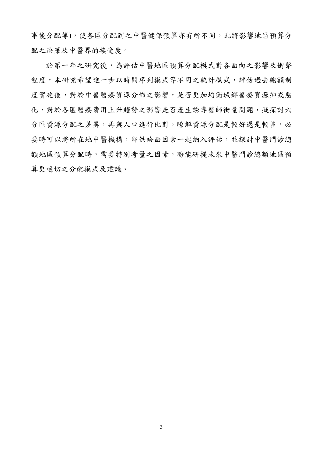事後分配等),使各區分配到之中醫健保預算亦有所不同,此將影響地區預算分 配之決策及中醫界的接受度。

於第一年之研究後,為評估中醫地區預算分配模式對各面向之影響及衝擊 程度,本研究希望進一步以時間序列模式等不同之統計模式,評估過去總額制 度實施後,對於中醫醫療資源分佈之影響,是否更加均衡城鄉醫療資源抑或惡 化,對於各區醫療費用上升趨勢之影響是否產生誘導醫師衝量問題,擬探討六 分區資源分配之差異,再與人口進行比對,瞭解資源分配是較好還是較差,必 要時可以將所在地中醫機構,即供給面因素一起納入評估,並探討中醫門診總 額地區預算分配時,需要特別考量之因素,盼能研提未來中醫門診總額地區預 算更適切之分配模式及建議。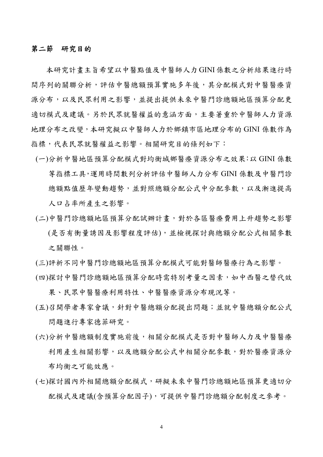## 第二節研究目的

本研究計畫主旨希望以中醫點值及中醫師人力GINI係數之分析結果進行時 間序列的關聯分析,評估中醫總額預算實施多年後,其分配模式對中醫醫療資 源分布,以及民眾利用之影響,並提出提供未來中醫門診總額地區預算分配更 適切模式及建議。另於民眾就醫權益的意涵方面,主要著重於中醫師人力資源 地理分布之改變,本研究擬以中醫師人力於鄉鎮市區地理分布的 GINI 係數作為 指標,代表民眾就醫權益之影響。相關研究目的條列如下:

- (一)分析中醫地區預算分配模式對均衡城鄉醫療資源分布之效果:以 GINI 係數 等指標工具,運用時間數列分析評估中醫師人力分布 GINI 係數及中醫門診 總額點值歷年變動趨勢,並對照總額分配公式中分配參數,以及漸進提高 人口占率所產生之影響。
- (二)中醫門診總額地區預算分配試辦計畫,對於各區醫療費用上升趨勢之影響 (是否有衝量誘因及影響程度評估),並檢視探討與總額分配公式相關參數 之關聯性。
- (三)評析不同中醫門診總額地區預算分配模式可能對醫師醫療行為之影響。
- (四)探討中醫門診總額地區預算分配時需特別考量之因素,如中西醫之替代效 果、民眾中醫醫療利用特性、中醫醫療資源分布現況等。
- (五)召開學者專家會議,針對中醫總額分配提出問題;並就中醫總額分配公式 問題進行專家德菲研究。
- (六)分析中醫總額制度實施前後,相關分配模式是否對中醫師人力及中醫醫療 利用產生相關影響,以及總額分配公式中相關分配參數,對於醫療資源分 布均衡之可能效應。
- (七)探討國內外相關總額分配模式,研擬未來中醫門診總額地區預算更適切分 配模式及建議(含預算分配因子),可提供中醫門診總額分配制度之參考。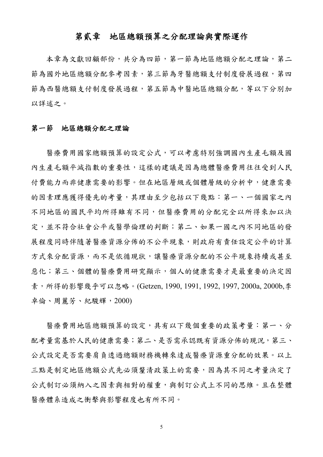## 第貳章地區總額預算之分配理論與實際運作

本章為文獻回顧部份,共分為四節,第一節為地區總額分配之理論,第二 節為國外地區總額分配參考因素,第三節為牙醫總額支付制度發展過程,第四 節為西醫總額支付制度發展過程,第五節為中醫地區總額分配,等以下分別加 以詳述之。

#### 第一節地區總額分配之理論

醫療費用國家總額預算的設定公式,可以考慮特別強調國內生產毛額及國 內生產毛額平減指數的重要性,這樣的建議是因為總體醫療費用往往受到人民 付費能力而非健康需要的影響。但在地區層級或個體層級的分析中,健康需要 的因素理應獲得優先的考量,其理由至少包括以下幾點:第一、一個國家之內 不同地區的國民平均所得雖有不同,但醫療費用的分配完全以所得來加以決 定,並不符合社會公平或醫學倫理的判斷;第二、如果一國之內不同地區的發 展程度同時伴隨著醫療資源分佈的不公平現象,則政府有責任設定公平的計算 方式來分配資源,而不是依循現狀,讓醫療資源分配的不公平現象持續或甚至 惡化;第三、個體的醫療費用研究顯示,個人的健康需要才是最重要的決定因 素,所得的影響幾乎可以忽略。(Getzen, 1990, 1991, 1992, 1997, 2000a, 2000b,李 卓倫、周麗芳、紀駿輝,2000)

醫療費用地區總額預算的設定,具有以下幾個重要的政策考量:第一、分 配考量需基於人民的健康需要;第二、是否需承認既有資源分佈的現況,第三、 公式設定是否需要肩負透過總額財務機轉來達成醫療資源重分配的效果。以上 三點是制定地區總額公式先必須釐清政策上的需要,因為其不同之考量決定了 公式制訂必須納入之因素與相對的權重,與制訂公式上不同的思維。且在整體 醫療體系造成之衝擊與影響程度也有所不同。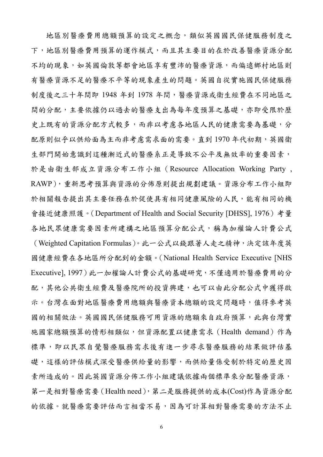地區別醫療費用總額預算的設定之概念,類似英國國民保健服務制度之 下,地區別醫療費用預算的運作模式,而且其主要目的在於改善醫療資源分配 不均的現象,如英國倫敦等都會地區享有豐沛的醫療資源,而偏遠鄉村地區則 有醫療資源不足的醫療不平等的現象產生的問題。英國自從實施國民保健服務 制度後之三十年間即 1948 年到 1978 年間,醫療資源或衛生經費在不同地區之 間的分配,主要依據仍以過去的醫療支出為每年度預算之基礎,亦即受限於歷 史上既有的資源分配方式較多,而非以考慮各地區人民的健康需要為基礎,分 配原則似乎以供給面為主而非考慮需求面的需要。直到1970年代初期,英國衛 生部門開始意識到這種漸近式的醫療系正是導致不公平及無效率的重要因素, 於是由衛生部成立資源分布工作小組(Resource Allocation Working Party , RAWP),重新思考預算與資源的分佈原則提出規劃建議。資源分布工作小組即 於相關報告提出其主要任務在於促使具有相同健康風險的人民,能有相同的機 會接近健康照護。(Department of Health and Social Security [DHSS], 1976)考量 各地民眾健康需要因素所建構之地區預算分配公式,稱為加權論人計費公式 (Weighted Capitation Formulas)。此一公式以錢跟著人走之精神,決定該年度英 國健康經費在各地區所分配到的金額。(National Health Service Executive [NHS Executive], 1997)此一加權論人計費公式的基礎研究,不僅適用於醫療費用的分 配,其他公共衛生經費及醫療院所的投資興建,也可以由此分配公式中獲得啟 示。台灣在面對地區醫療費用總額與醫療資本總額的設定問題時,值得參考英 國的相關做法。英國國民保健服務可用資源的總額來自政府預算,此與台灣實 施國家總額預算的情形相類似,但資源配置以健康需求(Health demand)作為 標準,即以民眾自覺醫療服務需求後有進一步尋求醫療服務的結果做評估基 礎,這樣的評估模式深受醫療供給量的影響,而供給量係受制於特定的歷史因 素所造成的。因此英國資源分佈工作小組建議依據兩個標準來分配醫療資源, 第一是相對醫療需要(Health need),第二是服務提供的成本(Cost)作為資源分配 的依據。就醫療需要評估而言相當不易,因為可計算相對醫療需要的方法不止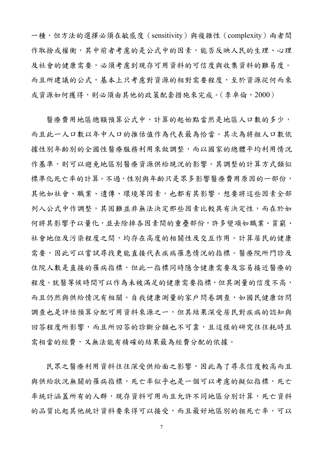一種,但方法的選擇必須在敏感度(sensitivity)與複雜性(complexity)兩者間 作取捨或權衡,其中前者考慮的是公式中的因素,能否反映人民的生理、心理 及社會的健康需要,必須考慮到現存可用資料的可信度與收集資料的難易度。 而且所建議的公式,基本上只考慮對資源的相對需要程度,至於資源從何而來 或資源如何獲得,則必須由其他的政策配套措施來完成。(李卓倫,2000)

醫療費用地區總額預算公式中,計算的起始點當然是地區人口數的多少, 而且此一人口數以年中人口的推估值作為代表最為恰當。其次為將粗人口數依 據性別年齡別的全國性醫療服務利用來做調整,而以國家的總體平均利用情況 作基準,則可以避免地區別醫療資源供給現況的影響。其調整的計算方式類似 標準化死亡率的計算。不過,性別與年齡只是眾多影響醫療費用原因的一部份, 其他如社會、職業、遺傳、環境等因素,也都有其影響。想要將這些因素全部 列入公式中作調整,其困難並非無法決定那些因素比較具有決定性,而在於如 何將其影響予以量化,並去除掉各因素間的重疊部份,許多變項如職業、貧窮、 社會地位及污染程度之間,均存在高度的相關性及交互作用。計算居民的健康 需要,因此可以嘗試尋找更能直接代表疾病罹患情況的指標。醫療院所門診及 住院人數是直接的罹病指標,但此一指標同時隱含健康需要及容易接近醫療的 程度。就醫等候時間可以作為未被滿足的健康需要指標,但其測量的信度不高, 而且仍然與供給情況有相關。自我健康測量的家戶問卷調查,如國民健康訪問 調查也是評估預算分配可用資料來源之一,但其結果深受居民對疾病的認知與 回答程度所影響,而且所回答的診斷分類也不可靠,且這樣的研究往往耗時且 需相當的經費,又無法能有精確的結果最為經費分配的依據。

民眾之醫療利用資料往往深受供給面之影響,因此為了尋求信度較高而且 與供給狀況無關的罹病指標,死亡率似乎也是一個可以考慮的擬似指標,死亡 率統計涵蓋所有的人群,現存資料可用而且允許不同地區分別計算,死亡資料 的品質比起其他統計資料要來得可以接受,而且最好地區別的粗死亡率,可以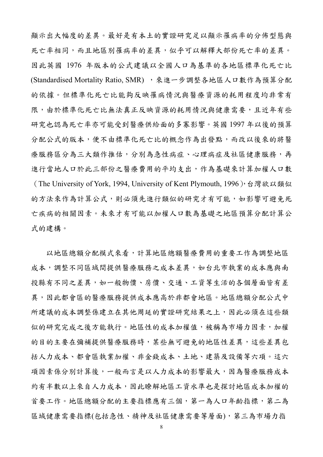顯示出大幅度的差異。最好是有本土的實證研究足以顯示罹病率的分佈型態與 死亡率相同,而且地區別罹病率的差異,似乎可以解釋大部份死亡率的差異。 因此英國 1976 年版本的公式建議以全國人口為基準的各地區標準化死亡比 (Standardised Mortality Ratio, SMR), 來進一步調整各地區人口數作為預算分配 的依據。但標準化死亡比能夠反映罹病情況與醫療資源的耗用程度均非常有 限,由於標準化死亡比無法真正反映資源的耗用情況與健康需要,且近年有些 研究也認為死亡率亦可能受到醫療供給面的多寡影響。英國 1997 年以後的預算 分配公式的版本,便不由標準化死亡比的概念作為出發點,而改以後來的將醫 療服務區分為三大類作推估,分別為急性病症、心理病症及社區健康服務,再 進行當地人口於此三部份之醫療費用的平均支出,作為基礎來計算加權人口數 (The University of York, 1994, University of Kent Plymouth, 1996),台灣欲以類似 的方法來作為計算公式,則必須先進行類似的研究才有可能,如影響可避免死 亡疾病的相關因素。未來才有可能以加權人口數為基礎之地區預算分配計算公 式的建構。

以地區總額分配模式來看,計算地區總額醫療費用的重要工作為調整地區 成本,調整不同區域間提供醫療服務之成本差異,如台北市執業的成本應與南 投縣有不同之差異,如一般物價、房價、交通、工資等生活的各個層面皆有差 異,因此都會區的醫療服務提供成本應高於非都會地區。地區總額分配公式中 所建議的成本調整係建立在其他周延的實證研究結果之上,因此必須在這些類 似的研究完成之後方能執行。地區性的成本加權值,被稱為市場力因素,加權 的目的主要在彌補提供醫療服務時,某些無可避免的地區性差異,這些差異包 括人力成本、都會區執業加權、非金錢成本、土地、建築及設備等六項。這六 項因素係分別計算後,一般而言是以人力成本的影響最大,因為醫療服務成本 約有半數以上來自人力成本,因此瞭解地區工資水準也是探討地區成本加權的 首要工作。地區總額分配的主要指標應有三個,第一為人口年齡指標,第二為 區域健康需要指標(包括急性、精神及社區健康需要等層面),第三為市場力指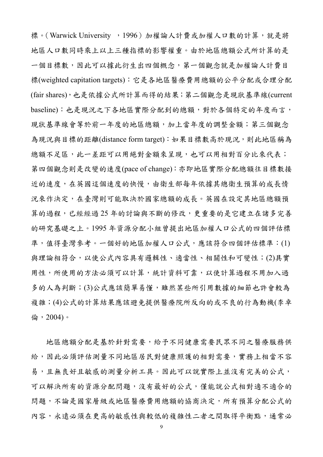標。(Warwick University, 1996)加權論人計費或加權人口數的計算,就是將 地區人口數同時乘上以上三種指標的影響權重。由於地區總額公式所計算的是 一個目標數,因此可以據此衍生出四個概念,第一個觀念就是加權論人計費目 標(weighted capitation targets):它是各地區醫療費用總額的公平分配或合理分配 (fair shares),也是依據公式所計算而得的結果;第二個觀念是現狀基準線(current baseline):也是現況之下各地區實際分配到的總額,對於各個特定的年度而言, 現狀基準線會等於前一年度的地區總額,加上當年度的調整金額;第三個觀念 為現況與目標的距離(distance form target):如果目標數高於現況,則此地區稱為 總額不足區,此一差距可以用絕對金額來呈現,也可以用相對百分比來代表; 第四個觀念則是改變的速度(pace of change):亦即地區實際分配總額往目標數接 近的速度,在英國這個速度的快慢,由衛生部每年依據其總衛生預算的成長情 況來作決定,在臺灣則可能取決於國家總額的成長。英國在設定其地區總額預 算的過程,已經經過25年的討論與不斷的修改,更重要的是它建立在諸多完善 的研究基礎之上。1995 年資源分配小組曾提出地區加權人口公式的四個評估標 準,值得臺灣參考。一個好的地區加權人口公式,應該符合四個評估標準:(1) 與理論相符合,以使公式內容具有邏輯性、適當性、相關性和可變性;(2)具實 用性,所使用的方法必須可以計算,統計資料可靠,以使計算過程不用加入過 多的人為判斷;(3)公式應該簡單易懂,雖然某些所引用數據的細節也許會較為 複雜;(4)公式的計算結果應該避免提供醫療院所反向的或不良的行為動機(李卓 倫,2004)。

地區總額分配是基於針對需要,給予不同健康需要民眾不同之醫療服務供 給,因此必須評估測量不同地區居民對健康照護的相對需要,實務上相當不容 易,且無良好且敏感的測量分析工具。因此可以說實際上並沒有完美的公式, 可以解決所有的資源分配問題,沒有最好的公式,僅能說公式相對適不適合的 問題,不論是國家層級或地區醫療費用總額的協商決定,所有預算分配公式的 內容,永遠必須在更高的敏感性與較低的複雜性二者之間取得平衡點,通常必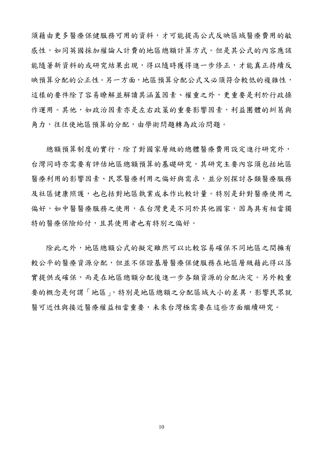須藉由更多醫療保健服務可用的資料,才可能提高公式反映區域醫療費用的敏 感性,如同英國採加權論人計費的地區總額計算方式。但是其公式的內容應該 能隨著新資料的或研究結果出現,得以隨時獲得進一步修正,才能真正持續反 映預算分配的公正性。另一方面,地區預算分配公式又必須符合較低的複雜性, 這樣的要件除了容易瞭解並解讀其涵蓋因素、權重之外,更重要是利於行政操 作運用。其他,如政治因素亦是左右政策的重要影響因素,利益團體的糾葛與 角力,往往使地區預算的分配,由學術問題轉為政治問題。

總額預算制度的實行,除了對國家層級的總體醫療費用設定進行研究外, 台灣同時亦需要有評估地區總額預算的基礎研究,其研究主要內容須包括地區 醫療利用的影響因素、民眾醫療利用之偏好與需求,並分別探討各類醫療服務 及社區健康照護,也包括對地區執業成本作比較計量。特別是針對醫療使用之 偏好,如中醫醫療服務之使用,在台灣更是不同於其他國家,因為具有相當獨 特的醫療保險給付,且其使用者也有特別之偏好。

除此之外, 地區總額公式的擬定雖然可以比較容易確保不同地區之間擁有 較公平的醫療資源分配,但並不保證基層醫療保健服務在地區層級藉此得以落 實提供或確保,而是在地區總額分配後進一步各類資源的分配決定。另外較重 要的概念是何謂「地區」,特別是地區總額之分配區域大小的差異,影響民眾就 醫可近性與接近醫療權益相當重要,未來台灣極需要在這些方面繼續研究。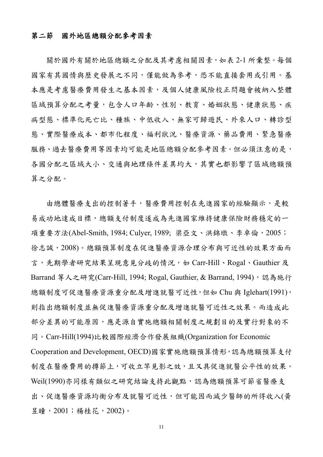### 第二節國外地區總額分配參考因素

關於國外有關於地區總額之分配及其考慮相關因素,如表 2-1 所彙整。每個 國家有其國情與歷史發展之不同,僅能做為參考,恐不能直接套用或引用。基 本應是考慮醫療費用發生之基本因素,及個人健康風險校正問題會被納入整體 區域預算分配之考量,包含人口年齡、性別、教育、婚姻狀態、健康狀態、疾 病型態、標準化死亡比、種族、中低收入、無家可歸遊民、外來人口、轉診型 態、實際醫療成本、都市化程度、福利狀況、醫療資源、藥品費用、緊急醫療 服務、過去醫療費用等因素均可能是地區總額分配參考因素。但必須注意的是, 各國分配之區域大小、交通與地理條件差異均大,其實也都影響了區域總額預 算之分配。

由總體醫療支出的控制著手,醫療費用控制在先進國家的經驗顯示,是較 易成功地達成目標,總額支付制度遂成為先進國家維持健康保險財務穩定的一 項重要方法(Abel-Smith, 1984; Culyer, 1989; 梁亞文、洪錦墩、李卓倫, 2005; 徐志誠,2008)。總額預算制度在促進醫療資源合理分布與可近性的效果方面而 言,先期學者研究結果呈現意見分歧的情況,如 Carr-Hill、Rogal、Gauthier 及 Barrand 等人之研究(Carr-Hill, 1994; Rogal, Gauthier, & Barrand, 1994), 認為施行 總額制度可促進醫療資源重分配及增進就醫可近性,但如 Chu 與 Iglehart(1991), 則指出總額制度並無促進醫療資源重分配及增進就醫可近性之效果。而造成此 部分差異的可能原因,應是源自實施總額相關制度之規劃目的及實行對象的不 同。Carr-Hill(1994)比較國際經濟合作發展組織(Organization for Economic Cooperation and Development, OECD)國家實施總額預算情形,認為總額預算支付 制度在醫療費用的撙節上,可收立竿見影之效,且又具促進就醫公平性的效果。 Weil(1990)亦同樣有類似之研究結論支持此觀點,認為總額預算可節省醫療支 出、促進醫療資源均衡分布及就醫可近性,但可能因而減少醫師的所得收入(黃 昱瞳,2001;楊桂花,2002)。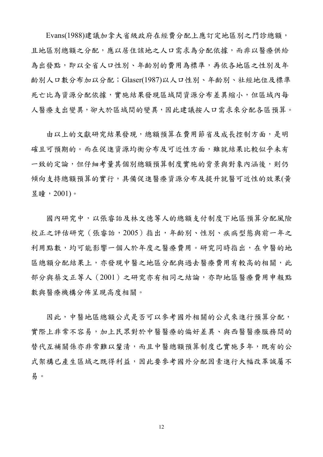Evans(1988)建議加拿大省級政府在經費分配上應訂定地區別之門診總額, 且地區別總額之分配,應以居住該地之人口需求為分配依據,而非以醫療供給 為出發點,即以全省人口性別、年齡別的費用為標準,再依各地區之性別及年 齡別人口數分布加以分配;Glaser(1987)以人口性別、年齡別、社經地位及標準 死亡比為資源分配依據,實施結果發現區域間資源分布差異縮小,但區域內每 人醫療支出變異,卻大於區域間的變異,因此建議按人口需求來分配各區預算。

由以上的文獻研究結果發現,總額預算在費用節省及成長控制方面,是明 確且可預期的。而在促進資源均衡分布及可近性方面,雖就結果比較似乎未有 一致的定論,但仔細考量其個別總額預算制度實施的背景與對象內涵後,則仍 傾向支持總額預算的實行,具備促進醫療資源分布及提升就醫可近性的效果(黃 昱瞳,2001)。

國內研究中,以張睿詒及林文德等人的總額支付制度下地區預算分配風險 校正之評估研究 (張睿詒, 2005) 指出, 年齡別、性別、疾病型態與前一年之 利用點數,均可能影響一個人於年度之醫療費用。研究同時指出,在中醫的地 區總額分配結果上,亦發現中醫之地區分配與過去醫療費用有較高的相關,此 部分與蔡文正等人(2001)之研究亦有相同之結論,亦即地區醫療費用申報點 數與醫療機構分佈呈現高度相關。

因此,中醫地區總額公式是否可以參考國外相關的公式來進行預算分配, 實際上非常不容易,加上民眾對於中醫醫療的偏好差異、與西醫醫療服務間的 替代互補關係亦非常難以釐清,而且中醫總額預算制度已實施多年,既有的公 式架構已產生區域之既得利益,因此要參考國外分配因素進行大幅改革誠屬不 易。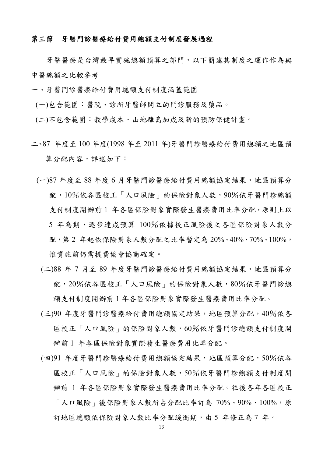## 第三節牙醫門診醫療給付費用總額支付制度發展過程

牙醫醫療是台灣最早實施總額預算之部門,以下簡述其制度之運作作為與 中醫總額之比較參考

- 一、牙醫門診醫療給付費用總額支付制度涵蓋範圍
- (一)包含範圍:醫院、診所牙醫師開立的門診服務及藥品。
- (二)不包含範圍:教學成本、山地離島加成及新的預防保健計畫。
- 二、87 年度至 100 年度(1998 年至 2011 年)牙醫門診醫療給付費用總額之地區預 算分配內容,詳述如下:
	- (一)87 年度至 88 年度 6 月牙醫門診醫療給付費用總額協定結果,地區預算分 配,10%依各區校正「人口風險」的保險對象人數,90%依牙醫門診總額 支付制度開辦前 1 年各區保險對象實際發生醫療費用比率分配,原則上以 5 年為期,逐步達成預算 100%依據校正風險後之各區保險對象人數分 配,第 2 年起依保險對象人數分配之比率暫定為 20%、40%、70%、100%, 惟實施前仍需提費協會協商確定。
		- (二)88 年 7 月至 89 年度牙醫門診醫療給付費用總額協定結果,地區預算分 配,20%依各區校正「人口風險」的保險對象人數,80%依牙醫門診總 額支付制度開辦前 1 年各區保險對象實際發生醫療費用比率分配。
		- (三)90 年度牙醫門診醫療給付費用總額協定結果,地區預算分配,40%依各 區校正「人口風險」的保險對象人數,60%依牙醫門診總額支付制度開 辦前 1 年各區保險對象實際發生醫療費用比率分配。
		- (四)91 年度牙醫門診醫療給付費用總額協定結果,地區預算分配,50%依各 區校正「人口風險」的保險對象人數,50%依牙醫門診總額支付制度開 辦前 1 年各區保險對象實際發生醫療費用比率分配。往後各年各區校正 「人口風險」後保險對象人數所占分配比率訂為 70%、90%、100%,原 訂地區總額依保險對象人數比率分配緩衝期,由5年修正為7年。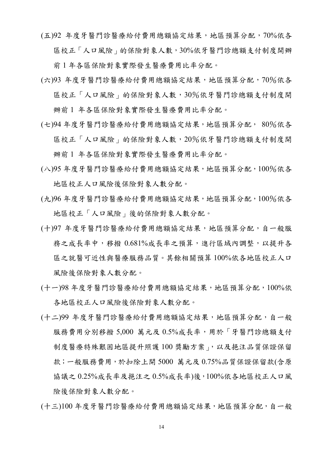- (五)92 年度牙醫門診醫療給付費用總額協定結果,地區預算分配,70%依各 區校正「人口風險」的保險對象人數,30%依牙醫門診總額支付制度開辦 前 1 年各區保險對象實際發生醫療費用比率分配。
- (六)93 年度牙醫門診醫療給付費用總額協定結果,地區預算分配,70%依各 區校正「人口風險」的保險對象人數,30%依牙醫門診總額支付制度開 辦前 1 年各區保險對象實際發生醫療費用比率分配。
- (七)94 年度牙醫門診醫療給付費用總額協定結果,地區預算分配, 80%依各 區校正「人口風險」的保險對象人數,20%依牙醫門診總額支付制度開 辦前 1 年各區保險對象實際發生醫療費用比率分配。
- (八)95 年度牙醫門診醫療給付費用總額協定結果,地區預算分配,100%依各 地區校正人口風險後保險對象人數分配。
- (九)96 年度牙醫門診醫療給付費用總額協定結果,地區預算分配,100%依各 地區校正「人口風險」後的保險對象人數分配。
- (十)97 年度牙醫門診醫療給付費用總額協定結果,地區預算分配,自一般服 務之成長率中,移撥 0.681%成長率之預算,進行區域內調整,以提升各 區之就醫可近性與醫療服務品質。其餘相關預算 100%依各地區校正人口 風險後保險對象人數分配。
- (十一)98 年度牙醫門診醫療給付費用總額協定結果,地區預算分配,100%依 各地區校正人口風險後保險對象人數分配。
- (十二)99 年度牙醫門診醫療給付費用總額協定結果,地區預算分配,自一般 服務費用分別移撥 5,000 萬元及 0.5%成長率,用於「牙醫門診總額支付 制度醫療特殊艱困地區提升照護 100 獎勵方案」,以及挹注品質保證保留 款;一般服務費用,於扣除上開 5000 萬元及 0.75%品質保證保留款(含原 協議之 0.25%成長率及挹注之 0.5%成長率)後,100%依各地區校正人口風 險後保險對象人數分配。
- (十三)100 年度牙醫門診醫療給付費用總額協定結果,地區預算分配,自一般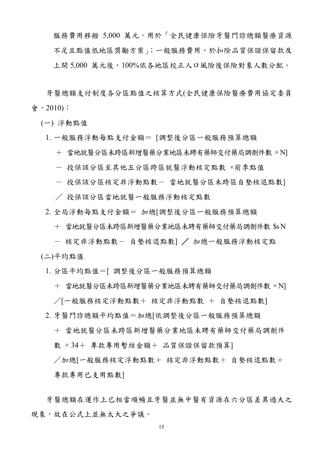服務費用移撥 5,000 萬元,用於「全民健康保險牙醫門診總額醫療資源 不足且點值低地區獎勵方案」;一般服務費用,於扣除品質保證保留款及 上開 5,000 萬元後,100%依各地區校正人口風險後保險對象人數分配。

牙醫總額支付制度各分區點值之核算方式(全民健康保險醫療費用協定委員 會,2010):

(一) 浮動點值

- 1. 一般服務浮動每點支付金額= [調整後分區一般服務預算總額
	- + 當地就醫分區未跨區新增醫藥分業地區未聘有藥師交付藥局調劑件數 × N]
	- 投保該分區至其他五分區跨區就醫浮動核定點數 ×前季點值
	- 投保該分區核定非浮動點數- 當地就醫分區未跨區自墊核退點數]
	- / 投保該分區當地就醫一般服務浮動核定點數
- 2. 全局浮動每點支付金額= 加總[調整後分區一般服務預算總額
	- + 當地就醫分區未跨區新增醫藥分業地區未聘有藥師交付藥局調劑件數 \$s N
	- 核定非浮動點數- 自墊核退點數] / 加總一般服務浮動核定點
- (二)平均點值
- 1. 分區平均點值=[ 調整後分區一般服務預算總額
	- + 當地就醫分區未跨區新增醫藥分業地區未聘有藥師交付藥局調劑件數 × N] /[一般服務核定浮動點數+ 核定非浮動點數 + 自墊核退點數]
- 2. 牙醫門診總額平均點值=加總[依調整後分區一般服務預算總額
	- + 當地就醫分區未跨區新增醫藥分業地區未聘有藥師交付藥局調劑件 數 × 34+ 專款專用暫結金額+ 品質保證保留款預算]
	- /加總[一般服務核定浮動點數+ 核定非浮動點數+ 自墊核退點數+ 專款專用已支用點數]

牙醫總額在運作上已相當順暢且牙醫並無中醫有資源在六分區差異過大之 現象,故在公式上並無太大之爭議。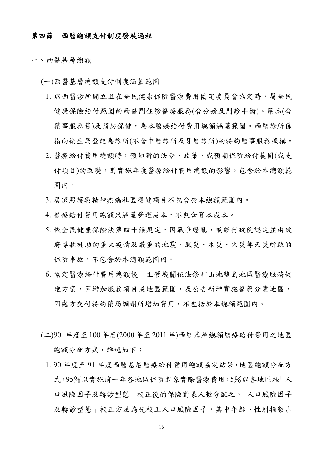#### 第四節西醫總額支付制度發展過程

一、西醫基層總額

(一)西醫基層總額支付制度涵蓋範圍

- 1. 以西醫診所開立且在全民健康保險醫療費用協定委員會協定時,屬全民 健康保險給付範圍的西醫門住診醫療服務(含分娩及門診手術)、藥品(含 藥事服務費)及預防保健,為本醫療給付費用總額涵蓋範圍。西醫診所係 指向衛生局登記為診所(不含中醫診所及牙醫診所)的特約醫事服務機構。
- 2. 醫療給付費用總額時,預知新的法令、政策、或預期保險給付範圍(或支 付項目)的改變,對實施年度醫療給付費用總額的影響,包含於本總額範 圍內。
- 3. 居家照護與精神疾病社區復健項目不包含於本總額範圍內。
- 4. 醫療給付費用總額只涵蓋營運成本,不包含資本成本。
- 5. 依全民健康保險法第四十條規定,因戰爭變亂,或經行政院認定並由政 府專款補助的重大疫情及嚴重的地震、風災、水災、火災等天災所致的 保險事故,不包含於本總額範圍內。
- 6. 協定醫療給付費用總額後,主管機關依法修訂山地離島地區醫療服務促 進方案,因增加服務項目或地區範圍,及公告新增實施醫藥分業地區, 因處方交付特約藥局調劑所增加費用,不包括於本總額範圍內。
- (二)90 年度至100年度(2000年至2011年)西醫基層總額醫療給付費用之地區 總額分配方式,詳述如下:
	- 1. 90 年度至 91 年度西醫基層醫療給付費用總額協定結果,地區總額分配方 式,95%以實施前一年各地區保險對象實際醫療費用,5%以各地區經「人 口風險因子及轉診型態」校正後的保險對象人數分配之,「人口風險因子 及轉診型態」校正方法為先校正人口風險因子,其中年齡、性別指數占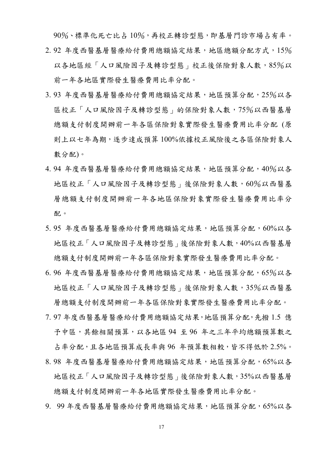90%、標準化死亡比占 10%,再校正轉診型態,即基層門診市場占有率。 2.92 年度西醫基層醫療給付費用總額協定結果,地區總額分配方式,15% 以各地區經「人口風險因子及轉診型態」校正後保險對象人數,85%以 前一年各地區實際發生醫療費用比率分配。

- 3.93 年度西醫基層醫療給付費用總額協定結果,地區預算分配,25%以各 區校正「人口風險因子及轉診型態」的保險對象人數,75%以西醫基層 總額支付制度開辦前一年各區保險對象實際發生醫療費用比率分配 (原 則上以七年為期,逐步達成預算 100%依據校正風險後之各區保險對象人 數分配)。
- 4.94 年度西醫基層醫療給付費用總額協定結果,地區預算分配,40%以各 地區校正「人口風險因子及轉診型態」後保險對象人數,60%以西醫基 層總額支付制度開辦前一年各地區保險對象實際發生醫療費用比率分 配。
- 5.95 年度西醫基層醫療給付費用總額協定結果,地區預算分配,60%以各 地區校正「人口風險因子及轉診型態」後保險對象人數,40%以西醫基層 總額支付制度開辦前一年各區保險對象實際發生醫療費用比率分配。
- 6.96年度西醫基層醫療給付費用總額協定結果,地區預算分配,65%以各 地區校正「人口風險因子及轉診型態」後保險對象人數,35%以西醫基 層總額支付制度開辦前一年各區保險對象實際發生醫療費用比率分配。
- 7. 97 年度西醫基層醫療給付費用總額協定結果,地區預算分配,先撥 1.5 億 予中區,其餘相關預算,以各地區 94 至 96 年之三年平均總額預算數之 占率分配,且各地區預算成長率與 96 年預算數相較,皆不得低於 2.5%。
- 8.98 年度西醫基層醫療給付費用總額協定結果,地區預算分配,65%以各 地區校正「人口風險因子及轉診型態」後保險對象人數,35%以西醫基層 總額支付制度開辦前一年各地區實際發生醫療費用比率分配。
- 9. 99年度西醫基層醫療給付費用總額協定結果,地區預算分配,65%以各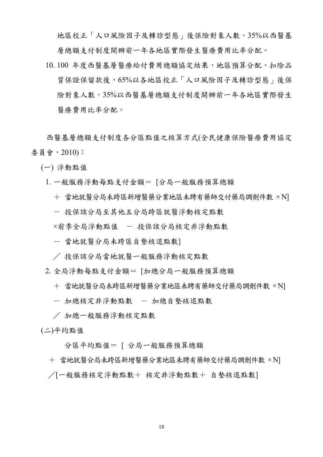地區校正「人口風險因子及轉診型態」後保險對象人數,35%以西醫基 層總額支付制度開辦前一年各地區實際發生醫療費用比率分配。

10. 100 年度西醫基層醫療給付費用總額協定結果,地區預算分配,扣除品 質保證保留款後,65%以各地區校正「人口風險因子及轉診型態」後保 險對象人數,35%以西醫基層總額支付制度開辦前一年各地區實際發生 醫療費用比率分配。

西醫基層總額支付制度各分區點值之核算方式(全民健康保險醫療費用協定 委員會,2010):

(一) 浮動點值

- 1. 一般服務浮動每點支付金額= [分局一般服務預算總額
	- + 當地就醫分局未跨區新增醫藥分業地區未聘有藥師交付藥局調劑件數 × N]
	- 投保該分局至其他五分局跨區就醫浮動核定點數

×前季全局浮動點值 - 投保該分局核定非浮動點數

- 當地就醫分局未跨區自墊核退點數]
- / 投保該分局當地就醫一般服務浮動核定點數
- 2. 全局浮動每點支付金額= [加總分局一般服務預算總額
	- + 當地就醫分局未跨區新增醫藥分業地區未聘有藥師交付藥局調劑件數 × N]
	- 加總核定非浮動點數 加總自墊核退點數
	- / 加總一般服務浮動核定點數

(二)平均點值

分區平均點值= [ 分局一般服務預算總額

 + 當地就醫分局未跨區新增醫藥分業地區未聘有藥師交付藥局調劑件數 × N] /[一般服務核定浮動點數+ 核定非浮動點數+ 自墊核退點數]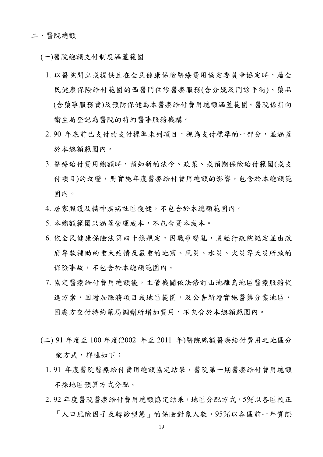(一)醫院總額支付制度涵蓋範圍

- 1. 以醫院開立或提供且在全民健康保險醫療費用協定委員會協定時,屬全 民健康保險給付範圍的西醫門住診醫療服務(含分娩及門診手術)、藥品 (含藥事服務費)及預防保健為本醫療給付費用總額涵蓋範圍。醫院係指向 衛生局登記為醫院的特約醫事服務機構。
- 2. 90 年底前已支付的支付標準未列項目,視為支付標準的一部分,並涵蓋 於本總額範圍內。
- 3. 醫療給付費用總額時,預知新的法令、政策、或預期保險給付範圍(或支 付項目)的改變,對實施年度醫療給付費用總額的影響,包含於本總額範 圍內。
- 4. 居家照護及精神疾病社區復健,不包含於本總額範圍內。
- 5. 本總額範圍只涵蓋營運成本,不包含資本成本。
- 6. 依全民健康保險法第四十條規定,因戰爭變亂,或經行政院認定並由政 府專款補助的重大疫情及嚴重的地震、風災、水災、火災等天災所致的 保險事故,不包含於本總額範圍內。
- 7. 協定醫療給付費用總額後,主管機關依法修訂山地離島地區醫療服務促 進方案,因增加服務項目或地區範圍,及公告新增實施醫藥分業地區, 因處方交付特約藥局調劑所增加費用,不包含於本總額範圍內。
- (二) 91 年度至 100 年度(2002 年至 2011 年)醫院總額醫療給付費用之地區分 配方式,詳述如下:
	- 1. 91 年度醫院醫療給付費用總額協定結果,醫院第一期醫療給付費用總額 不採地區預算方式分配。
	- 2.92年度醫院醫療給付費用總額協定結果,地區分配方式,5%以各區校正 「人口風險因子及轉診型態」的保險對象人數,95%以各區前一年實際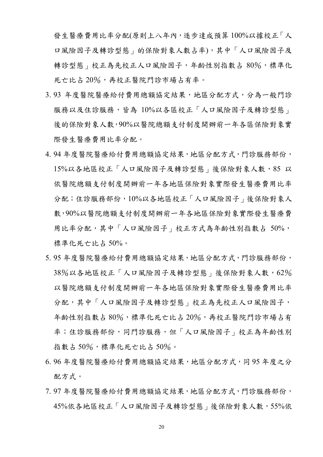發生醫療費用比率分配(原則上八年內,逐步達成預算 100%以據校正「人 口風險因子及轉診型態」的保險對象人數占率),其中「人口風險因子及 轉診型態」校正為先校正人口風險因子,年齡性別指數占80%,標準化 死亡比占 20%,再校正醫院門診市場占有率。

- 3.93 年度醫院醫療給付費用總額協定結果,地區分配方式,分為一般門診 服務以及住診服務,皆為 10%以各區校正「人口風險因子及轉診型態」 後的保險對象人數,90%以醫院總額支付制度開辦前一年各區保險對象實 際發生醫療費用比率分配。
- 4. 94 年度醫院醫療給付費用總額協定結果,地區分配方式,門診服務部份, 15%以各地區校正「人口風險因子及轉診型態」後保險對象人數,85 以 依醫院總額支付制度開辦前一年各地區保險對象實際發生醫療費用比率 分配;住診服務部份,10%以各地區校正「人口風險因子」後保險對象人 數,90%以醫院總額支付制度開辦前一年各地區保險對象實際發生醫療費 用比率分配,其中「人口風險因子」校正方式為年齡性別指數占 50%, 標準化死亡比占 50%。
- 5. 95 年度醫院醫療給付費用總額協定結果,地區分配方式,門診服務部份, 38%以各地區校正「人口風險因子及轉診型態」後保險對象人數,62% 以醫院總額支付制度開辦前一年各地區保險對象實際發生醫療費用比率 分配,其中「人口風險因子及轉診型態」校正為先校正人口風險因子, 年齡性別指數占80%,標準化死亡比占20%,再校正醫院門診市場占有 率;住診服務,同門診服務,但「人口風險因子」校正為年齡性別 指數占 50%,標準化死亡比占 50%。
- 6. 96 年度醫院醫療給付費用總額協定結果,地區分配方式,同 95 年度之分 配方式。
- 7. 97 年度醫院醫療給付費用總額協定結果,地區分配方式,門診服務部份, 45%依各地區校正「人口風險因子及轉診型態」後保險對象人數,55%依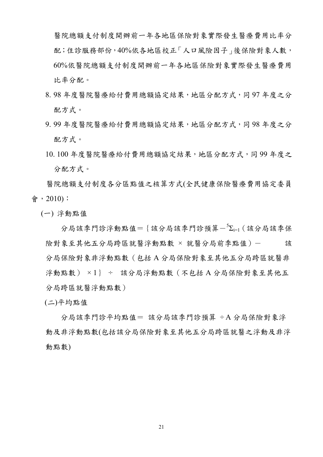醫院總額支付制度開辦前一年各地區保險對象實際發生醫療費用比率分 配;住診服務部份,40%依各地區校正「人口風險因子」後保險對象人數, 60%依醫院總額支付制度開辦前一年各地區保險對象實際發生醫療費用 比率分配。

- 8. 98 年度醫院醫療給付費用總額協定結果,地區分配方式,同 97 年度之分 配方式。
- 9. 99 年度醫院醫療給付費用總額協定結果,地區分配方式,同 98 年度之分 配方式。
- 10. 100 年度醫院醫療給付費用總額協定結果,地區分配方式,同 99 年度之 分配方式。

醫院總額支付制度各分區點值之核算方式(全民健康保險醫療費用協定委員 會,2010):

(一) 浮動點值

分局該季門診浮動點值={該分局該季門診預算- $^5$  $\Sigma_{i=1}$ (該分局該季保 險對象至其他五分局跨區就醫浮動點數 × 就醫分局前季點值)- 該 分局保險對象非浮動點數(包括 A 分局保險對象至其他五分局跨區就醫非 浮動點數) × 1} ÷ 該分局浮動點數(不包括 A 分局保險對象至其他五 分局跨區就醫浮動點數)

(二)平均點值

 分局該季門診平均點值= 該分局該季門診預算 ÷ A 分局保險對象浮 動及非浮動點數(包括該分局保險對象至其他五分局跨區就醫之浮動及非浮 動點數)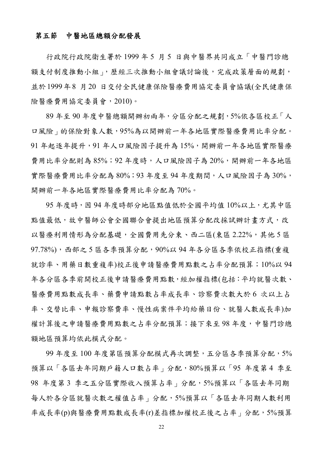#### 第五節中醫地區總額分配發展

行政院行政院衛生署於 1999 年 5 月 5 日與中醫界共同成立「中醫門診總 額支付制度推動小組」,歷經三次推動小組會議討論後,完成政策層面的規劃, 並於1999年8 月20 日交付全民健康保險醫療費用協定委員會協議(全民健康保 險醫療費用協定委員會,2010)。

89 年至 90 年度中醫總額開辦初兩年,分區分配之規劃,5%依各區校正「人 口風險」的保險對象人數,95%為以開辦前一年各地區實際醫療費用比率分配。 91 年起逐年提升,91 年人口風險因子提升為 15%,開辦前一年各地區實際醫療 費用比率分配則為 85%;92 年度時,人口風險因子為 20%,開辦前一年各地區 實際醫療費用比率分配為 80%;93 年度至 94 年度期間,人口風險因子為 30%, 開辦前一年各地區實際醫療費用比率分配為 70%。

95年度時,因94年度時部分地區點值低於全國平均值10%以上,尤其中區 點值最低,故中醫師公會全國聯合會提出地區預算分配改採試辦計書方式,改 以醫療利用情形為分配基礎,全國費用先分東、西二區(東區 2.22%,其他 5 區  $97.78\%)$ , 西部之 5 區各季預算分配, 90%以 94 年各分區各季依校正指標(重複 就診率、用藥日數重複率)校正後申請醫療費用點數之占率分配預算;10%以 94 年各分區各季前開校正後申請醫療費用點數,經加權指標(包括:平均就醫次數、 醫療費用點數成長率、藥費申請點數占率成長率、診察費次數大於 6 次以上占 率、交替比率、申報診察費率、慢性病案件平均給藥日份、就醫人數成長率)加 權計算後之申請醫療費用點數之占率分配預算;接下來至98年度,中醫門診總 額地區預算均依此模式分配。

99 年度至 100 年度第區預算分配模式再次調整,五分區各季預算分配,5% 預算以「各區去年同期戶籍人口數占率」分配,80%預算以「95年度第4季至 98 年度第 3 季之五分區實際收入預算占率」分配,5%預算以「各區去年同期 每人於各分區就醫次數之權值占率 的分配,5%預算以「各區去年同期人數利用 率成長率(p)與醫療費用點數成長率(r)差指標加權校正後之占率」分配,5%預算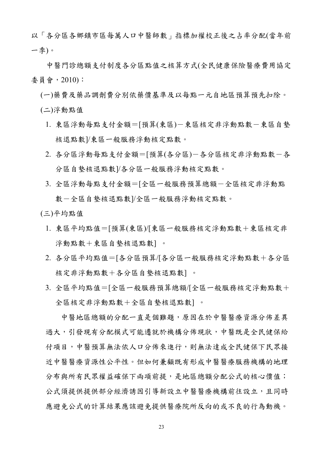以「各分區各鄉鎮市區每萬人口中醫師數」指標加權校正後之占率分配(當年前 一季)。

中醫門診總額支付制度各分區點值之核算方式(全民健康保險醫療費用協定 委員會,2010):

(一)藥費及藥品調劑費分別依藥價基準及以每點一元自地區預算預先扣除。

(二)浮動點值

- 1. 東區浮動每點支付金額=[預算(東區)-東區核定非浮動點數-東區自墊 核退點數]/東區一般服務浮動核定點數。
- 2. 各分區浮動每點支付金額=[預算(各分區)-各分區核定非浮動點數-各 分區自墊核退點數]/各分區一般服務浮動核定點數。
- 3. 全區浮動每點支付金額=[全區一般服務預算總額-全區核定非浮動點 數一全區自墊核退點數1/全區一般服務浮動核定點數。

(三)平均點值

- 1. 東區平均點值=[預算(東區)/[東區一般服務核定浮動點數+東區核定非 浮動點數+東區自墊核退點數] 。
- 2. 各分區平均點值=[各分區預算/[各分區一般服務核定浮動點數+各分區 核定非浮動點數+各分區自墊核退點數] 。
- 3. 全區平均點值=[全區一般服務預算總額/[全區一般服務核定浮動點數+ 全區核定非浮動點數+全區自墊核退點數] 。

 中醫地區總額的分配一直是個難題,原因在於中醫醫療資源分佈差異 過大,引發現有分配模式可能遷就於機構分佈現狀,中醫既是全民健保給 付項目,中醫預算無法依人口分佈來進行,則無法達成全民健保下民眾接 近中醫醫療資源性公平性。但如何兼顧既有形成中醫醫療服務機構的地理 分布與所有民眾權益確保下兩項前提,是地區總額分配公式的核心價值; 公式須提供提供部分經濟誘因引導新設立中醫醫療機構前往設立,且同時 應避免公式的計算結果應該避免提供醫療院所反向的或不良的行為動機。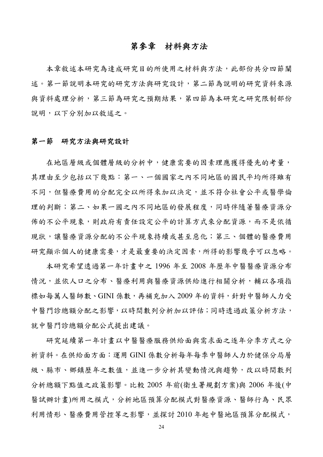## 第參章材料與方法

本章敘述本研究為達成研究目的所使用之材料與方法,此部份共分四節闡 述。第一節說明本研究的研究方法與研究設計,第二節為說明的研究資料來源 與資料處理分析,第三節為研究之預期結果,第四節為本研究之研究限制部份 說明,以下分別加以敘述之。

### 第一節研究方法與研究設計

在地區層級或個體層級的分析中,健康需要的因素理應獲得優先的考量, 其理由至少包括以下幾點:第一、一個國家之內不同地區的國民平均所得雖有 不同,但醫療費用的分配完全以所得來加以決定,並不符合社會公平或醫學倫 理的判斷;第二、如果一國之內不同地區的發展程度,同時伴隨著醫療資源分 佈的不公平現象,則政府有責任設定公平的計算方式來分配資源,而不是依循 現狀,讓醫療資源分配的不公平現象持續或甚至惡化;第三、個體的醫療費用 研究顯示個人的健康需要,才是最重要的決定因素,所得的影響幾乎可以忽略。

本研究希望透過第一年計畫中之 1996 年至 2008 年歷年中醫醫療資源分布 情況,並依人口之分布、醫療利用與醫療資源供給進行相關分析,輔以各項指 標如每萬人醫師數、GINI 係數,再補充加入 2009 年的資料, 針對中醫師人力受 中醫門診總額分配之影響,以時間數列分析加以評估;同時透過政策分析方法, 就中醫門診總額分配公式提出建議。

研究延續第一年計書以中醫醫療服務供給面與需求面之逐年分季方式之分 析資料。在供給面方面:運用 GINI 係數分析每年每季中醫師人力於健保分局層 級、縣市、鄉鎮歷年之數值,並進一步分析其變動情況與趨勢,改以時間數列 分析總額下點值之政策影響。比較 2005 年前(衛生署規劃方案)與 2006 年後(中 醫試辦計畫)所用之模式,分析地區預算分配模式對醫療資源、醫師行為、民眾 利用情形、醫療費用管控等之影響,並探討 2010 年起中醫地區預算分配模式,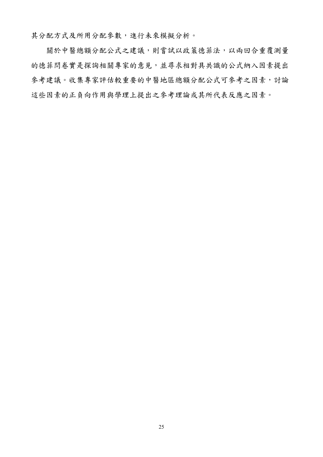其分配方式及所用分配參數,進行未來模擬分析。

 關於中醫總額分配公式之建議,則嘗試以政策德菲法,以兩回合重覆測量 的德菲問卷實是探詢相關專家的意見,並尋求相對具共識的公式納入因素提出 參考建議。收集專家評估較重要的中醫地區總額分配公式可參考之因素,討論 這些因素的正負向作用與學理上提出之參考理論或其所代表反應之因素。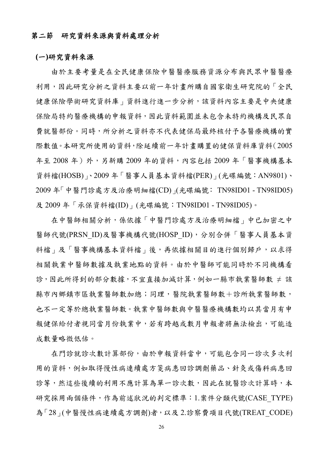## 第二節研究資料來源與資料處理分析

## **(**一**)**研究資料來源

由於主要考量是在全民健康保險中醫醫療服務資源分布與民眾中醫醫療 利用,因此研究分析之資料主要以前一年計畫所購自國家衛生研究院的「全民 健康保險學術研究資料庫」資料進行進一步分析,該資料內容主要是中央健康 保險局特約醫療機構的申報資料,因此資料範圍並未包含未特約機構及民眾自 費就醫部份。同時,所分析之資料亦不代表健保局最終核付予各醫療機構的實 際數值。本研究所使用的資料,除延續前一年計畫購置的健保資料庫資料(2005 年至 2008年)外,另新購 2009年的資料,內容包括 2009年「醫事機構基本 資料檔(HOSB)」、2009 年「醫事人員基本資料檔(PER)」(光碟編號:AN9801)、 2009 年「中醫門診處方及治療明細檔(CD)」(光碟編號: TN98ID01 - TN98ID05) 及 2009 年「承保資料檔(ID)」(光碟編號:TN98ID01 - TN98ID05)。

在中醫師相關分析,係依據「中醫門診處方及治療明細檔」中已加密之中 醫師代號(PRSN\_ID)及醫事機構代號(HOSP\_ID),分別合併「醫事人員基本資 料檔、及「醫事機構基本資料檔」後,再依據相關目的進行個別歸戶,以求得 相關執業中醫師數據及執業地點的資料。由於中醫師可能同時於不同機構看 診,因此所得到的部分數據,不宜直接加減計算,例如一縣市執業醫師數 ≠ 該 縣市內鄉鎮市區執業醫師數加總;同理,醫院執業醫師數十診所執業醫師數, 也不一定等於總執業醫師數。執業中醫師數與中醫醫療機構數均以其當月有申 報健保給付者視同當月份執業中,若有跨越或數月申報者將無法檢出,可能造 成數量略微低估。

在門診就診次數計算部份,由於申報資料當中,可能包含同一診次多次利 用的資料,例如取得慢性病連續處方箋病患回診調劑藥品、針灸或傷科病患回 診等,然這些後續的利用不應計算為單一診次數,因此在就醫診次計算時,本 研究採用兩個條件,作為前述狀況的判定標準:1.案件分類代號(CASE\_TYPE) 為「28」(中醫慢性病連續處方調劑)者,以及 2.診察費項目代號(TREAT CODE)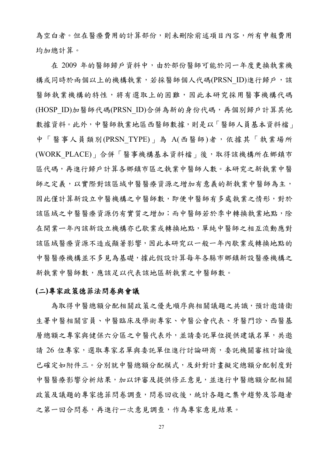為空白者。但在醫療費用的計算部份,則未刪除前述項目內容,所有申報費用 均加總計算。

在 2009 年的醫師歸戶資料中,由於部份醫師可能於同一年度更換執業機 構或同時於兩個以上的機構執業,若採醫師個人代碼(PRSN ID)進行歸戶,該 醫師執業機構的特性,將有選取上的困難,因此本研究採用醫事機構代碼 (HOSP\_ID)加醫師代碼(PRSN\_ID)合併為新的身份代碼,再個別歸戶計算其他 數據資料。此外,中醫師執業地區西醫師數據,則是以「醫師人員基本資料檔」 中「醫事人員類別(PRSN TYPE)」為 A(西醫師)者,依據其「執業場所 (WORK PLACE) | 合併「醫事機構基本資料檔」後, 取得該機構所在鄉鎮市 區代碼,再進行歸戶計算各鄉鎮市區之執業中醫師人數。本研究之新執業中醫 師之定義,以實際對該區域中醫醫療資源之增加有意義的新執業中醫師為主, 因此僅計算新設立中醫機構之中醫師數,即便中醫師有多處執業之情形,對於 該區域之中醫醫療資源仍有實質之增加;而中醫師若於季中轉換執業地點,除 在開業ㄧ年內該新設立機構亦已歇業或轉換地點,單純中醫師之相互流動應對 該區域醫療資源不造成顯著影響,因此本研究以一般一年內歇業或轉換地點的 中醫醫療機構並不多見為基礎,據此假設計算每年各縣市鄉鎮新設醫療機構之 新執業中醫師數,應該足以代表該地區新執業之中醫師數。

## **(**二**)**專家政策德菲法問卷與會議

為取得中醫總額分配相關政策之優先順序與相關議題之共識,預計邀請衛 生署中醫相關官員、中醫臨床及學術專家、中醫公會代表、牙醫門診、西醫基 層總額之專家與健保六分區之中醫代表外,並請委託單位提供建議名單,共邀 請 26 位專家,選取專家名單與委託單位進行討論研商,委託機關審核討論後 已確定如附件三。分別就中醫總額分配模式,及針對計書擬定總額分配制度對 中醫醫療影響分析結果,加以評審及提供修正意見,並進行中醫總額分配相關 政策及議題的專家德菲問卷調查,問卷回收後,統計各題之集中趨勢及答題者 之第一回合問卷,再進行一次意見調查,作為專家意見結果。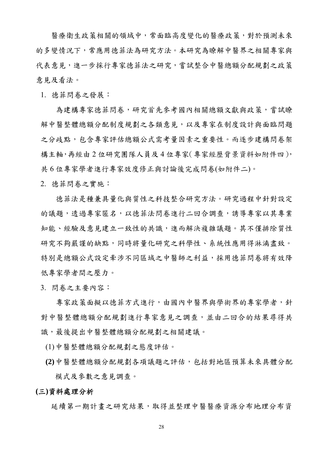醫療衛生政策相關的領域中,常面臨高度變化的醫療政策,對於預測未來 的多變情況下,常應用德菲法為研究方法。本研究為瞭解中醫界之相關專家與 代表意見,進一步採行專家德菲法之研究,嘗試整合中醫總額分配規劃之政策 意見及看法。

1. 德菲問卷之發展:

為建構專家德菲問卷,研究首先參考國內相關總額文獻與政策,嘗試瞭 解中醫整體總額分配制度規劃之各類意見,以及專家在制度設計與面臨問題 之分歧點,包含專家評估總額公式需考量因素之重要性。而逐步建構問卷架 構主軸,再經由2位研究團隊人員及4位專家(專家經歷背景資料如附件四), 共 6 位專家學者進行專家效度修正與討論後完成問卷(如附件二)。

2. 德菲問卷之實施:

德菲法是種兼具量化與質性之科技整合研究方法。研究過程中針對設定 的議題,透過專家匿名,以德菲法問卷進行二回合調查,誘導專家以其專業 知能、經驗及意見建立一致性的共識,進而解決複雜議題。其不僅排除質性 研究不夠嚴謹的缺點,同時將量化研究之科學性、系統性應用得淋漓盡致。 特別是總額公式設定牽涉不同區域之中醫師之利益,採用德菲問卷將有效降 低專家學者間之壓力。

3. 問卷之主要內容:

專家政策面擬以德菲方式進行,由國內中醫界與學術界的專家學者,針 對中醫整體總額分配規劃進行專家意見之調查,並由二回合的結果尋得共 識,最後提出中醫整體總額分配規劃之相關建議。

(1)中醫整體總額分配規劃之態度評估。

**(2)**中醫整體總額分配規劃各項議題之評估,包括對地區預算未來具體分配 模式及參數之意見調查。

**(**三**)**資料處理分析

延續第一期計畫之研究結果,取得並整理中醫醫療資源分布地理分布資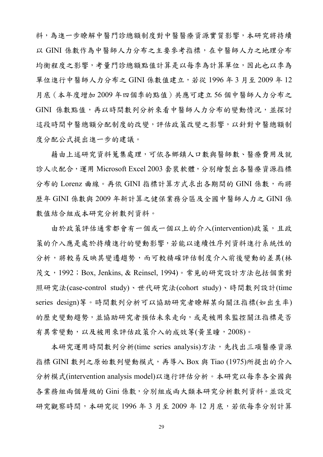料,為進一步瞭解中醫門診總額制度對中醫醫療資源實質影響,本研究將持續 以 GINI 係數作為中醫師人力分布之主要參考指標,在中醫師人力之地理分布 均衡程度之影響,考量門診總額點值計算是以每季為計算單位,因此也以季為 單位進行中醫師人力分布之 GINI 係數值建立,若從 1996 年 3 月至 2009 年 12 月底(本年度增加 2009 年四個季的點值)共應可建立 56 個中醫師人力分布之 GINI 係數點值,再以時間數列分析來看中醫師人力分布的變動情況,並探討 這段時間中醫總額分配制度的改變,評估政策改變之影響,以針對中醫總額制 度分配公式提出進一步的建議。

藉由上述研究資料蒐集處理,可依各鄉鎮人口數與醫師數、醫療費用及就 診人次配合,運用 Microsoft Excel 2003 套裝軟體,分別繪製出各醫療資源指標 分布的 Lorenz 曲線。再依 GINI 指標計算方式求出各期間的 GINI 係數,而將 歷年 GINI 係數與 2009 年新計算之健保業務分區及全國中醫師人力之 GINI 係 數值結合組成本研究分析數列資料。

由於政策評估通常都會有一個或一個以上的介入(intervention)政策,且政 策的介入應是處於持續進行的變動影響,若能以連續性序列資料進行系統性的 分析,將較易反映其變遷趨勢,而可較精確評估制度介入前後變動的差異(林 茂文,1992;Box, Jenkins, & Reinsel, 1994)。常見的研究設計方法包括個案對 照研究法(case-control study)、世代研究法(cohort study)、時間數列設計(time series design)等。時間數列分析可以協助研究者瞭解某向關注指標(如出生率) 的歷史變動趨勢,並協助研究者預估未來走向,或是被用來監控關注指標是否 有異常變動,以及被用來評估政策介入的成效等(黃昱瞳,2008)。

本研究運用時間數列分析(time series analysis)方法,先找出三項醫療資源 指標 GINI 數列之原始數列變動模式,再導入 Box 與 Tiao (1975)所提出的介入 分析模式(intervention analysis model)以進行評估分析。本研究以每季各全國與 各業務組兩個層級的 Gini 係數,分別組成兩大類本研究分析數列資料。並設定 研究觀察時間,本研究從 1996年3月至 2009年12月底,若依每季分別計算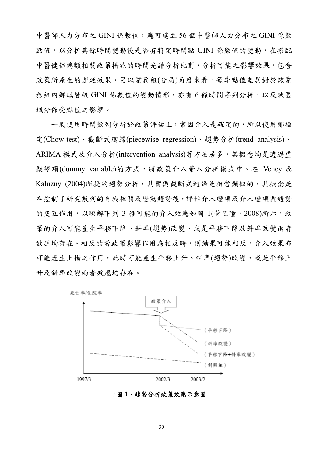中醫師人力分布之 GINI 係數值,應可建立 56 個中醫師人力分布之 GINI 係數 點值,以分析其餘時間變動後是否有特定時間點 GINI 係數值的變動,在搭配 中醫健保總額相關政策措施的時間光譜分析比對,分析可能之影響效果,包含 政策所產生的遲延效果。另以業務組(分局)角度來看,每季點值差異對於該業 務組內鄉鎮層級 GINI 係數值的變動情形,亦有 6 條時間序列分析,以反映區 域分佈受點值之影響。

一般使用時間數列分析於政策評估上,常因介入是確定的,所以使用鄒檢 定(Chow-test)、截斷式迴歸(piecewise regression)、趨勢分析(trend analysis)、 ARIMA 模式及介入分析(intervention analysis)等方法居多,其概念均是透過虛 擬變項(dummy variable)的方式,將政策介入帶入分析模式中。在 Veney & Kaluzny (2004)所提的趨勢分析,其實與截斷式迴歸是相當類似的,其概念是 在控制了研究數列的自我相關及變動趨勢後,評估介入變項及介入變項與趨勢 的交互作用,以瞭解下列 3 種可能的介入效應如圖 1(黃昱瞳, 2008)所示,政 策的介入可能產生平移下降、斜率(趨勢)改變、或是平移下降及斜率改變兩者 效應均存在。相反的當政策影響作用為相反時,則結果可能相反,介入效果亦 可能產生上揚之作用,此時可能產生平移上升、斜率(趨勢)改變、或是平移上 升及斜率改變兩者效應均存在。



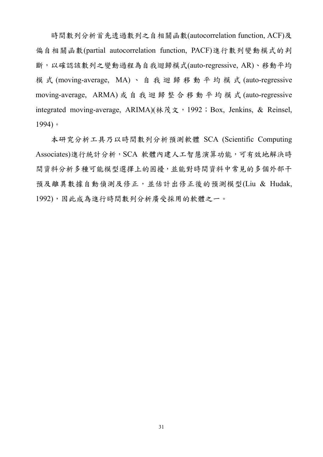時間數列分析首先透過數列之自相關函數(autocorrelation function, ACF)及 偏自相關函數(partial autocorrelation function, PACF)進行數列變動模式的判 斷,以確認該數列之變動過程為自我迴歸模式(auto-regressive, AR)、移動平均 模 式 (moving-average, MA) 、自我迴歸移動平均模式 (auto-regressive moving-average, ARMA) 或自我迴歸整合移動平均模式 (auto-regressive integrated moving-average, ARIMA)( $\frac{1}{2}$ ,  $\frac{1}{2}$ ,  $\frac{1}{2}$ ,  $\frac{1}{2}$ ,  $\frac{1}{2}$ ,  $\frac{1}{2}$ ,  $\frac{1}{2}$ ,  $\frac{1}{2}$ ,  $\frac{1}{2}$ ,  $\frac{1}{2}$ ,  $\frac{1}{2}$ ,  $\frac{1}{2}$ ,  $\frac{1}{2}$ ,  $\frac{1}{2}$ ,  $\frac{1}{2}$ ,  $\frac{1}{2}$ ,  $\frac{1}{2}$ , 1994)。

本研究分析工具乃以時間數列分析預測軟體 SCA (Scientific Computing Associates)進行統計分析,SCA 軟體內建人工智慧演算功能,可有效地解決時 間資料分析多種可能模型選擇上的困擾,並能對時間資料中常見的多個外部干 預及離異數據自動偵測及修正,並估計出修正後的預測模型(Liu & Hudak, 1992),因此成為進行時間數列分析廣受採用的軟體之一。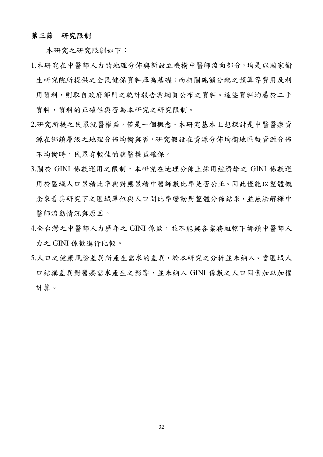#### 第三節研究限制

本研究之研究限制如下:

- 1.本研究在中醫師人力的地理分佈與新設立機構中醫師流向部分,均是以國家衛 生研究院所提供之全民健保資料庫為基礎;而相關總額分配之預算等費用及利 用資料,則取自政府部門之統計報告與網頁公布之資料。這些資料均屬於二手 資料,資料的正確性與否為本研究之研究限制。
- 2.研究所提之民眾就醫權益,僅是一個概念。本研究基本上想探討是中醫醫療資 源在鄉鎮層級之地理分佈均衡與否,研究假設在資源分佈均衡地區較資源分佈 不均衡時,民眾有較佳的就醫權益確保。
- 3.關於 GINI 係數運用之限制,本研究在地理分佈上採用經濟學之 GINI 係數運 用於區域人口累積比率與對應累積中醫師數比率是否公正。因此僅能以整體概 念來看其研究下之區域單位與人口間比率變動對整體分佈結果,並無法解釋中 醫師流動情況與原因。
- 4.全台灣之中醫師人力歷年之 GINI 係數,並不能與各業務組轄下鄉鎮中醫師人 力之 GINI 係數進行比較。
- 5.人口之健康風險差異所產生需求的差異,於本研究之分析並未納入。當區域人 口結構差異對醫療需求產生之影響,並未納入 GINI 係數之人口因素加以加權 計算。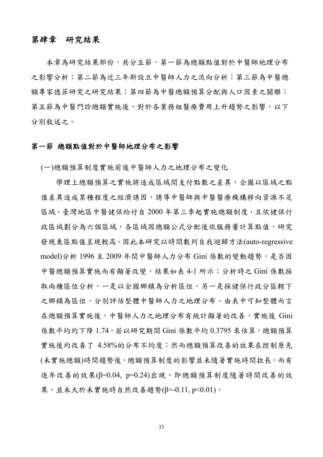# 第肆章研究結果

本章為研究結果部份,共分五節,第一節為總額點值對於中醫師地理分布 之影響分析;第二節為近三年新設立中醫師人力之流向分析;第三節為中醫總 額專家德菲研究之研究結果;第四節為中醫總額預算分配與人口因素之關聯; 第五節為中醫門診總額實施後,對於各業務組醫療費用上升趨勢之影響,以下 分別敘述之。

## 第一節 總額點值對於中醫師地理分布之影響

(一)總額預算制度實施前後中醫師人力之地理分布之變化

學理上總額預算之實施將造成區域間支付點數之差異,企圖以區域之點 值差異造成某種程度之經濟誘因,誘導中醫師與中醫醫療機構移向資源不足 區域。臺灣地區中醫健保給付自 2000 年第三季起實施總額制度,且依健保行 政區域劃分為六個區域,各區域因總額公式分配後依服務量計算點值,研究 發現東區點值呈現較高。因此本研究以時間數列自我迴歸方法(auto-regressive model)分析 1996 至 2009 年間中醫師人力分布 Gini 係數的變動趨勢, 是否因 中醫總額預算實施而有顯著改變,結果如表 4-1 所示;分析時之 Gini 係數採 取兩種區位分析,一是以全國鄉鎮為分析區位,另一是採健保行政分區轄下 之鄉鎮為區位,分別評估整體中醫師人力之地理分布。由表中可知整體而言 在總額預算實施後,中醫師人力之地理分布有統計顯著的改善,實施後 Gini 係數平均約下降 1.74,若以研究期間 Gini 係數平均 0.3795 來估算, 總額預算 實施後約改善了 4.58%的分布不均度;然而總額預算改善的效果在控制原先 (未實施總額)時間趨勢後,總額預算制度的影響並未隨著實施時間拉長,而有 逐年改善的效果(β=0.04, p=0.24)出現, 即總額預算制度隨著時間改善的效 果,並未大於未實施時自然改善趨勢(β=-0.11, p<0.01)。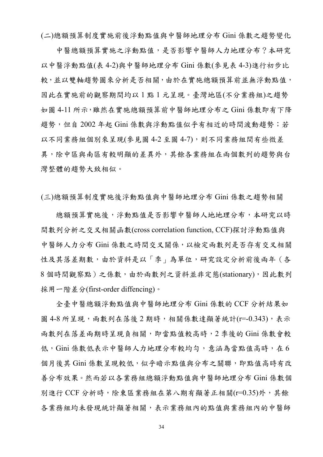(二)總額預算制度實施前後浮動點值與中醫師地理分布 Gini 係數之趨勢變化

中醫總額預算實施之浮動點值,是否影響中醫師人力地理分布?本研究 以中醫浮動點值(表 4-2)與中醫師地理分布 Gini 係數(參見表 4-3)進行初步比 較,並以雙軸趨勢圖來分析是否相關,由於在實施總額預算前並無浮動點值, 因此在實施前的觀察期間均以 1 點 1 元呈現。臺灣地區(不分業務組)之趨勢 如圖 4-11 所示,雖然在實施總額預算前中醫師地理分布之 Gini 係數即有下降 趨勢,但自 2002年起 Gini 係數與浮動點值似乎有相近的時間波動趨勢;若 以不同業務組個別來呈現(參見圖 4-2 至圖 4-7),則不同業務組間有些微差 異,除中區與南區有較明顯的差異外,其餘各業務組在兩個數列的趨勢與台 灣整體的趨勢大致相似。

(三)總額預算制度實施後浮動點值與中醫師地理分布 Gini 係數之趨勢相關

總額預算實施後,浮動點值是否影響中醫師人地地理分布,本研究以時 間數列分析之交叉相關函數(cross correlation function, CCF)探討浮動點值與 中醫師人力分布 Gini 係數之時間交叉關係,以檢定兩數列是否存有交叉相關 性及其落差期數,由於資料是以「季」為單位,研究設定分析前後兩年(各 8 個時間觀察點)之係數,由於兩數列之資料並非定態(stationary),因此數列 採用一階差分(first-order diffencing)。

全臺中醫總額浮動點值與中醫師地理分布 Gini 係數的 CCF 分析結果如 圖 4-8 所呈現,兩數列在落後 2 期時,相關係數達顯著統計(r=-0.343),表示 兩數列在落差兩期時呈現負相關,即當點值較高時,2 季後的 Gini 係數會較 低,Gini 係數低表示中醫師人力地理分布較均勻,意涵為當點值高時,在6 個月後其 Gini 係數呈現較低,似乎暗示點值與分布之關聯,即點值高時有改 善分布效果。然而若以各業務組總額浮動點值與中醫師地理分布 Gini 係數個 別進行 CCF 分析時,除東區業務組在第八期有顯著正相關(r=0.35)外,其餘 各業務組均未發現統計顯著相關,表示業務組內的點值與業務組內的中醫師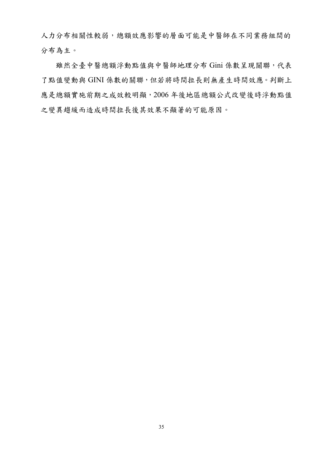人力分布相關性較弱,總額效應影響的層面可能是中醫師在不同業務組間的 分布為主。

雖然全臺中醫總額浮動點值與中醫師地理分布 Gini 係數呈現關聯,代表 了點值變動與 GINI 係數的關聯,但若將時間拉長則無產生時間效應。判斷上 應是總額實施前期之成效較明顯,2006 年後地區總額公式改變後時浮動點值 之變異趨緩而造成時間拉長後其效果不顯著的可能原因。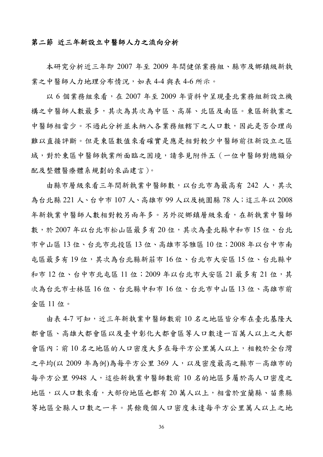## 第二節 近三年新設立中醫師人力之流向分析

本研究分析近三年即 2007 年至 2009 年間健保業務組、縣市及鄉鎮級新執 業之中醫師人力地理分布情況,如表 4-4 與表 4-6 所示。

以 6 個業務組來看,在 2007 年至 2009 年資料中呈現臺北業務組新設立機 構之中醫師人數最多,其次為其次為中區、高屏、北區及南區。東區新執業之 中醫師相當少。不過此分析並未納入各業務組轄下之人口數,因此是否合理尚 難以直接評斷。但是東區數值來看確實是應是相對較少中醫師前往新設立之區 域,對於東區中醫師執業所面臨之困境,請參見附件五(一位中醫師對總額分 配及整體醫療體系規劃的來函建言)。

由縣市層級來看三年間新執業中醫師數,以台北市為最高有 242 人,其次 為台北縣 221 人、台中市 107 人、高雄市 99 人以及桃園縣 78 人;這三年以 2008 年新執業中醫師人數相對較另兩年多。另外從鄉鎮層級來看,在新執業中醫師 數,於 2007 年以台北市松山區最多有 20 位,其次為臺北縣中和市 15 位、台北 市中山區 13 位、台北市北投區 13 位、高雄市苓雅區 10 位;2008 年以台中市南 屯區最多有 19 位,其次為台北縣新莊市 16 位、台北市大安區 15 位、台北縣中 和市 12位、台中市北屯區 11位; 2009年以台北市大安區 21 最多有 21位,其 次為台北市士林區 16 位、台北縣中和市 16 位、台北市中山區 13 位、高雄市前 金區 11 位。

由表 4-7 可知,近三年新執業中醫師數前 10 名之地區皆分布在臺北基隆大 都會區、高雄大都會區以及臺中彰化大都會區等人口數達一百萬人以上之大都 會區內;前 10 名之地區的人口密度大多在每平方公里萬人以上,相較於全台灣 之平均(以 2009 年為例)為每平方公里 369 人,以及密度最高之縣市一高雄市的 每平方公里 9948 人,這些新執業中醫師數前 10 名的地區多屬於高人口密度之 地區,以人口數來看,大部份地區也都有20萬人以上,相當於宜蘭縣、苗栗縣 等地區全縣人口數之一半。其餘幾個人口密度未達每平方公里萬人以上之地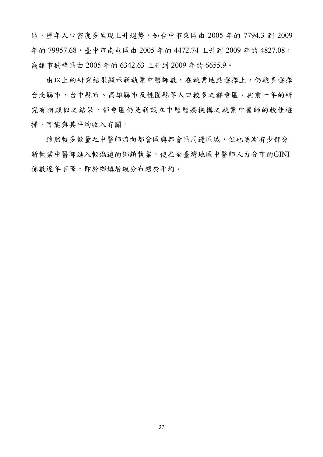區,歷年人口密度多呈現上升趨勢,如台中市東區由 2005 年的 7794.3 到 2009 年的 79957.68, 臺中市南屯區由 2005年的 4472.74 上升到 2009年的 4827.08, 高雄市楠梓區由 2005 年的 6342.63 上升到 2009 年的 6655.9。

由以上的研究結果顯示新執業中醫師數,在執業地點選擇上,仍較多選擇 台北縣市、台中縣市、高雄縣市及桃園縣等人口較多之都會區。與前一年的研 究有相類似之結果,都會區仍是新設立中醫醫療機構之執業中醫師的較佳選 擇,可能與其平均收入有關。

雖然較多數量之中醫師流向都會區與都會區周邊區域,但也逐漸有少部分 新執業中醫師進入較偏遠的鄉鎮執業,使在全臺灣地區中醫師人力分布的GINI 係數逐年下降,即於鄉鎮層級分布趨於平均。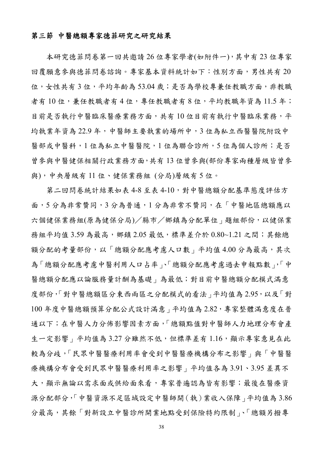## 第三節 中醫總額專家德菲研究之研究結果

本研究德菲問卷第一回共邀請 26 位專家學者(如附件一),其中有 23 位專家 回覆願意參與德菲問卷諮詢。專家基本資料統計如下:性別方面,男性共有20 位,女性共有3位,平均年齡為53.04歲;是否為學校專兼任教職方面,非教職 者有10位,兼任教職者有4位,專任教職者有8位,平均教職年資為11.5年; 目前是否執行中醫臨床醫療業務方面,共有10位目前有執行中醫臨床業務,平 均執業年資為 22.9 年,中醫師主要執業的場所中,3 位為私立西醫醫院附設中 醫部或中醫科,1位為私立中醫醫院,1位為聯合診所,5位為個人診所;是否 曾參與中醫健保相關行政業務方面,共有 13 位曾參與(部份專家兩種層級皆曾參 與),中央層級有 11 位、健保業務組 (分局)層級有 5 位。

第二回問卷統計結果如表 4-8 至表 4-10,對中醫總額分配基準態度評估方 面,5 分為非常贊同,3 分為普通,1 分為非常不贊同,在「中醫地區總額應以 六個健保業務組(原為健保分局)/縣市/鄉鎮為分配單位」題組部份, 以健保業 務組平均值 3.59 為最高, 鄉鎮 2.05 最低,標準差介於 0.80~1.21 之間;其餘總 額分配的考量部份,以「總額分配應考慮人口數」平均值 4.00分為最高,其次 為「總額分配應考慮中醫利用人口占率」、「總額分配應考慮過去申報點數」,「中 醫總額分配應以論服務量計酬為基礎」為最低;對目前中醫總額分配模式滿意 度部份,「對中醫總額區分東西兩區之分配模式的看法」平均值為 2.95,以及「對 100 年度中醫總額預算分配公式設計滿意 | 平均值為 2.82,專家整體滿意度在普 通以下;在中醫人力分佈影響因素方面,「總額點值對中醫師人力地理分布會產 生一定影響 | 平均值為 3.27 分雖然不低, 但標準差有1.16, 顯示專家意見在此 較為分歧,「民眾中醫醫療利用率會受到中醫醫療機構分布之影響」與「中醫醫 療機構分布會受到民眾中醫醫療利用率之影響」平均值各為 3.91、3.95 差異不 大,顯示無論以需求面或供給面來看,專家普遍認為皆有影響;最後在醫療資 源分配部分,「中醫資源不足區域設定中醫師開(執)業收入保障」平均值為 3.86 分最高,其餘「對新設立中醫診所開業地點受到保險特約限制」、「總額另撥專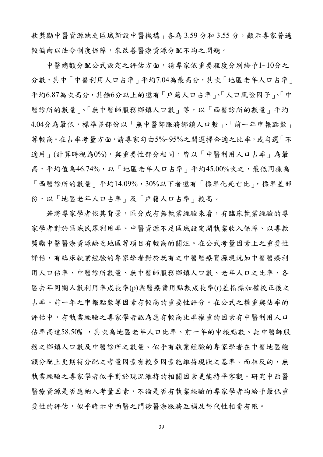款獎勵中醫資源缺乏區域新設中醫機構」各為 3.59 分和 3.55 分,顯示專家普遍 較偏向以法令制度保障,來改善醫療資源分配不均之問題。

中醫總額分配公式設定之評估方面,請專家依重要程度分別給予1~10分之 分數,其中「中醫利用人口占率」平均7.04為最高分,其次「地區老年人口占率」 平均6.87為次高分,其餘6分以上的還有「戶籍人口占率」、「人口風險因子」、「中 醫診所的數量」、「無中醫師服務鄉鎮人口數」等,以「西醫診所的數量」平均 4.04分為最低,標準差部份以「無中醫師服務鄉鎮人口數」、「前一年申報點數」 等較高。在占率考量方面,請專家勾由5%~95%之間選擇合適之比率,或勾選「不 適用 | (計算時視為0%),與重要性部分相同,皆以「中醫利用人口占率 | 為最 高,平均值為46.74%,以「地區老年人口占率」平均45.00%次之,最低同樣為 「西醫診所的數量」平均14.09%,30%以下者還有「標準化死亡比」,標準差部 份,以「地區老年人口占率」及「戶籍人口占率」較高。

若將專家學者依其背景,區分成有無執業經驗來看,有臨床執業經驗的專 家學者對於區域民眾利用率、中醫資源不足區域設定開執業收入保障、以專款 獎勵中醫醫療資源缺乏地區等項目有較高的關注。在公式考量因素上之重要性 評估,有臨床執業經驗的專家學者對於既有之中醫醫療資源現況如中醫醫療利 用人口佔率、中醫診所數量、無中醫師服務鄉鎮人口數、老年人口之比率、各 區去年同期人數利用率成長率(p)與醫療費用點數成長率(r)差指標加權校正後之 占率、前一年之申報點數等因素有較高的重要性評分。在公式之權重與佔率的 評估中,有執業經驗之專家學者認為應有較高比率權重的因素有中醫利用人口 佔率高達58.50﹪,其次為地區老年人口比率、前一年的申報點數、無中醫師服 務之鄉鎮人口數及中醫診所之數量。似乎有執業經驗的專家學者在中醫地區總 額分配上更期待分配之考量因素有較多因素能維持現狀之基準。而相反的,無 執業經驗之專家學者似乎對於現況維持的相關因素更能持平客觀。研究中西醫 醫療資源是否應納入考量因素,不論是否有執業經驗的專家學者均給予最低重 要性的評估,似乎暗示中西醫之門診醫療服務互補及替代性相當有限。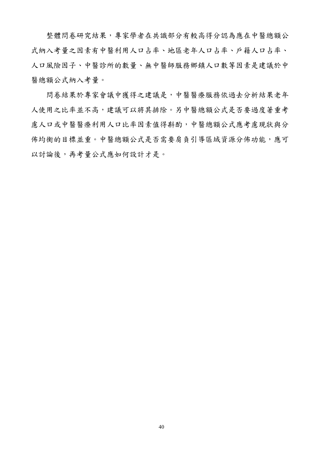整體問卷研究結果,專家學者在共識部分有較高得分認為應在中醫總額公 式納入考量之因素有中醫利用人口占率、地區老年人口占率、戶籍人口占率、 人口風險因子、中醫診所的數量、無中醫師服務鄉鎮人口數等因素是建議於中 醫總額公式納入考量。

問卷結果於專家會議中獲得之建議是,中醫醫療服務依過去分析結果老年 人使用之比率並不高,建議可以將其排除。另中醫總額公式是否要過度著重考 慮人口或中醫醫療利用人口比率因素值得斟酌,中醫總額公式應考慮現狀與分 佈均衡的目標並重。中醫總額公式是否需要肩負引導區域資源分佈功能,應可 以討論後,再考量公式應如何設計才是。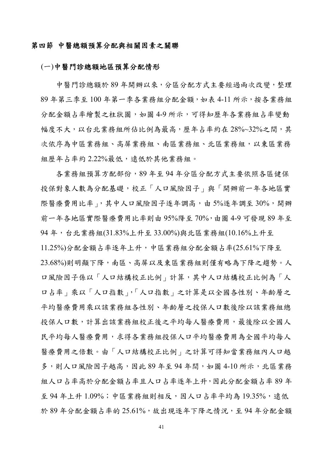## 第四節 中醫總額預算分配與相關因素之關聯

#### (一)中醫門診總額地區預算分配情形

中醫門診總額於 89 年開辦以來,分區分配方式主要經過兩次改變,整理 89 年第三季至 100 年第一季各業務組分配金額,如表 4-11 所示,按各業務組 分配金額占率繪製之柱狀圖,如圖 4-9 所示,可得知歷年各業務組占率變動 幅度不大,以台北業務組所佔比例為最高,歷年占率約在 28%~32%之間,其 次依序為中區業務組、高屏業務組、南區業務組、北區業務組,以東區業務 組歷年占率約 2.22%最低,遠低於其他業務組。

各業務組預算方配部份,89 年至 94 年分區分配方式主要依照各區健保 投保對象人數為分配基礎,校正「人口風險因子」與「開辦前一年各地區實 際醫療費用比率」,其中人口風險因子逐年調高,由 5%逐年調至 30%,開辦 前一年各地區實際醫療費用比率則由 95%降至 70%,由圖 4-9 可發現 89 年至 94 年,台北業務組(31.83%上升至 33.00%)與北區業務組(10.16%上升至 11.25%)分配金額占率逐年上升,中區業務組分配金額占率(25.61%下降至 23.68%)則明顯下降,南區、高屏以及東區業務組則僅有略為下降之趨勢。人 口風險因子係以「人口結構校正比例」計算,其中人口結構校正比例為「人 口占率」乘以「人口指數」,「人口指數」之計算是以全國各性別、年齡層之 平均醫療費用乘以該業務組各性別、年齡層之投保人口數後除以該業務組總 投保人口數,計算出該業務組校正後之平均每人醫療費用,最後除以全國人 民平均每人醫療費用,求得各業務組投保人口平均醫療費用為全國平均每人 醫療費用之倍數。由「人口結構校正比例」之計算可得知當業務組內人口越 多,則人口風險因子越高,因此 89 年至 94 年間,如圖 4-10 所示,北區業務 組人口占率高於分配金額占率且人口占率逐年上升,因此分配金額占率 89 年 至 94年上升1.09%;中區業務組則相反,因人口占率平均為19.35%,遠低 於 89年分配金額占率的 25.61%,故出現逐年下降之情況,至 94年分配金額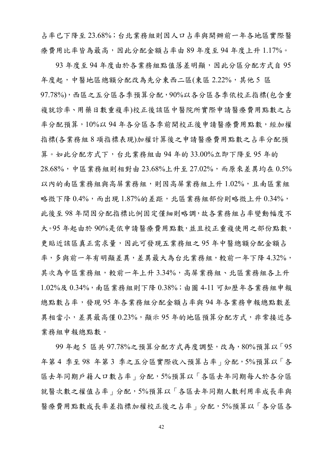占率已下降至 23.68%;台北業務組則因人口占率與開辦前一年各地區實際醫 療費用比率皆為最高,因此分配金額占率由 89 年度至 94 年度上升 1.17%。

93 年度至 94 年度由於各業務組點值落差明顯,因此分區分配方式自 95 年度起,中醫地區總額分配改為先分東西二區(東區 2.22%,其他 5 區 97.78%),西區之五分區各季預算分配,90%以各分區各季依校正指標(包含重 複就診率、用藥日數重複率)校正後該區中醫院所實際申請醫療費用點數之占 率分配預算,10%以94年各分區各季前開校正後申請醫療費用點數,經加權 指標(各業務組 8 項指標表現)加權計算後之申請醫療費用點數之占率分配預 算。如此分配方式下,台北業務組由 94 年的 33.00%立即下降至 95 年的 28.68%,中區業務組則相對由 23.68%上升至 27.02%,而原來差異均在 0.5% 以內的南區業務組與高屏業務組入局局屏業務組上升 1.02%,且南區業組 略微下降  $0.4\%$ ,而出現 1.87%的差距,北區業務組部份則略微上升  $0.34\%$ , 此後至 98 年間因分配指標比例固定僅細則略調,故各業務組占率變動幅度不 大。95 年起由於 90%是依申請醫療費用點數,並且校正重複使用之部份點數, 更貼近該區真正需求量,因此可發現五業務組之95年中醫總額分配金額占 率,多與前一年有明顯差異,差異最大為台北業務組,較前一年下降4.32%, 其次為中區業務組,較前一年上升 3.34%,高屏業務組、北區業務組各上升 1.02%及 0.34%,南區業務組則下降 0.38%;由圖 4-11 可知歷年各業務組申報 總點數占率,發現 95 年各業務組分配金額占率與 94 年各業務申報總點數差 異相當小,差異最高僅 0.23%,顯示 95 年的地區預算分配方式,非常接近各 業務組申報總點數。

99 年起 5 區共 97.78%之預算分配方式再度調整,改為,80%預算以「95 年第4季至98年第3季之五分區實際收入預算占率,分配,5%預算以「各 區去年同期戶籍人口數占率」分配,5%預算以「各區去年同期每人於各分區 就醫次數之權值占率」分配,5%預算以「各區去年同期人數利用率成長率與 醫療費用點數成長率差指標加權校正後之占率」分配,5%預算以「各分區各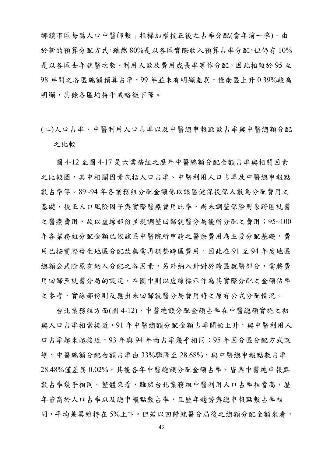鄉鎮市區每萬人口中醫師數」指標加權校正後之占率分配(當年前一季)。由 於新的預算分配方式,雖然 80%是以各區實際收入預算占率分配,但仍有 10% 是以各區去年就醫次數、利用人數及費用成長率等作分配,因此相較於 95 至 98 年間之各區總額預算占率,99 年並未有明顯差異,僅南區上升 0.39%較為 明顯,其餘各區均持平或略微下降。

(二)人口占率、中醫利用人口占率以及中醫總申報點數占率與中醫總額分配 之比較

圖 4-12 至圖 4-17 是六業務組之歷年中醫總額分配金額占率與相關因素 之比較圖,其中相關因素包括人口占率、中醫利用人口占率及中醫總申報點 數占率等。89~94 年各業務組分配金額係以該區健保投保人數為分配費用之 基礎,校正人口風險因子與實際醫療費用比率,尚未調整保險對象跨區就醫 之醫療費用,故以虛線部份呈現調整回歸就醫分局後所分配之費用;95~100 年各業務組分配金額已依該區中醫院所申請之醫療費用為主要分配基礎,費 用已按實際發生地區分配故無需再調整跨區費用。因此在 91 至 94 年度地區 總額公式除原有納入分配之各因素,另外納入針對於跨區就醫部分,需將費 用回歸至就醫分局的設定,在圖中則以虛線標示作為其實際分配之金額佔率 之參考,實線部份則反應出未回歸就醫分局費用時之原有公式分配情況。

台北業務組方面(圖 4-12),中醫總額分配金額占率在中醫總額實施之初 與人口占率相當接近,91年中醫總額分配金額占率開始上升,與中醫利用人 口占率越來越接近,93 年與 94 年兩占率幾乎相同;95 年因分區分配方式改 變,中醫總額分配金額占率由 33%驟降至 28.68%,與中醫總申報點數占率  $28.48\%$ 僅差異  $0.02\%$ ,其後各年中醫總額分配金額占率,皆與中醫總申報點 數占率幾乎相同。整體來看,雖然台北業務組中醫利用人口占率相當高,歷 年皆高於人口占率以及總申報點數占率,且歷年趨勢與總申報點數占率相 同,平均差異維持在 5%上下。但若以回歸就醫分局後之總額分配金額來看,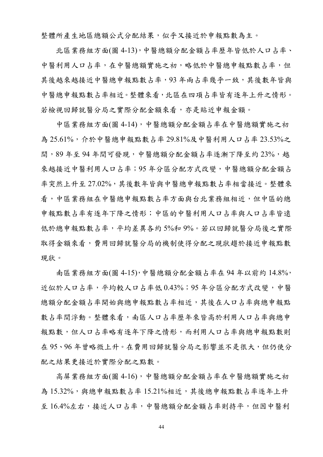整體所產生地區總額公式分配結果,似乎又接近於申報點數為主。

北區業務組方面(圖 4-13),中醫總額分配金額占率歷年皆低於人口占率、 中醫利用人口占率,在中醫總額實施之初,略低於中醫總申報點數占率,但 其後越來越接近中醫總申報點數占率,93年兩占率幾乎一致,其後數年皆與 中醫總申報點數占率相近。整體來看,北區在四項占率皆有逐年上升之情形。 若檢視回歸就醫分局之實際分配金額來看,亦是貼近申報金額。

中區業務組方面(圖 4-14),中醫總額分配金額占率在中醫總額實施之初 為 25.61%,介於中醫總申報點數占率 29.81%及中醫利用人口占率 23.53%之 間,89年至94年間可發現,中醫總額分配金額占率逐漸下降至約23%,越 來越接近中醫利用人口占率;95年分區分配方式改變,中醫總額分配金額占 率突然上升至 27.02%,其後數年皆與中醫總申報點數占率相當接近。整體來 看,中區業務組在中醫總申報點數占率方面與台北業務組相近,但中區的總 申報點數占率有逐年下降之情形;中區的中醫利用人口占率與人口占率皆遠 低於總申報點數占率,平均差異各約 5%和 9%。若以回歸就醫分局後之實際 取得金額來看,費用回歸就醫分局的機制使得分配之現狀趨於接近申報點數 現狀。

南區業務組方面(圖 4-15),中醫總額分配金額占率在 94 年以前約 14.8%, 近似於人口占率人口占率低 0.43%;95 年分區分配方式改變,中醫 總額分配金額占率開始與總申報點數占率相近,其後在人口占率與總申報點 數占率間浮動。整體來看,南區人口占率歷年來皆高於利用人口占率與總申 報點數,但人口占率略有逐年下降之情形,而利用人口占率與總申報點數則 在 95、96年曾略微上升。在費用回歸就醫分局之影響並不是很大,但仍使分 配之結果更接近於實際分配之點數。

高屏業務組方面(圖 4-16),中醫總額分配金額占率在中醫總額實施之初 為 15.32%,與總申報點數占率 15.21%相近,其後總申報點數占率逐年上升 至 16.4%左右,接近人口占率,中醫總額分配金額占率則持平,但因中醫利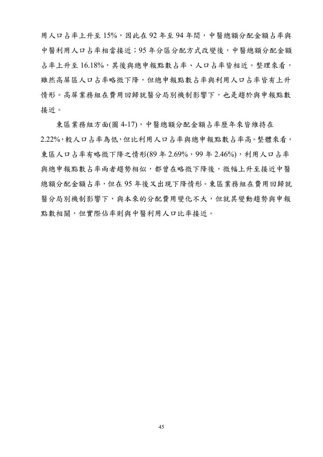用人口占率上升至 15%,因此在 92 年至 94 年間,中醫總額分配金額占率與 中醫利用人口占率相當接近;95 年分區分配方式改變後,中醫總額分配金額 占率上升至 16.18%,其後與總申報點數占率、人口占率皆相近。整理來看, 雖然高屏區人口占率略微下降,但總申報點數占率與利用人口占率皆有上升 情形。高屏業務組在費用回歸就醫分局別機制影響下,也是趨於與申報點數 接近。

東區業務組方面(圖 4-17),中醫總額分配金額占率歷年來皆維持在 2.22%,較人口占率為低,但比利用人口占率與總申報點數占率高。整體來看, 東區人口占率有略微下降之情形(89年2.69%,99年2.46%),利用人口占率 與總申報點數占率兩者趨勢相似,都曾在略微下降後,微幅上升至接近中醫 總額分配金額占率,但在 95 年後又出現下降情形。東區業務組在費用回歸就 醫分局別機制影響下,與本來的分配費用變化不大,但就其變動趨勢與申報 點數相關,但實際佔率則與中醫利用人口比率接近。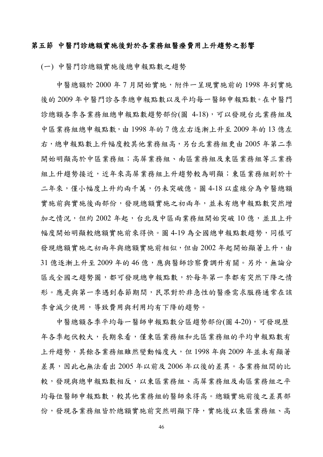## 第五節 中醫門診總額實施後對於各業務組醫療費用上升趨勢之影響

(一) 中醫門診總額實施後總申報點數之趨勢

中醫總額於 2000 年 7 月開始實施,附件一呈現實施前的 1998 年到實施 後的 2009 年中醫門診各季總申報點數以及平均每一醫師申報點數。在中醫門 診總額各季各業務組總申報點數趨勢部份(圖 4-18),可以發現台北業務組及 中區業務組總申報點數,由 1998 年的 7 億左右逐漸上升至 2009 年的 13 億左 右,總申報點數上升幅度較其他業務組高,另台北業務組更由 2005 年第二季 開始明顯高於中區業務組;高屏業務組、南區業務組及東區業務組等三業務 組上升趨勢接近,近年來高屏業務組上升趨勢較為明顯;東區業務組則於十 二年來,僅小幅度上升約兩千萬,仍未突破億。圖 4-18 以虛線分為中醫總額 實施前與實施後兩部份,發現總額實施之初兩年,並未有總申報點數突然增 加之情況,但約 2002 年起,台北及中區兩業務組開始突破 10 億,並且上升 幅度開始明顯較總額實施前來得快。圖 4-19 為全國總申報點數趨勢,同樣可 發現總額實施入再與總額實施前相似,但由 2002 年起開始顯著上升,由 31 億逐漸上升至 2009 年的 46 億,應與醫師診察費調升有關。另外,無論分 區或全國之趨勢圖,都可發現總申報點數,於每年第一季都有突然下降之情 形。應是與第一季遇到春節期間,民眾對於非急性的醫療需求服務通常在該 季會減少使用,導致費用與利用均有下降的趨勢。

中醫總額各季平均每一醫師申報點數分區趨勢部份(圖 4-20),可發現歷 年各季起伏較大,長期來看,僅東區業務組和北區業務組的平均申報點數有 上升趨勢,其餘各業務組雖然變動幅度大,但 1998 年與 2009 年並未有顯著 差異,因此也無法看出 2005 年以前及 2006 年以後的差異。各業務組間的比 較,發現與總申報點數相反,以東區業務組、高屏業務組及南區業務組之平 均每位醫師申報點數,較其他業務組的醫師來得高。總額實施前後之差異部 份,發現各業務組皆於總額實施前突然明顯下降,實施後以東區業務組、高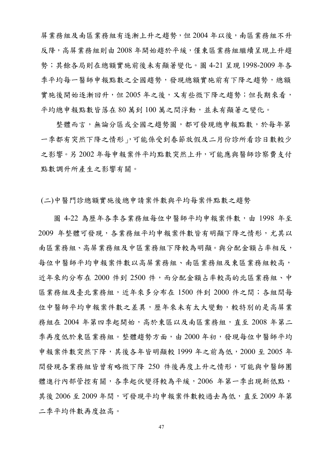屏業務組及南區業務組有逐漸上升之趨勢,但 2004 年以後,南區業務組不升 反降,高屏業務組則由 2008 年開始趨於平緩,僅東區業務組繼續呈現上升趨 勢;其餘各局則在總額實施前後未有顯著變化。圖 4-21 呈現 1998-2009 年各 季平均每一醫師申報點數之全國趨勢,發現總額實施前有下降之趨勢,總額 實施後開始逐漸回升,但 2005年之後,又有些微下降之趨勢;但長期來看, 平均總申報點數皆落在 80 萬到 100 萬之間浮動,並未有顯著之變化。

整體而言,無論分區或全國之趨勢圖,都可發現總申報點數,於每年第 一季都有突然下降之情形」,可能係受到春節放假及二月份診所看診日數較少 之影響。另 2002 年每申報案件平均點數突然上升,可能應與醫師診察費支付 點數調升所產生之影響有關。

(二)中醫門診總額實施後總申請案件數與平均每案件點數之趨勢

圖 4-22 為歷年各季各業務組每位中醫師平均申報案件數,由 1998 年至 2009 年整體可發現,各業務組平均申報案件數皆有明顯下降之情形,尤其以 南區業務組、高屏業務組及中區業務組下降較為明顯。與分配金額占率相反, 每位中醫師平均申報案件數以高屏業務組、南區業務組及東區業務組較高, 近年來約分布在 2000 件到 2500 件,而分配金額占率較高的北區業務組、中 區業務組及臺北業務組,近年來多分布在 1500 件到 2000 件之間;各組間每 位中醫師平均申報案件數之差異,歷年來未有太大變動,較特別的是高屏業 務組在 2004年第四季起開始,高於東區以及南區業務組,直至 2008年第二 季再度低於東區業務組。整體趨勢方面,由 2000 年初,發現每位中醫師平均 申報案件數突然下降,其後各年皆明顯較 1999 年之前為低, 2000 至 2005 年 間發現各業務組皆曾有略微下降 250 件後再度上升之情形,可能與中醫師團 體進行內部管控有關,各季起伏變得較為平緩,2006年第一季出現新低點, 其後 2006 至 2009 年間,可發現平均申報案件數較過去為低, 直至 2009 年第 二季平均件數再度拉高。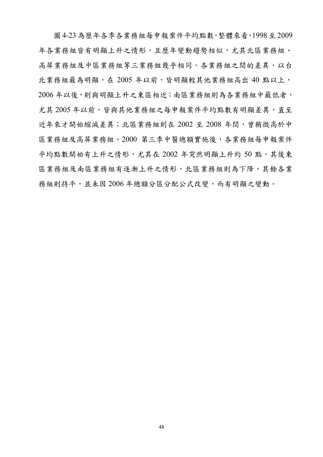圖 4-23 為歷年各季各業務組每申報案件平均點數,整體來看,1998至 2009 年各業務組皆有明顯上升之情形,且歷年變動趨勢相似,尤其北區業務組、 高屏業務組及中區業務組等三業務組幾乎相同。各業務組之間的差異,以台 北業務組最為明顯,在 2005年以前,皆明顯較其他業務組高出40點以上, 2006年以後,則與明顯上升之東區相近;南區業務組則為各業務組中最低者, 尤其 2005年以前,皆與其他業務組之每申報案件平均點數有明顯差異,直至 近年來才開始縮減差異;北區業務組則在 2002 至 2008 年間,曾稍微高於中 區業務組及高屏業務組。2000 第三季中醫總額實施後,各業務組每申報案件 平均點數開始有上升之情形,尤其在 2002 年突然明顯上升約 50 點,其後東 區業務組及南區業務組有逐漸上升之情形,北區業務組則為下降,其餘各業 務組則持平,並未因 2006 年總額分區分配公式改變,而有明顯之變動。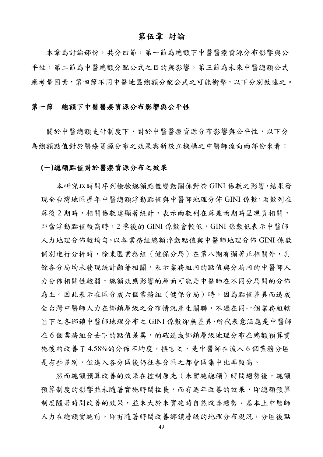# 第伍章 討論

本章為討論部份,共分四節,第一節為總額下中醫醫療資源分布影響與公 平性,第二節為中醫總額分配公式之目的與影響,第三節為未來中醫總額公式 應考量因素,第四節不同中醫地區總額分配公式之可能衝擊,以下分別敘述之。

## 第一節總額下中醫醫療資源分布影響與公平性

關於中醫總額支付制度下,對於中醫醫療資源分布影響與公平性,以下分 為總額點值對於醫療資源分布之效果與新設立機構之中醫師流向兩部份來看:

#### **(**一**)**總額點值對於醫療資源分布之效果

本研究以時間序列檢驗總額點值變動關係對於 GINI 係數之影響,結果發 現全台灣地區歷年中醫總額浮動點值與中醫師地理分佈 GINI 係數,兩數列在 落後 2 期時,相關係數達顯著統計,表示兩數列在落差兩期時呈現負相關, 即當浮動點值較高時,2 季後的 GINI 係數會較低,GINI 係數低表示中醫師 人力地理分佈較均勻。以各業務組總額浮動點值與中醫師地理分佈 GINI 係數 個別進行分析時,除東區業務組(健保分局)在第八期有顯著正相關外,其 餘各分局均未發現統計顯著相關,表示業務組內的點值與分局內的中醫師人 力分佈相關性較弱,總額效應影響的層面可能是中醫師在不同分局間的分佈 為主。因此表示在區分成六個業務組(健保分局)時,因為點值差異而造成 全台灣中醫師人力在鄉鎮層級之分布情況產生關聯,不過在同一個業務組轄 區下之各鄉鎮中醫師地理分布之 GINI 係數卻無差異,所代表意涵應是中醫師 在 6 個業務組分去下的點值差異,的確造成鄉鎮層級地理分布在總額預算實 施後約改善了 4.58%的分佈不均度,換言之,是中醫師在流入 6 個業務分區 是有些差別,但進入各分區後仍往各分區之都會區集中比率較高。

然而總額預算改善的效果在控制原先(未實施總額)時間趨勢後,總額 預算制度的影響並未隨著實施時間拉長,而有逐年改善的效果,即總額預算 制度隨著時間改善的效果,並未大於未實施時自然改善趨勢。基本上中醫師 人力在總額實施前,即有隨著時間改善鄉鎮層級的地理分布現況,分區後點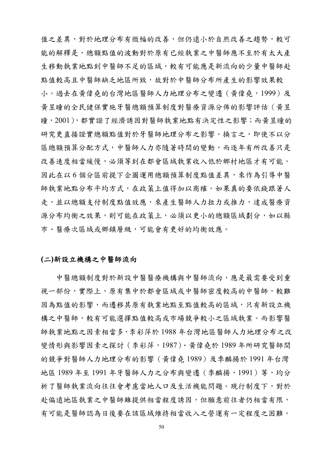值之差異,對於地理分布有微幅的改善,但仍遠小於自然改善之趨勢,較可 能的解釋是,總額點值的波動對於原有已經執業之中醫師應不至於有太大產 生移動執業地點到中醫師不足的區域,較有可能應是新流向的少量中醫師赴 點值較高且中醫師缺乏地區所致,故對於中醫師分布所產生的影響效果較 小。過去在黃偉堯的台灣地區醫師人力地理分布之變遷 (黃偉堯,1999)及 黃昱瞳的全民健保實施牙醫總額預算制度對醫療資源分佈的影響評估(黃昱 瞳, 2001), 都實證了經濟誘因對醫師執業地點有決定性之影響; 而黃昱瞳的 研究更直接證實總額點值對於牙醫師地理分布之影響。換言之,即使不以分 區總額預算分配方式,中醫師人力亦隨著時間的變動,而逐年有所改善只是 改善速度相當緩慢,必須等到在都會區域執業收入低於鄉村地區才有可能。 因此在以6個分區前提下企圖運用總額預算制度點值差異,來作為引導中醫 師執業地點分布平均方式,在政策上值得加以商榷。如果真的要依錢跟著人 走,並以總額支付制度點值效應,來產生醫師人力拉力或推力,達成醫療資 源分布均衡之效果,則可能在政策上,必須以更小的總額區域劃分,如以縣 市、醫療次區域或鄉鎮層級,可能會有更好的均衡效應。

## **(**二**)**新設立機構之中醫師流向

中醫總額制度對於新設中醫醫療機構與中醫師流向,應是最需要受到重 視一部份,實際上,原有集中於都會區域或中醫師密度較高的中醫師,較難 因為點值的影響,而遷移其原有執業地點至點值較高的區域,只有新設立機 構之中醫師,較有可能選擇點值較高或市場競爭較小之區域執業。而影響醫 師執業地點之因素相當多,李彩萍於 1988 年台灣地區醫師人力地理分布之改 變情形與影響因素之探討(李彩萍,1987)、黃偉堯於 1989 年所研究醫師間 的競爭對醫師人力地理分布的影響(黃偉堯 1989)及季麟揚於 1991 年台灣 地區 1989 年至 1991 年牙醫師人力之分布與變遷(季麟揚,1991)等,均分 析了醫師執業流向往往會考慮當地人口及生活機能問題。現行制度下,對於 赴偏遠地區執業之中醫師雖提供相當程度誘因,但願意前往者仍相當有限, 有可能是醫師認為日後要在該區域維持相當收入之營運有一定程度之困難。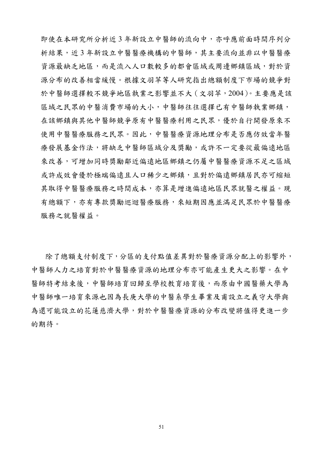即使在本研究所分析近 3 年新設立中醫師的流向中,亦呼應前面時間序列分 析結果,近 3 年新設立中醫醫療機構的中醫師,其主要流向並非以中醫醫療 資源最缺乏地區,而是流入人口數較多的都會區域或周邊鄉鎮區域,對於資 源分布的改善相當緩慢。根據文羽苹等人研究指出總額制度下市場的競爭對 於中醫師選擇較不競爭地區執業之影響並不大(文羽苹,2004)。主要應是該 區域之民眾的中醫消費市場的大小,中醫師往往選擇已有中醫師執業鄉鎮, 在該鄉鎮與其他中醫師競爭原有中醫醫療利用之民眾,優於自行開發原來不 使用中醫醫療服務之民眾。因此,中醫醫療資源地理分布是否應仿效當年醫 療發展基金作法,將缺乏中醫師區域分及獎勵,或許不一定要從最偏遠地區 來改善,可增加同時獎勵鄰近偏遠地區鄉鎮之仍屬中醫醫療資源不足之區域 或許成效會優於極端偏遠且人口稀少之鄉鎮,且對於偏遠鄉鎮居民亦可縮短 其取得中醫醫療服務之時間成本,亦算是增進偏遠地區民眾就醫之權益。現 有總額下,亦有專款獎勵巡迴醫療服務,來短期因應並滿足民眾於中醫醫療 服務之就醫權益。

除了總額支付制度下,分區的支付點值差異對於醫療資源分配上的影響外, 中醫師人力之培育對於中醫醫療資源的地理分布亦可能產生更大之影響。在中 醫師特考結束後,中醫師培育回歸至學校教育培育後,而原由中國醫藥大學為 中醫師唯一培育來源也因為長庚大學的中醫系學生畢業及甫設立之義守大學與 為還可能設立的花蓮慈濟大學,對於中醫醫療資源的分布改變將值得更進一步 的期待。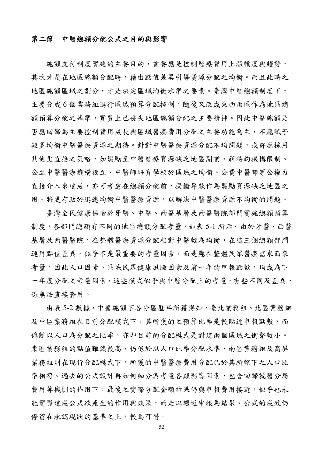## 第二節中醫總額分配公式之目的與影響

總額支付制度實施的主要目的,首要應是控制醫療費用上漲幅度與趨勢, 其次才是在地區總額分配時,藉由點值差異引導資源分配之均衡。而且此時之 地區總額區域之劃分,才是決定區域均衡水準之要素。臺灣中醫總額制度下, 主要分成 6 個業務組進行區域預算分配控制,隨後又改成東西兩區作為地區總 額預算分配之基準,實質上已喪失地區總額分配之主要精神。因此中醫總額是 否應回歸為主要控制費用成長與區域醫療費用分配之主要功能為主,不應賦予 較多均衡中醫醫療資源分配不均問題,或許應採用 其他更直接之策略,如獎勵至中醫醫療資源缺乏地區開業、新特約機構限制、 公立中醫醫療機構設立、中醫師培育學校於區域之均衡、公費中醫師等公權力 直接介入來達成,亦可考慮在總額分配前,提撥專款作為獎勵資源缺乏地區之 用。將更有助於迅速均衡中醫醫療,以解決中醫醫療資源不均衡的問題。

臺灣全民健康保險於牙醫、中醫、西醫基層及西醫醫院部門實施總額預算 制度,各部門總額有不同的地區總額分配考量,如表 5-1 所示。由於牙醫、西醫 基層及西醫醫院,在整體醫療資源分配相對中醫較為均衡,在這三個總額部門 運用點值差異,似乎不是最重要的考量因素,而是應在整體民眾醫療需求面來 考量,因此人口因素、區域民眾健康風險因素及前一年的申報點數,均成為下 一年度分配之考量因素,這些模式似乎與中醫分配上的考量,有些不同及差異, 恐無法直接套用。

由表 5-2 數據,中醫總額下各分區歷年所獲得知,臺北業務組、北區業務組 及中區業務組在目前分配模式下,其所獲的之預算比率是較貼近申報點數,而 偏離以人口為分配之比率,亦即目前的分配模式是對這兩個區域之衝擊較小。 東區業務組的點值雖然較高,仍低於以人口比率分配水準,南區業務組及高屏 業務組則在現行分配模式下,所獲的中醫醫療費用分配已於其所轄下之人口比 率相符。過去的公式設計再如何細分與考量各類影響因素,包含回歸就醫分局 費用等機制的作用下,最後之實際分配金額結果仍與申報費用接近,似乎也未 能實際達成公式欲產生的作用與效果,而是以趨近申報為結果。公式的成效仍 停留在承認現狀的基準之上,較為可惜。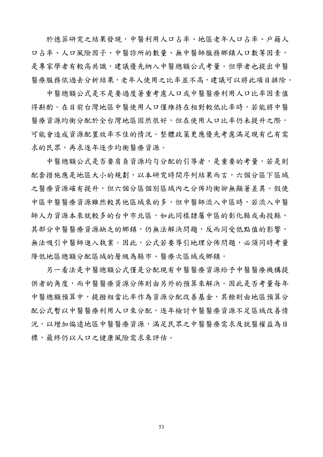於德菲研究之結果發現,中醫利用人口占率、地區老年人口占率、戶籍人 口占率、人口風險因子、中醫診所的數量、無中醫師服務鄉鎮人口數等因素, 是專家學者有較高共識,建議優先納入中醫總額公式考量。但學者也提出中醫 醫療服務依過去分析結果,老年人使用之比率並不高,建議可以將此項目排除。

中醫總額公式是不是要過度著重考慮人口或中醫醫療利用人口比率因素值 得斟酌。在目前台灣地區中醫使用人口僅維持在相對較低比率時,若能將中醫 醫療資源均衡分配於全台灣地區固然很好,但在使用人口比率仍未提升之際, 可能會造成資源配置效率不佳的情況。整體政策更應優先考慮滿足現有已有需 求的民眾,再求逐年逐步均衡醫療資源。

中醫總額公式是否要肩負資源均勻分配的引導者,是重要的考量,若是則 配套措施應是地區大小的規劃,以本研究時間序列結果而言,六個分區下區域 之醫療資源確有提升,但六個分區個別區域內之分佈均衡卻無顯著差異。假使 中區中醫醫療資源雖然較其他區域來的多,但中醫師流入中區時,若流入中醫 師人力資源本來就較多的台中市北區,如此同樣隸屬中區的彰化縣或南投縣, 其部分中醫醫療資源缺乏的鄉鎮,仍無法解決問題,反而同受低點值的影響, 無法吸引中醫師進入執業。因此,公式若要導引地理分佈問題,必須同時考量 降低地區總額分配區域的層級為縣市、醫療次區域或鄉鎮。

另一看法是中醫總額公式僅是分配現有中醫醫療資源給予中醫醫療機構提 供者的角度,而中醫醫療資源分佈則由另外的預算來解決。因此是否考量每年 中醫總額預算中,提撥相當比率作為資源分配改善基金,其餘則由地區預算分 配公式暫以中醫醫療利用人口來分配,逐年檢討中醫醫療資源不足區域改善情 況,以增加偏遠地區中醫醫療及眾生中醫醫療需求及就醫權益為目 標,最終仍以人口之健康風險需求來評估。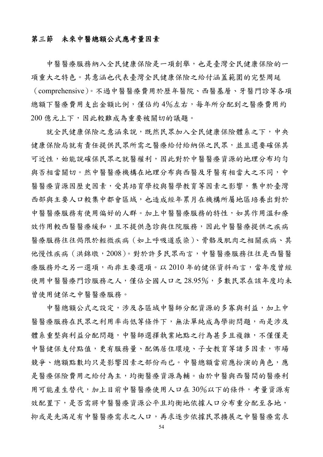## 第三節未來中醫總額公式應考量因素

中醫醫療服務納入全民健康保險是一項創舉,也是臺灣全民健康保險的一 項重大之特色。其意涵也代表臺灣全民健康保險之給付涵蓋範圍的完整周延 (comprehensive)。不過中醫醫療費用於歷年醫院、西醫基層、牙醫門診等各項 總額下醫療費用支出金額比例,僅佔約4%左右,每年所分配到之醫療費用約 200 億元上下,因此較難成為重要被關切的議題。

就全民健康保險之意涵來說,既然民眾加入全民健康保險體系之下,中央 健康保險局就有責任提供民眾所需之醫療給付給納保之民眾,並且還要確保其 可近性,始能說確保民眾之就醫權利,因此對於中醫醫療資源的地理分布均勻 與否相當關切。然中醫醫療機構在地理分布與西醫及牙醫有相當大之不同,中 醫醫療資源因歷史因素,受其培育學校與醫學教育等因素之影響,集中於臺灣 西部與主要人口較集中都會區域,也造成經年累月在機構所屬地區培養出對於 中醫醫療服務的特性,如其作用溫和療 效作用較西醫醫療緩和,且不提供急診與住院服務,因此中醫醫療提供之疾病 醫療服務往往侷限於輕微疾病(如上呼吸道感染)、骨骼及肌肉之相關疾病、其 他慢性疾病(洪錦墩,2008)。對於許多民眾而言,中醫醫療服務往往是西醫醫 療服務外之另一選項,而非主要選項。以 2010 年的健保資料而言,當年度曾經 使用中醫醫療門診服務之人,僅佔全國人口之28.95%,多數民眾在該年度均未 曾使用健保之中醫醫療服務。

中醫總額公式之設定,涉及各區域中醫師分配資源的多寡與利益,加上中 醫醫療服務在民眾之利用率尚低等條件下,無法單純成為學術問題,而是涉及 體系重整與利益分配問題,中醫師選擇執業地點之行為甚多且複雜,不僅僅是 中醫健保支付點值,更有服務量、配偶居住環境、子女教育等諸多因素,市場 競爭、總額點數均只是影響因素之部份而已。中醫總額當前應扮演的角色,應 是醫療保險費用之給付為主,均衡醫療資源為輔。由於中醫與西醫間的醫療利 用可能產生替代,加上目前中醫醫療使用人口在 30%以下的條件,考量資源有 效配置下,是否需將中醫醫療資源公平且均衡地依據人口分布重分配至各地, 抑或是先滿足有中醫醫療需求之人口,再求逐步依據民眾擴展之中醫醫療需求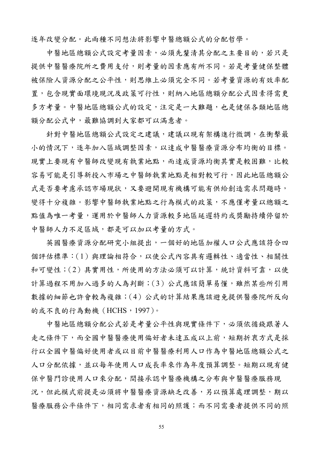逐年改變分配。此兩種不同想法將影響中醫總額公式的分配哲學。

中醫地區總額公式設定考量因素,必須先釐清其分配之主要目的,若只是 提供中醫醫療院所之費用支付,則考量的因素應有所不同。若是考量健保整體 被保險人資源分配之公平性,則思維上必須完全不同。若考量資源的有效率配 置,包含現實面環境現況及政策可行性,則納入地區總額分配公式因素得需更 多方考量。中醫地區總額公式的設定,注定是一大難題,也是健保各類地區總 額分配公式中,最難協調到大家都可以滿意者。

針對中醫地區總額公式設定之建議,建議以現有架構進行微調,在衝擊最 小的情況下,逐年加入區域調整因素,以達成中醫醫療資源分布均衡的目標。 現實上要現有中醫師改變現有執業地點,而達成資源均衡其實是較困難,比較 容易可能是引導新投入市場之中醫師執業地點是相對較可行,因此地區總額公 式是否要考慮承認市場現狀,又要避開現有機構可能有供給創造需求問題時, 變得十分複雜。影響中醫師執業地點之行為模式的政策,不應僅考量以總額之 點值為唯一考量,運用於中醫師人力資源較多地區延遲特約或獎勵持續停留於 中醫師人力不足區域,都是可以加以考量的方式。

英國醫療資源分配研究小組提出,一個好的地區加權人口公式應該符合四 個評估標準:(1)與理論相符合,以使公式內容具有邏輯性、適當性、相關性 和可變性;(2)具實用性,所使用的方法必須可以計算,統計資料可靠,以使 計算過程不用加入過多的人為判斷;(3)公式應該簡單易懂,雖然某些所引用 數據的細節也許會較為複雜;(4)公式的計算結果應該避免提供醫療院所反向 的或不良的行為動機 (HCHS, 1997)。

中醫地區總額分配公式若是考量公平性與現實條件下,必須依循錢跟著人 走之條件下,而全國中醫醫療使用偏好者未達五成以上前,短期折衷方式是採 行以全國中醫偏好使用者或以目前中醫醫療利用人口作為中醫地區總額公式之 人口分配依據,並以每年使用人口成長率來作為年度預算調整。短期以現有健 保中醫門診使用人口來分配,間接承認中醫療機構之分布與中醫醫療服務現 況,但此模式前提是必須將中醫醫療資源缺乏改善,另以預算處理調整,期以 醫療服務公平條件下,相同需求者有相同的照護;而不同需要者提供不同的照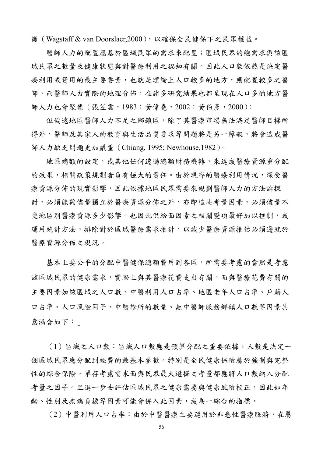護(Wagstaff & van Doorslaer,2000),以確保全民健保下之民眾權益。

醫師人力的配置應基於區域民眾的需求來配置;區域民眾的總需求與該區 域民眾之數量及健康狀態與對醫療利用之認知有關。因此人口數依然是決定醫 療利用或費用的最主要要素,也就是理論上人口較多的地方,應配置較多之醫 師,而醫師人力實際的地理分佈,在諸多研究結果也都呈現在人口多的地方醫 師人力也會聚集 ( 張苙雲, 1983; 黃偉堯, 2002; 黃伯彥, 2000);

但偏遠地區醫師人力不足之鄉鎮區,除了其醫療市場無法滿足醫師目標所 得外,醫師及其家人的教育與生活品質要求等問題將是另一障礙,將會造成醫 師人力缺乏問題更加嚴重(Chiang, 1995; Newhouse,1982)。

地區總額的設定,或其他任何透過總額財務機轉,來達成醫療資源重分配 的效果,相關政策規劃者負有極大的責任。由於現存的醫療利用情況,深受醫 療資源分佈的現實影響,因此依據地區民眾需要來規劃醫師人力的方法論探 討,必須能夠儘量獨立於醫療資源分佈之外,亦即這些考量因素,必須儘量不 受地區別醫療資源多少影響。也因此供給面因素之相關變項最好加以控制,或 運用統計方法,排除對於區域醫療需求推計,以減少醫療資源推估必須遷就於 醫療資源分佈之現況。

基本上要公平的分配中醫健保總額費用到各區,所需要考慮的當然是考慮 該區域民眾的健康需求,實際上與其醫療花費支出有關。而與醫療花費有關的 主要因素如該區域之人口數、中醫利用人口占率、地區老年人口占率、戶籍人 口占率、人口風險因子、中醫診所的數量、無中醫師服務鄉鎮人口數等因素其 意涵含如下:

(1)區域之人口數:區域人口數應是預算分配之重要依據,人數是決定一 個區域民眾應分配到經費的最基本參數。特別是全民健康保險屬於強制與完整 性的綜合保險,單存考慮需求面與民眾最大選擇之考量都應將人口數納入分配 考量之因子。且進一步去評估區域民眾之健康需要與健康風險校正,因此如年 齡、性別及疾病負擔等因素可能會併入此因素,成為一綜合的指標。

(2)中醫利用人口占率:由於中醫醫療主要運用於非急性醫療服務,在屬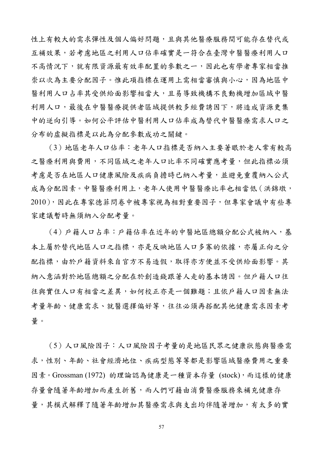性上有較大的需求彈性及個人偏好問題,且與其他醫療服務間可能存在替代或 互補效果,若考慮地區之利用人口佔率確實是一符合在臺灣中醫醫療利用人口 不高情況下,就有限資源最有效率配置的參數之一,因此也有學者專家相當推 崇以次為主要分配因子。惟此項指標在運用上需相當審慎與小心,因為地區中 醫利用人口占率其受供給面影響相當大,且易導致機構不良動機增加區域中醫 利用人口,最後在中醫醫療提供者區域提供較多經費誘因下,將造成資源更集 中的逆向引導。如何公平評估中醫利用人口佔率成為替代中醫醫療需求人口之 分布的虛擬指標是以此為分配參數成功之關鍵。

(3)地區老年人口佔率:老年人口指標是否納入主要著眼於老人常有較高 之醫療利用與費用,不同區域之老年人口比率不同確實應考量,但此指標必須 考慮是否在地區人口健康風險及疾病負擔時已納入考量,並避免重覆納入公式 成為分配因素。中醫醫療利用上,老年人使用中醫醫療比率也相當低(洪錦墩, 2010),因此在專家德菲問卷中被專家視為相對重要因子,但專家會議中有些專 家建議暫時無須納入分配考量。

(4)戶籍人口占率:戶籍佔率在近年的中醫地區總額分配公式被納入,基 本上屬於替代地區人口之指標,亦是反映地區人口多寡的依據,亦屬正向之分 配指標,由於戶籍資料來自官方不易造假,取得亦方便並不受供給面影響。其 納入意涵對於地區總額之分配在於創造錢跟著人走的基本誘因。但戶籍人口往 往與實住人口有相當之差異,如何校正亦是一個難題;且依戶籍人口因素無法 考量年齡、健康需求、就醫選擇偏好等,往往必須再搭配其他健康需求因素考 量。

(5)人口風險因子:人口風險因子考量的是地區民眾之健康狀態與醫療需 求,性別、年齡、社會經濟地位、疾病型態等等都是影響區域醫療費用之重要 因素。Grossman (1972) 的理論認為健康是一種資本存量 (stock), 而這樣的健康 存量會隨著年齡增加而產生折舊,而人們可藉由消費醫療服務來補充健康存 量,其模式解釋了隨著年齡增加其醫療需求與支出均伴隨著增加,有太多的實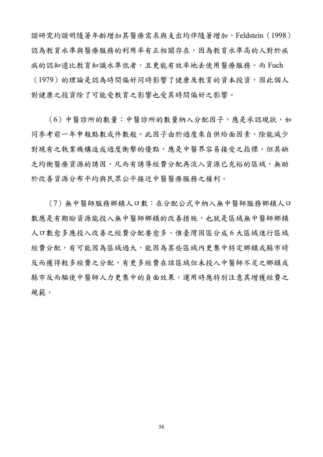證研究均證明隨著年齡增加其醫療需求與支出均伴隨著增加,Feldstein(1998) 認為教育水準與醫療服務的利用率有正相關存在,因為教育水準高的人對於疾 病的認知遠比教育知識水準低者,且更能有效率地去使用醫療服務。而 Fuch (1979)的理論是認為時間偏好同時影響了健康及教育的資本投資,因此個人 對健康之投資除了可能受教育之影響也受其時間偏好之影響。

(6)中醫診所的數量:中醫診所的數量納入分配因子,應是承認現狀,如 同參考前一年申報點數或件數般。此因子由於過度來自供給面因素,除能減少 對現有之執業機構造成過度衝擊的優點,應是中醫界容易接受之指標。但其缺 乏均衡醫療資源的誘因,凡而有誘導經費分配再流入資源已充裕的區域,無助 於改善資源分布平均與民眾公平接近中醫醫療服務之權利。

(7)無中醫師服務鄉鎮人口數:在分配公式中納入無中醫師服務鄉鎮人口 數應是有期盼資源能投入無中醫師鄉鎮的改善措施,也就是區域無中醫師鄉鎮 人口數愈多應投入改善之經費分配要愈多。惟臺灣因區分成 6 大區域進行區域 經費分配,有可能因為區域過大,能因為某些區域內更集中特定鄉鎮或縣市時 反而獲得較多經費之分配,有更多經費在該區域但未投入中醫師不足之鄉鎮或 縣市反而驅使中醫師人力更集中的負面效果。運用時應特別注意其增獲經費之 規範。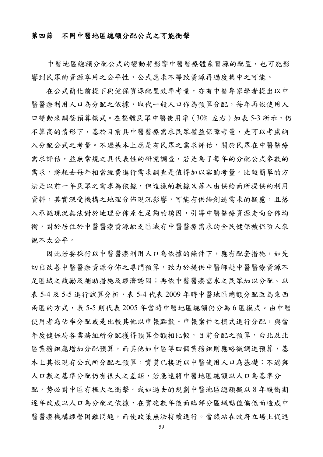#### 第四節不同中醫地區總額分配公式之可能衝擊

中醫地區總額分配公式的變動將影響中醫醫療體系資源的配置,也可能影 響到民眾的資源享用之公平性,公式應求不導致資源再過度集中之可能。

在公式簡化前提下與健保資源配置效率考量,亦有中醫專家學者提出以中 醫醫療利用人口為分配之依據,取代一般人口作為預算分配,每年再依使用人 口變動來調整預算模式。在整體民眾中醫使用率(30%左右)如表 5-3 所示,仍 不算高的情形下,基於目前具中醫醫療需求民眾權益保障考量,是可以考慮納 入分配公式之考量。不過基本上應是有民眾之需求評估,關於民眾在中醫醫療 需求評估,並無常規之具代表性的研究調查,若是為了每年的分配公式參數的 需求,將耗去每年相當經費進行需求調查是值得加以審酌考量。比較簡單的方 法是以前一年民眾之需求為依據,但這樣的數據又落入由供給面所提供的利用 資料,其實深受機構之地理分佈現況影響,可能有供給創造需求的疑慮,且落 入承認現況無法對於地理分佈產生足夠的誘因,引導中醫醫療資源走向分佈均 衡,對於居住於中醫醫療設有中醫醫療需求的全民健保被保險人來 說不太公平。

因此若要採行以中醫醫療利用人口為依據的條件下,應有配套措施,如先 切出改善中醫醫療資源分佈之專門預算,致力於提供中醫師赴中醫醫療資源不 足區域之鼓勵及補助措施及經濟誘因;再依中醫醫療需求之民眾加以分配。以 表 5-4 及 5-5 進行試算分析,表 5-4 代表 2009 年時中醫地區總額分配改為東西 兩區的方式,表 5-5 則代表 2005 年當時中醫地區總額仍分為 6 區模式。由中醫 使用者為佔率分配或是比較其他以申報點數、申報案件之模式進行分配,與當 年度健保局各業務組所分配獲得預算金額相比較,目前分配之預算,台北及北 區業務組應增加分配預算,而其他如中區等四個業務組則應略微調進預算,基 本上其依現有公式所分配之預算,實質已接近以中醫使用人口為基礎;不過與 人口數之基準分配仍有很大之差距,若急速將中醫地區總額以人口為基準分 配,勢必對中區有極大之衝擊。或如過去的規劃中醫地區總額擬以 8 年緩衝期 逐年改成以人口為分配之依據,在實施數年後面臨部分區域點值偏低而造成中 醫醫療機構經營困難問題,而使政策無法持續進行。當然站在政府立場上促進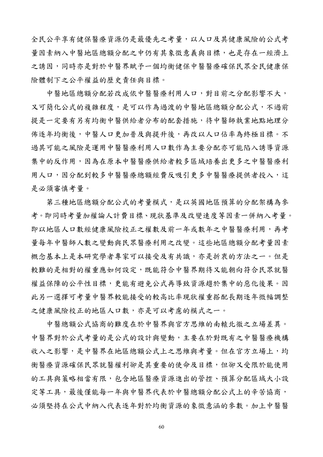全民公平享有健保醫療資源仍是最優先之考量,以人口及其健康風險的公式考 量因素納入中醫地區總額分配之中仍有其象徵意義與目標,也是存在一經濟上 之誘因,同時亦是對於中醫界賦予一個均衡健保中醫醫療確保民眾全民健康保 險體制下之公平權益的歷史責任與目標。

 中醫地區總額分配若改成依中醫醫療利用人口,對目前之分配影響不大, 又可簡化公式的複雜程度,是可以作為過渡的中醫地區總額分配公式,不過前 提是一定要有另有均衡中醫供給者分布的配套措施,待中醫師執業地點地理分 佈逐年均衡後,中醫人口連加普及與提升後,再改以人口佔率為終極目標。不 過其可能之風險是運用中醫醫療利用人口數作為主要分配亦可能陷入誘導資源 集中的反作用,因為在原本中醫醫療供給者較多區域培養出更多之中醫醫療利 用人口,因分配到較多中醫醫療總額經費反吸引更多中醫醫療提供者投入,這 是必須審慎考量。

第三種地區總額分配公式的考量模式,是以英國地區預算的分配架構為參 考。即同時考量加權論人計費目標、現狀基準及改變速度等因素一併納入考量。 即以地區人口數經健康風險校正之權數及前一年或數年之中醫醫療利用,再考 量每年中醫師人數之變動與民眾醫療利用之改變。這些地區總額分配考量因素 概念基本上是本研究學者專家可以接受及有共識,亦是折衷的方法之一。但是 較難的是相對的權重應如何設定,既能符合中醫界期待又能朝向符合民眾就醫 權益保障的公平性目標,更能有避免公式再導致資源趨於集中的惡化後果。因 此另一選擇可考量中醫界較能接受的較高比率現狀權重搭配長期逐年微幅調整 之健康風險校正的地區人口數,亦是可以考慮的模式之一。

 中醫總額公式協商的難度在於中醫界與官方思維的南轅北徹之立場差異。 中醫界對於公式考量的是公式的設計與變動,主要在於對既有之中醫醫療機構 收入之影響,是中醫界在地區總額公式上之思維與考量。但在官方立場上,均 衡醫療資源確保民眾就醫權利卻是其重要的使命及目標,但卻又受限於能使用 的工具與策略相當有限,包含地區醫療資源進出的管控、預算分配區域大小設 定等工具,最後僅能每一年與中醫界代表於中醫總額分配公式上的辛苦協商, 必須堅持在公式中納入代表逐年對於均衡資源的象徵意涵的參數。加上中醫醫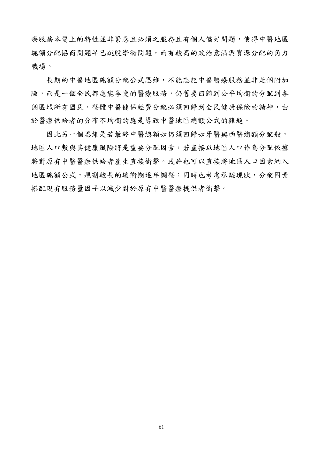療服務本質上的特性並非緊急且必須之服務且有個人偏好問題,使得中醫地區 總額分配協商問題早已跳脫學術問題,而有較高的政治意涵與資源分配的角力 戰場。

 長期的中醫地區總額分配公式思維,不能忘記中醫醫療服務並非是個附加 險,而是一個全民都應能享受的醫療服務,仍舊要回歸到公平均衡的分配到各 個區域所有國民。整體中醫健保經費分配必須回歸到全民健康保險的精神,由 於醫療供給者的分布不均衡的應是導致中醫地區總額公式的難題。

因此另一個思維是若最終中醫總額如仍須回歸如牙醫與西醫總額分配般, 地區人口數與其健康風險將是重要分配因素,若直接以地區人口作為分配依據 將對原有中醫醫療供給者產生直接衝擊。或許也可以直接將地區人口因素納入 地區總額公式,規劃較長的緩衝期逐年調整;同時也考慮承認現狀,分配因素 搭配現有服務量因子以減少對於原有中醫醫療提供者衝擊。

61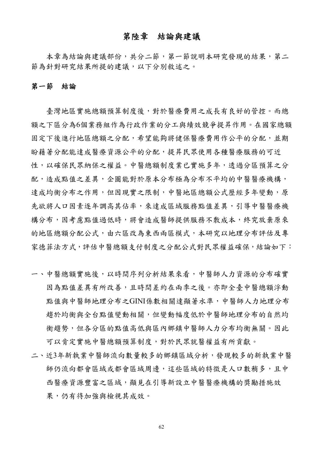### 第陸章結論與建議

本章為結論與建議部份,共分二節,第一節說明本研究發現的結果,第二 節為針對研究結果所提的建議,以下分別敘述之。

#### 第一節結論

臺灣地區實施總額預算制度後,對於醫療費用之成長有良好的管控。而總 額之下區分為6個業務組作為行政作業的分工與績效競爭提昇作用。在國家總額 固定下後進行地區總額之分配,希望能夠將健保醫療費用作公平的分配,並期 盼藉著分配能達成醫療資源公平的分配,提昇民眾使用各種醫療服務的可近 性,以確保民眾納保之權益。中醫總額制度業已實施多年,透過分區預算之分 配,造成點值之差異,企圖能對於原本分布極為分布不平均的中醫醫療機構, 達成均衡分布之作用,但因現實之限制,中醫地區總額公式歷經多年變動,原 先欲將人口因素逐年調高其佔率,來達成區域服務點值差異,引導中醫醫療機 構分布,因考慮點值過低時,將會造成醫師提供服務不敷成本,終究放棄原來 的地區總額分配公式,由六區改為東西兩區模式,本研究以地理分布評估及專 家德菲法方式,評估中醫總額支付制度之分配公式對民眾權益確保,結論如下:

- 一、中醫總額實施後,以時間序列分析結果來看,中醫師人力資源的分布確實 因為點值差異有所改善,且時間差約在兩季之後。亦即全臺中醫總額浮動 點值與中醫師地理分布之GINI係數相關達顯著水準,中醫師人力地理分布 趨於均衡與全台點值變動相關,但變動幅度低於中醫師地理分布的自然均 衡趨勢,但各分區的點值高低與區內鄉鎮中醫師人力分布均衡無關。因此 可以肯定實施中醫總額預算制度,對於民眾就醫權益有所貢獻。
- 二、近3年新執業中醫師流向數量較多的鄉鎮區域分析,發現較多的新執業中醫 師仍流向都會區域都會區域周邊,這些區域的特徵是人口數稍多,且中 西醫療資源豐富之區域,顯見在引導新設立中醫醫療機構的獎勵措施效 果,仍有待加強與檢視其成效。

62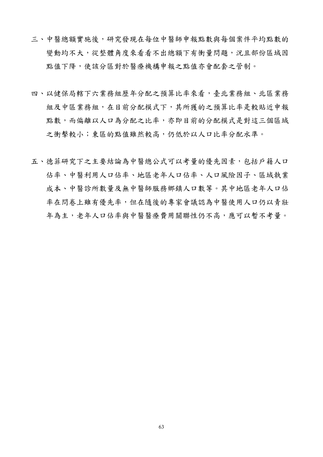- 三、中醫總額實施後,研究發現在每位中醫師申報點數與每個案件平均點數的 變動均不大,從整體角度來看看不出總額下有衝量問題,況且部份區域因 點值下降,使該分區對於醫療機構申報之點值亦會配套之管制。
- 四、以健保局轄下六業務組歷年分配之預算比率來看,臺北業務組、北區業務 組及中區業務組,在目前分配模式下,其所獲的之預算比率是較貼近申報 點數,而偏離以人口為分配之比率,亦即目前的分配模式是對這三個區域 之衝擊較小;東區的點值雖然較高,仍低於以人口比率分配水準。
- 五、德菲研究下之主要結論為中醫總公式可以考量的優先因素,包括戶籍人口 佔率、中醫利用人口佔率、地區老年人口佔率、人口風險因子、區域執業 成本、中醫診所數量及無中醫師服務鄉鎮人口數等。其中地區老年人口佔 率在問卷上雖有優先率,但在隨後的專家會議認為中醫使用人口仍以青壯 年為主,老年人口佔率與中醫醫療費用關聯性仍不高,應可以暫不考量。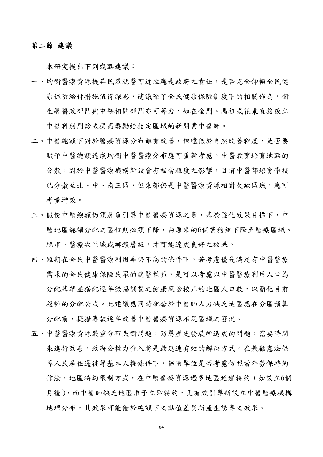#### 第二節 建議

本研究提出下列幾點建議:

- 一、均衡醫療資源提昇民眾就醫可近性應是政府之責任,是否完全仰賴全民健 康保險給付措施值得深思,建議除了全民健康保險制度下的相關作為,衛 生署醫政部門與中醫相關部門亦可著力,如在金門、馬祖或花東直接設立 中醫科別門診或提高獎勵給指定區域的新開業中醫師。
- 二、中醫總額下對於醫療資源分布雖有改善,但遠低於自然改善程度,是否要 賦予中醫總額達成均衡中醫醫療分布應可重新考慮。中醫教育培育地點的 分散,對於中醫醫療機構新設會有相當程度之影響,目前中醫師培育學校 已分散至北、中、南三區,但東部仍是中醫醫療資源相對欠缺區域,應可 考量增設。
- 三、假使中醫總額仍須肩負引導中醫醫療資源之責,基於強化效果目標下,中 醫地區總額分配之區位則必須下降,由原來的6個業務組下降至醫療區域、 縣市、醫療次區域或鄉鎮層級,才可能達成良好之效果。
- 四、短期在全民中醫醫療利用率仍不高的條件下,若考慮優先滿足有中醫醫療 需求的全民健康保險民眾的就醫權益,是可以考慮以中醫醫療利用人口為 分配基準並搭配逐年微幅調整之健康風險校正的地區人口數,以簡化目前 複雜的分配公式。此建議應同時配套於中醫師人力缺乏地區應在分區預算 分配前,提撥專款逐年改善中醫醫療資源不足區域之窘況。
- 五、中醫醫療資源嚴重分布失衡問題,乃屬歷史發展所造成的問題,需要時間 來進行改善,政府公權力介入將是最迅速有效的解決方式。在兼顧憲法保 障人民居住遷徙等基本人權條件下,保險單位是否考慮仿照當年勞保特約 作法,地區特約限制方式,在中醫醫療資源過多地區延遲特約(如設立6個 月後),而中醫師缺乏地區准予立即特約,更有效引導新設立中醫醫療機構 地理分布,其效果可能優於總額下之點值差異所產生誘導之效果。

64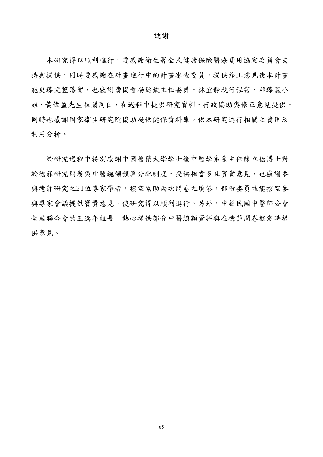#### 誌謝

 本研究得以順利進行,要感謝衛生署全民健康保險醫療費用協定委員會支 持與提供,同時要感謝在計畫進行中的計畫審查委員,提供修正意見使本計畫 能更臻完整落實,也感謝費協會楊銘欽主任委員、林宜靜執行秘書、邱臻麗小 姐、黃偉益先生相關同仁,在過程中提供研究資料、行政協助與修正意見提供。 同時也感謝國家衛生研究院協助提供健保資料庫,供本研究進行相關之費用及 利用分析。

 於研究過程中特別感謝中國醫藥大學學士後中醫學系系主任陳立德博士對 於德菲研究問卷與中醫總額預算分配制度,提供相當多且寶貴意見,也感謝參 與德菲研究之21位專家學者,撥空協助兩次問卷之填答,部份委員並能撥空參 與專家會議提供寶貴意見,使研究得以順利進行。另外,中華民國中醫師公會 全國聯合會的王逸年組長,熱心提供部分中醫總額資料與在德菲問卷擬定時提 供意見。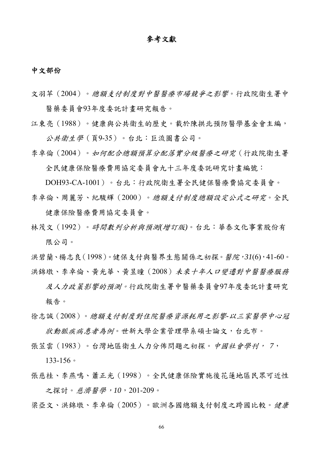### 參考文獻

#### 中文部份

文羽苹(2004)。總額支付制度對中醫醫療市場競爭之影響。行政院衛生署中 醫藥委員會93年度委託計畫研究報告。

江東亮(1988)。健康與公共衛生的歷史。載於陳拱北預防醫學基金會主編, 公共衛生學(頁9-35)。台北:巨流圖書公司。

李卓倫(2004)。如何配合總額預算分配落實分級醫療之研究(行政院衛生署 全民健康保險醫療費用協定委員會九十三年度委託研究計畫編號:

DOH93-CA-1001)。台北:行政院衛生署全民健保醫療費協定委員會。 李卓倫、周麗芳、紀駿輝(2000)。總額支付制度總額設定公式之研究。全民

健康保險醫療費用協定委員會。

林茂文(1992)。時間數列分析與預測*(*增訂版*)*。台北:華泰文化事業股份有 限公司。

洪碧蘭、楊志良(1998)。健保支付與醫界生態關係之初探。醫院,*31*(6),41-60。 洪錦墩、李卓倫、黃光華、黃昱曈(2008)未來十年人口變遷對中醫醫療服務

及人力政策影響的預測。行政院衛生署中醫藥委員會97年度委託計畫研究 報告。

- 徐志誠(2008)。總額支付制度對住院醫療資源耗用之影響*-*以三家醫學中心冠 狀動脈疾病患者為例。世新大學企業管理學系碩士論文,台北市。
- 張苙雲(1983)。台灣地區衛生人力分佈問題之初探。中國社會學刊, *7*,

133-156。

張慈桂、李燕鳴、蕭正光(1998)。全民健康保險實施後花蓮地區民眾可近性 之探討。慈濟醫學,*10*,201-209。

梁亞文、洪錦墩、李卓倫(2005)。歐洲各國總額支付制度之跨國比較。*健康*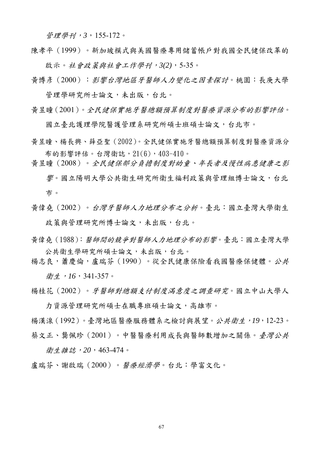管理學刊,*3*,155-172。

陳孝平(1999)。新加坡模式與美國醫療專用儲蓄帳戶對我國全民健保改革的 啟示。社會政策與社會工作學刊,*3(2)*,5-35。

黃博彥(2000):影響台灣地區牙醫師人力變化之因素探討。桃園:長庚大學 管理學研究所士論文,未出版,台北。

黃昱瞳(2001)。全民健保實施牙醫總額預算制度對醫療資源分布的影響評估。

國立臺北護理學院醫護管理系研究所碩士班碩士論文,台北市。

黃昱瞳、楊長興、薛亞聖(2002)。全民健保實施牙醫總額預算制度對醫療資源分 布的影響評估。台灣衛誌,21(6),403-410。

黃昱瞳(2008)。全民健保部分負擔制度對幼童、年長者及慢性病患健康之影 響。國立陽明大學公共衛生研究所衛生福利政策與管理組博士論文,台北 市。

黃偉堯(2002)。台灣牙醫師人力地理分布之分析。臺北:國立臺灣大學衛生 政策與管理研究所博士論文,未出版,台北。

黃偉堯(1988):醫師間的競爭對醫師人力地理分布的影響。臺北:國立臺灣大學 公共衛生學研究所碩士論文,未出版,台北。

楊志良,蕭慶倫,盧瑞芬(1990)。從全民健康保險看我國醫療保健體。公共 衛生,*16*,341-357。

楊桂花(2002)。牙醫師對總額支付制度滿意度之調查研究。國立中山大學人

力資源管理研究所碩士在職專班碩士論文,高雄市。 楊漢湶(1992)。臺灣地區醫療服務體系之檢討與展望。公共衛生,*19*,12-23。 蔡文正、龔佩珍(2001)。中醫醫療利用成長與醫師數增加之關係。臺灣公共

衛生雜誌,*20*,463-474。

盧瑞芬、謝啟瑞(2000)。醫療經濟學。台北:學富文化。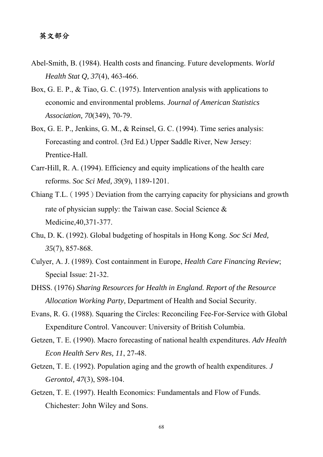### 英文部分

- Abel-Smith, B. (1984). Health costs and financing. Future developments. *World Health Stat Q, 37*(4), 463-466.
- Box, G. E. P., & Tiao, G. C. (1975). Intervention analysis with applications to economic and environmental problems. *Journal of American Statistics Association, 70*(349), 70-79.
- Box, G. E. P., Jenkins, G. M., & Reinsel, G. C. (1994). Time series analysis: Forecasting and control. (3rd Ed.) Upper Saddle River, New Jersey: Prentice-Hall.
- Carr-Hill, R. A. (1994). Efficiency and equity implications of the health care reforms. *Soc Sci Med, 39*(9), 1189-1201.
- Chiang T.L. (1995) Deviation from the carrying capacity for physicians and growth rate of physician supply: the Taiwan case. Social Science & Medicine,40,371-377.
- Chu, D. K. (1992). Global budgeting of hospitals in Hong Kong. *Soc Sci Med, 35*(7), 857-868.
- Culyer, A. J. (1989). Cost containment in Europe, *Health Care Financing Review*; Special Issue: 21-32.
- DHSS. (1976) *Sharing Resources for Health in England. Report of the Resource Allocation Working Party*, Department of Health and Social Security.
- Evans, R. G. (1988). Squaring the Circles: Reconciling Fee-For-Service with Global Expenditure Control. Vancouver: University of British Columbia.
- Getzen, T. E. (1990). Macro forecasting of national health expenditures. *Adv Health Econ Health Serv Res, 11*, 27-48.
- Getzen, T. E. (1992). Population aging and the growth of health expenditures. *J Gerontol, 47*(3), S98-104.
- Getzen, T. E. (1997). Health Economics: Fundamentals and Flow of Funds. Chichester: John Wiley and Sons.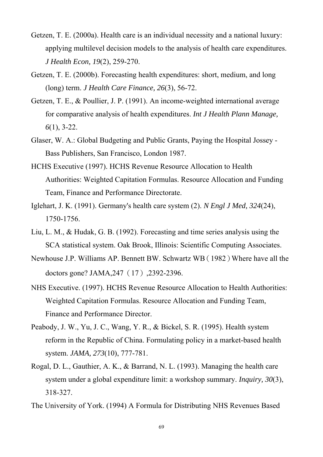- Getzen, T. E. (2000a). Health care is an individual necessity and a national luxury: applying multilevel decision models to the analysis of health care expenditures. *J Health Econ, 19*(2), 259-270.
- Getzen, T. E. (2000b). Forecasting health expenditures: short, medium, and long (long) term. *J Health Care Finance, 26*(3), 56-72.
- Getzen, T. E., & Poullier, J. P. (1991). An income-weighted international average for comparative analysis of health expenditures. *Int J Health Plann Manage, 6*(1), 3-22.
- Glaser, W. A.: Global Budgeting and Public Grants, Paying the Hospital Jossey Bass Publishers, San Francisco, London 1987.
- HCHS Executive (1997). HCHS Revenue Resource Allocation to Health Authorities: Weighted Capitation Formulas. Resource Allocation and Funding Team, Finance and Performance Directorate.
- Iglehart, J. K. (1991). Germany's health care system (2). *N Engl J Med, 324*(24), 1750-1756.
- Liu, L. M., & Hudak, G. B. (1992). Forecasting and time series analysis using the SCA statistical system. Oak Brook, Illinois: Scientific Computing Associates.
- Newhouse J.P. Williams AP. Bennett BW. Schwartz WB(1982)Where have all the doctors gone? JAMA,247(17),2392-2396.
- NHS Executive. (1997). HCHS Revenue Resource Allocation to Health Authorities: Weighted Capitation Formulas. Resource Allocation and Funding Team, Finance and Performance Director.
- Peabody, J. W., Yu, J. C., Wang, Y. R., & Bickel, S. R. (1995). Health system reform in the Republic of China. Formulating policy in a market-based health system. *JAMA, 273*(10), 777-781.
- Rogal, D. L., Gauthier, A. K., & Barrand, N. L. (1993). Managing the health care system under a global expenditure limit: a workshop summary. *Inquiry, 30*(3), 318-327.
- The University of York. (1994) A Formula for Distributing NHS Revenues Based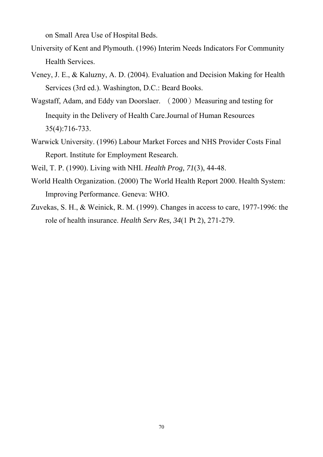on Small Area Use of Hospital Beds.

- University of Kent and Plymouth. (1996) Interim Needs Indicators For Community Health Services.
- Veney, J. E., & Kaluzny, A. D. (2004). Evaluation and Decision Making for Health Services (3rd ed.). Washington, D.C.: Beard Books.
- Wagstaff, Adam, and Eddy van Doorslaer. (2000) Measuring and testing for Inequity in the Delivery of Health Care.Journal of Human Resources 35(4):716-733.
- Warwick University. (1996) Labour Market Forces and NHS Provider Costs Final Report. Institute for Employment Research.
- Weil, T. P. (1990). Living with NHI. *Health Prog, 71*(3), 44-48.
- World Health Organization. (2000) The World Health Report 2000. Health System: Improving Performance. Geneva: WHO.
- Zuvekas, S. H., & Weinick, R. M. (1999). Changes in access to care, 1977-1996: the role of health insurance. *Health Serv Res, 34*(1 Pt 2), 271-279.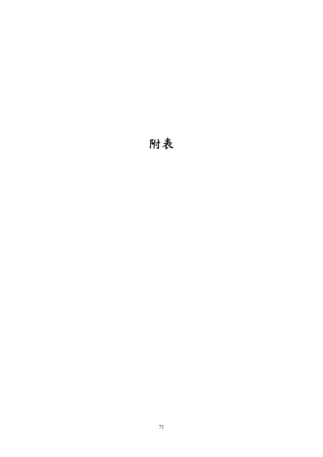# 附表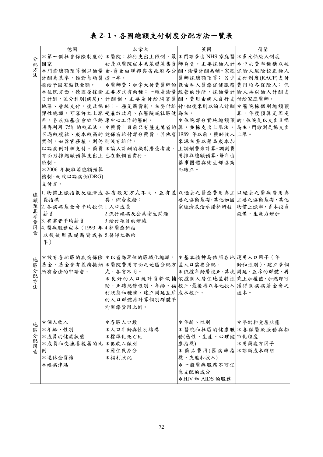## 表 **2- 1**、各國總額支付制度分配方法一覽表

|        | 德國                       | 加拿大                                                | 英國                     | 荷蘭        |
|--------|--------------------------|----------------------------------------------------|------------------------|-----------|
| 分      |                          | *第一個社會保險制度的 *醫院:採行支出上限制,最 *門診多由 NHS 家庭醫 *多元保險人制度   |                        |           |
| 配      | 國家                       | 初是以醫院成本為基礎募集資 師負責,主要採論人計 *中央費率機構以被                 |                        |           |
| 方      |                          | *門診總額預算制以論量 金-資金由聯邦與省政府各分 酬, 論量計酬為輔。家庭 保險人風險校正論人   |                        |           |
| 法      | 計酬為基準,惟對每項醫 擔一半。         |                                                    | 醫師採總額頂算;另少支付制度(RACP)支付 |           |
|        |                          | 療給予固定點數金額。  *醫師費:加拿大付費醫師的 數由私人醫療保健服務 費用給各保險人;保     |                        |           |
|        |                          | *住院方面,德國原採論 主要方式有兩種:一種是論量 經營的診所,採論量計 險人再以論人計酬支     |                        |           |
|        |                          | 日計酬,區分科別(病房)、計酬制,主要是付給開業醫酬,費用由病人自行支 付給家庭醫師。        |                        |           |
|        |                          | 地區、層級支付。後改採 師; 一種是薪資制, 主要付給 付,但後來則以論人計酬 * 醫院採個別總額預 |                        |           |
|        |                          | 彈性總額,可容許之上漲 受雇於政府、在醫院或社區健 為主。                      |                        | 算,年度預算是固定 |
|        | 率,各疾病基金會於年終 康中心工作的醫師。    |                                                    | *住院部分實施總額預 的,住院是以支出目標  |           |
|        |                          | 時再利用 75% 的校正法。 *藥費:目前只有薩克萬省的 算,並採支出上限法。 為主,門診則是採支出 |                        |           |
|        |                          | 不過較複雜、成本較高的 健保有給付部分藥費,其他省 1989年以前,藥師收入 上限。         |                        |           |
|        | 案例,如器官移植,則仍則沒有給付。        |                                                    | 來源主要以藥品成本加             |           |
|        |                          | 以論病例計酬支付。藥費 *論人計酬的機制廣受考慮, 上調劑費來計算。調劑費              |                        |           |
|        |                          | 方面乃採總額預算支出上 已在數個省實行。    周採取總額預算,每年由                |                        |           |
|        | 限制。                      |                                                    | 藥事團體與衛生部協商             |           |
|        | *2006年擬取消總額預算            |                                                    | 而確立。                   |           |
|        | 機制,而改以論病例(DRG)           |                                                    |                        |           |
|        | 支付方。                     |                                                    |                        |           |
| 總      |                          | 1. 物價上漲指數及經濟成 各省設定方式不同, 互有差 以過去之醫療費用為主 以過去之醫療費用為   |                        |           |
| 額      | 長指標                      | 異,綜合包括:                                            | 要之協商基礎,其他如國 主要之協商基礎,其他 |           |
| 預      | 2. 各疾病基金會平均投保 1.人口成長     |                                                    | 家經濟政治承諾新科技 物價上漲率,資本投資  |           |
| 算考量    | 薪資                       | 2.流行疾病及公共衛生問題                                      |                        | 設備,生產力增加  |
|        | 3. 有業者平均薪資  3.給付項目的增減    |                                                    |                        |           |
| 因      | 4. 醫療服務成本 (1993年 4.新醫療科技 |                                                    |                        |           |
| 素      | 以後使用基礎薪資成長5.醫師之供給        |                                                    |                        |           |
|        | 率)                       |                                                    |                        |           |
|        |                          |                                                    |                        |           |
| 地      |                          | *設有各地區的疾病保險 *以省為單位的區域化總額。 *基本精神為依照各地 運用人口因子 (年     |                        |           |
| 區      |                          | 基金,基金會有義務接納 *醫院費用方面之地區分配方 區人口需要分配。   齡和性別),建立多個    |                        |           |
| 分      | 所有合法的申請者。                |                                                    | *依據年齡層校正,其次問延、互斥的群體,再  |           |
| 配<br>方 |                          | *良好的人口統計資料做輔依據個人居住地區特性 乘上加權值, 加總即可                 |                        |           |
| 法      |                          | 助,正確紀錄性別、年齡、福 校正,最後再以各地投入 獲得 個疾病基金會之               |                        |           |
|        |                          | 利狀態和種族,建立周延互斥成本校正。                                 |                        | 成本。       |
|        |                          | 的人口群體再計算個別群體平                                      |                        |           |
|        |                          | 均醫療費用比例。                                           |                        |           |
|        |                          |                                                    |                        |           |
| 地      | *個人收入                    | *各區人口數                                             | *年齡、性別                 | *年齡和受雇狀態  |
| 區      | *年齡、性別                   | *人口年齡與性別結構                                         | *醫院和社區的健康服 *各類醫療服務與都   |           |
| 分      | *成員的健康狀態                 | *標準化死亡比                                            | 務(急性、生產、心理健 市化程度       |           |
| 配      | *成員和受撫養親屬的比 *低收入類別       |                                                    | 康指標)                   | *用藥處方因子   |
| 因<br>素 | 例                        | *原住民身分                                             | * 藥品費用(罹病率指 * 診斷成本群組   |           |
|        | *退休金資格                   | *福利狀況                                              | 標、失能和收入)               |           |
|        | *疾病津貼                    |                                                    | *一般醫療服務不可任             |           |
|        |                          |                                                    | 意支配的成分                 |           |
|        |                          |                                                    | *HIV 和 AIDS 的服務        |           |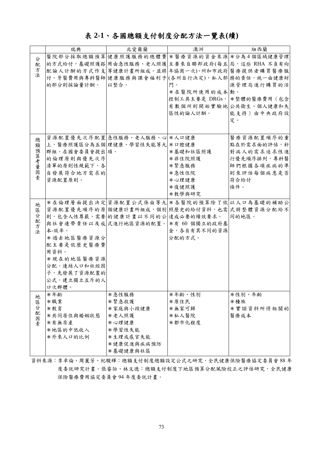### 表 **2-1**、各國總額支付制度分配方法一覽表**(**續**)**

|        | 瑞典                        | 北愛爾蘭                                            | 澳洲            | 紐西蘭                                               |
|--------|---------------------------|-------------------------------------------------|---------------|---------------------------------------------------|
| 分      |                           |                                                 |               | 醫院部分採取總額預算 健康照護服務的總體費 *醫療資源的資金來源 *分為4個區域健康管理      |
| 配      |                           |                                                 |               | 的方式給付,基礎照護搭 用由急性服務、老人照護 主要來自聯邦政府(每五 局,這些 RHA 不負有向 |
| 方      |                           | 配論人計酬的方式作支 等健康計畫所組成。並將 年協商一次)、州和市政府 醫療提供者購買醫療服  |               |                                                   |
| 法      |                           | 付。牙醫費用與專科醫師 健康服務與課會福利予 (各州自行決定)、私人部 務的責任,統一由健康財 |               |                                                   |
|        | 的部分則採論量計酬。                | 以整合。                                            | 門。            | 源管理局進行購買的活                                        |
|        |                           |                                                 | *在醫院所使用的成本 動。 |                                                   |
|        |                           |                                                 |               | 控制工具主要是 DRGs, * * 整體的醫療費用 (包含                     |
|        |                           |                                                 |               | 有數個州則開始實驗地 公共衛生、個人健康和失                            |
|        |                           |                                                 | 區性的論人計酬。      | 能支持)由中央政府設                                        |
|        |                           |                                                 |               | 定。                                                |
|        |                           |                                                 |               |                                                   |
| 總      |                           | 資源配置優先次序配置 急性服務、老人服務、心 米人口健康                    |               | 醫療資源配置順序的重                                        |
| 額      |                           | 上,醫療照護區分為五個 理健康、學習性失能等九 * 口腔健康                  |               | 點在於需求面的評估,針                                       |
|        | 群組。在國會委員會提出 項。            |                                                 | *基礎和社區照護      | 對病人的需求迫求性進                                        |
|        | 的倫理原則與優先次序                |                                                 | *非住院照護        | 行優先順序排列,專科醫                                       |
| 預算考量   | 清單的原則性規範下,各               |                                                 | *緊急服務         | 師們根據各項疾病的準                                        |
| 因      | 自發展符合地方需求的                |                                                 | *急性住院         | 則來評估每個病患是否                                        |
| 素      | 資源配置原則。                   |                                                 | *心理健康         | 符合給付                                              |
|        |                           |                                                 | *復健照護         | 條件。                                               |
|        |                           |                                                 | *教學與研究        |                                                   |
| 地      |                           |                                                 |               | *在倫理層面提出決定 資源配置公式係由等九 *各醫院的預算除了依 以人口為基礎的補助公       |
| 區      |                           | 資源配置優先順序的原 個健康計畫所組成, 個別 照歷史的給付資料, 也需 式將整體資源分配給不 |               |                                                   |
| 分<br>配 |                           | 則,包含人性尊嚴、需要的健康計畫以不同的公 達成必要的績效要求。                |               | 同的地區。                                             |
| 方      |                           | 與社會連帶責任以及成 式進行地區資源的配置。 *有 60 個獨立的政府基            |               |                                                   |
| 法      | 本-效率。                     |                                                 | 金,各自有其不同的資源   |                                                   |
|        | *過去地區醫療資源分                |                                                 | 分配的方式。        |                                                   |
|        | 配主要是依歷史醫療費                |                                                 |               |                                                   |
|        | 用資料。                      |                                                 |               |                                                   |
|        | *現在的地區醫療資源<br>分配,連結人口和社經因 |                                                 |               |                                                   |
|        | 子,先發展了資源配置的               |                                                 |               |                                                   |
|        | 公式,建立獨立互斥的人               |                                                 |               |                                                   |
|        | 口次群體。                     |                                                 |               |                                                   |
| 地      | *年齢                       | *急性服務                                           | *年齡、性別        | *性別、年齡                                            |
| 區      | *職業                       | *緊急救護                                           | *原住民          | *種族                                               |
| 分      | *教育                       | *家庭與小孩健康                                        | *無家可歸         | *實證資料所得相關的                                        |
| 配<br>因 | *共同居住與婚姻狀態                | *老人照護                                           | *私人醫院         | 醫療成本                                              |
| 素      | *有無房產                     | *心理健康                                           | *都市化程度        |                                                   |
|        | *地區的中低收入                  | *學習性失能                                          |               |                                                   |
|        | *外來人口的比例                  | *生理或感官失能                                        |               |                                                   |
|        |                           | *健康促進與疾病預防                                      |               |                                                   |
|        |                           | *基礎健康與社區                                        |               |                                                   |

資料來源:李卓倫、周麗芳、紀駿輝:總額支付制度總額設定公式之研究,全民健康保險醫療協定委員會 88年 度委託研究計畫。張睿詒、林文德:總額支付制度下地區預算分配風險校正之評估研究,全民健康 保險醫療費用協定委員會 94 年度委託計畫。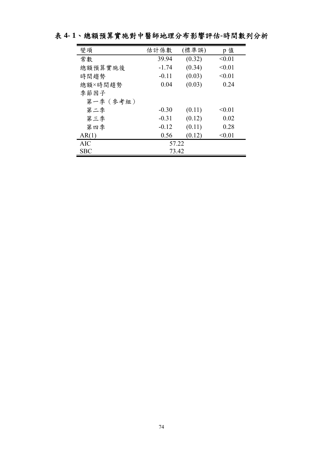| 變項         | 估計係數    | (標準誤)  | p 值    |  |  |  |  |  |
|------------|---------|--------|--------|--|--|--|--|--|
| 常數         | 39.94   | (0.32) | < 0.01 |  |  |  |  |  |
| 總額預算實施後    | $-1.74$ | (0.34) | < 0.01 |  |  |  |  |  |
| 時間趨勢       | $-0.11$ | (0.03) | < 0.01 |  |  |  |  |  |
| 總額×時間趨勢    | 0.04    | (0.03) | 0.24   |  |  |  |  |  |
| 季節因子       |         |        |        |  |  |  |  |  |
| 第一季 (參考組)  |         |        |        |  |  |  |  |  |
| 第二季        | $-0.30$ | (0.11) | < 0.01 |  |  |  |  |  |
| 第三季        | $-0.31$ | (0.12) | 0.02   |  |  |  |  |  |
| 第四季        | $-0.12$ | (0.11) | 0.28   |  |  |  |  |  |
| AR(1)      | 0.56    | (0.12) | < 0.01 |  |  |  |  |  |
| <b>AIC</b> | 57.22   |        |        |  |  |  |  |  |
| <b>SBC</b> | 73.42   |        |        |  |  |  |  |  |

# 表 **4- 1**、總額預算實施對中醫師地理分布影響評估**-**時間數列分析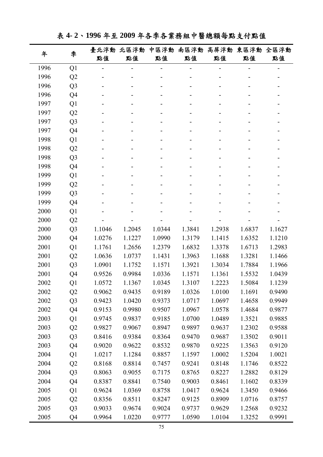表 **4- 2**、**1996** 年至 **2009** 年各季各業務組中醫總額每點支付點值

| 年<br>1996<br>1996<br>1996<br>1996<br>1997 | 季              | 臺北浮動   | 北區浮動   | 中區浮動   | 南區浮動   | 高屏浮動   | 東區浮動   | 全區浮動   |
|-------------------------------------------|----------------|--------|--------|--------|--------|--------|--------|--------|
|                                           |                | 點值     | 點值     | 點值     | 點值     | 點值     | 點值     | 點值     |
|                                           | Q1             |        | -      |        |        |        |        |        |
|                                           | Q2             |        |        |        |        |        |        |        |
|                                           | Q <sub>3</sub> |        |        |        |        |        |        |        |
|                                           | Q4             |        |        |        |        |        |        |        |
|                                           | Q1             |        |        |        |        |        |        |        |
| 1997                                      | Q2             |        |        |        |        |        |        |        |
| 1997                                      | Q <sub>3</sub> |        |        |        |        |        |        |        |
| 1997                                      | Q4             |        |        |        |        |        |        |        |
| 1998                                      | Q1             |        |        |        |        |        |        |        |
| 1998                                      | Q2             |        |        |        |        |        |        |        |
| 1998                                      | Q <sub>3</sub> |        |        |        |        |        |        |        |
| 1998                                      | Q4             |        |        |        |        |        |        |        |
| 1999                                      | Q1             |        |        |        |        |        |        |        |
| 1999                                      | Q2             |        |        |        |        |        |        |        |
| 1999                                      | Q <sub>3</sub> |        |        |        |        |        |        |        |
| 1999                                      | Q4             |        |        |        |        |        |        |        |
| 2000                                      | Q1             |        |        |        |        |        |        |        |
| 2000                                      | Q2             |        |        |        |        |        |        |        |
| 2000                                      | Q <sub>3</sub> | 1.1046 | 1.2045 | 1.0344 | 1.3841 | 1.2938 | 1.6837 | 1.1627 |
| 2000                                      | Q4             | 1.0276 | 1.1227 | 1.0990 | 1.3179 | 1.1415 | 1.6352 | 1.1210 |
| 2001                                      | Q1             | 1.1761 | 1.2656 | 1.2379 | 1.6832 | 1.3378 | 1.6713 | 1.2983 |
| 2001                                      | Q2             | 1.0636 | 1.0737 | 1.1431 | 1.3963 | 1.1688 | 1.3281 | 1.1466 |
| 2001                                      | Q <sub>3</sub> | 1.0901 | 1.1752 | 1.1571 | 1.3921 | 1.3034 | 1.7884 | 1.1966 |
| 2001                                      | Q4             | 0.9526 | 0.9984 | 1.0336 | 1.1571 | 1.1361 | 1.5532 | 1.0439 |
| 2002                                      | Q1             | 1.0572 | 1.1367 | 1.0345 | 1.3107 | 1.2223 | 1.5084 | 1.1239 |
| 2002                                      | Q <sub>2</sub> | 0.9062 | 0.9435 | 0.9189 | 1.0326 | 1.0100 | 1.1691 | 0.9490 |
| 2002                                      | Q <sub>3</sub> | 0.9423 | 1.0420 | 0.9373 | 1.0717 | 1.0697 | 1.4658 | 0.9949 |
| 2002                                      | Q4             | 0.9153 | 0.9980 | 0.9507 | 1.0967 | 1.0578 | 1.4684 | 0.9877 |
| 2003                                      | Q1             | 0.9745 | 0.9837 | 0.9185 | 1.0700 | 1.0489 | 1.3521 | 0.9885 |
| 2003                                      | Q2             | 0.9827 | 0.9067 | 0.8947 | 0.9897 | 0.9637 | 1.2302 | 0.9588 |
| 2003                                      | Q <sub>3</sub> | 0.8416 | 0.9384 | 0.8364 | 0.9470 | 0.9687 | 1.3502 | 0.9011 |
| 2003                                      | Q4             | 0.9020 | 0.9622 | 0.8532 | 0.9870 | 0.9225 | 1.3563 | 0.9120 |
| 2004                                      | Q1             | 1.0217 | 1.1284 | 0.8857 | 1.1597 | 1.0002 | 1.5204 | 1.0021 |
| 2004                                      | Q2             | 0.8168 | 0.8814 | 0.7457 | 0.9241 | 0.8148 | 1.1746 | 0.8522 |
| 2004                                      | Q <sub>3</sub> | 0.8063 | 0.9055 | 0.7175 | 0.8765 | 0.8227 | 1.2882 | 0.8129 |
| 2004                                      | Q4             | 0.8387 | 0.8841 | 0.7540 | 0.9003 | 0.8461 | 1.1602 | 0.8339 |
| 2005                                      | Q1             | 0.9624 | 1.0369 | 0.8758 | 1.0417 | 0.9624 | 1.3450 | 0.9466 |
| 2005                                      | Q2             | 0.8356 | 0.8511 | 0.8247 | 0.9125 | 0.8909 | 1.0716 | 0.8757 |
| 2005                                      | Q <sub>3</sub> | 0.9033 | 0.9674 | 0.9024 | 0.9737 | 0.9629 | 1.2568 | 0.9232 |
| 2005                                      | Q4             | 0.9964 | 1.0220 | 0.9777 | 1.0590 | 1.0104 | 1.3252 | 0.9991 |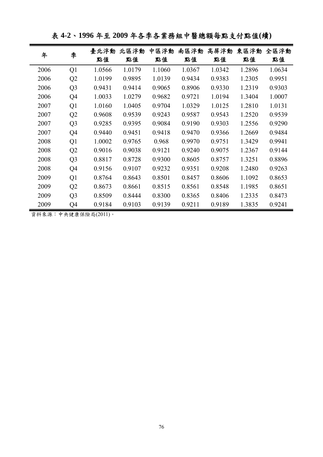表 **4-2**、**1996** 年至 **2009** 年各季各業務組中醫總額每點支付點值**(**續**)** 

| 年    | 季              | 臺北浮動<br>點值 | 北區浮動<br>點值 | 區浮動<br>ቀ<br>點值 | 南區浮動<br>點值 | 高屏浮動<br>點值 | 東區浮動<br>點值 | 全區浮動<br>點值 |
|------|----------------|------------|------------|----------------|------------|------------|------------|------------|
| 2006 | Q1             | 1.0566     | 1.0179     | 1.1060         | 1.0367     | 1.0342     | 1.2896     | 1.0634     |
| 2006 | Q <sub>2</sub> | 1.0199     | 0.9895     | 1.0139         | 0.9434     | 0.9383     | 1.2305     | 0.9951     |
| 2006 | Q <sub>3</sub> | 0.9431     | 0.9414     | 0.9065         | 0.8906     | 0.9330     | 1.2319     | 0.9303     |
| 2006 | Q4             | 1.0033     | 1.0279     | 0.9682         | 0.9721     | 1.0194     | 1.3404     | 1.0007     |
| 2007 | Q <sub>1</sub> | 1.0160     | 1.0405     | 0.9704         | 1.0329     | 1.0125     | 1.2810     | 1.0131     |
| 2007 | Q2             | 0.9608     | 0.9539     | 0.9243         | 0.9587     | 0.9543     | 1.2520     | 0.9539     |
| 2007 | Q <sub>3</sub> | 0.9285     | 0.9395     | 0.9084         | 0.9190     | 0.9303     | 1.2556     | 0.9290     |
| 2007 | Q4             | 0.9440     | 0.9451     | 0.9418         | 0.9470     | 0.9366     | 1.2669     | 0.9484     |
| 2008 | Q <sub>1</sub> | 1.0002     | 0.9765     | 0.968          | 0.9970     | 0.9751     | 1.3429     | 0.9941     |
| 2008 | Q2             | 0.9016     | 0.9038     | 0.9121         | 0.9240     | 0.9075     | 1.2367     | 0.9144     |
| 2008 | Q <sub>3</sub> | 0.8817     | 0.8728     | 0.9300         | 0.8605     | 0.8757     | 1.3251     | 0.8896     |
| 2008 | Q4             | 0.9156     | 0.9107     | 0.9232         | 0.9351     | 0.9208     | 1.2480     | 0.9263     |
| 2009 | Q <sub>1</sub> | 0.8764     | 0.8643     | 0.8501         | 0.8457     | 0.8606     | 1.1092     | 0.8653     |
| 2009 | Q2             | 0.8673     | 0.8661     | 0.8515         | 0.8561     | 0.8548     | 1.1985     | 0.8651     |
| 2009 | Q <sub>3</sub> | 0.8509     | 0.8444     | 0.8300         | 0.8365     | 0.8406     | 1.2335     | 0.8473     |
| 2009 | Q4             | 0.9184     | 0.9103     | 0.9139         | 0.9211     | 0.9189     | 1.3835     | 0.9241     |

資料來源:中央健康保險局(2011)。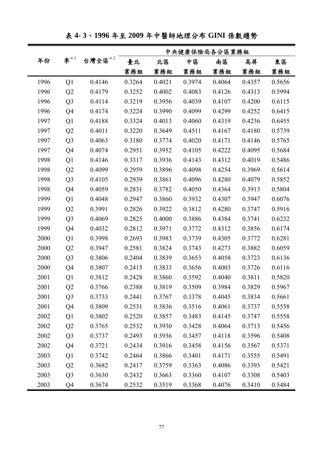|      |                |                             | 中央健康保險局各分區業務組 |        |        |        |        |        |  |  |
|------|----------------|-----------------------------|---------------|--------|--------|--------|--------|--------|--|--|
| 年份   | 李 $1$          | 台灣全區 $^{\text{\tiny H}\,2}$ | 臺北            | 北區     | 中區     | 南區     | 高屏     | 東區     |  |  |
|      |                |                             | 業務組           | 業務組    | 業務組    | 業務組    | 業務組    | 業務組    |  |  |
| 1996 | Q <sub>1</sub> | 0.4146                      | 0.3264        | 0.4021 | 0.3974 | 0.4064 | 0.4357 | 0.5656 |  |  |
| 1996 | Q2             | 0.4179                      | 0.3252        | 0.4002 | 0.4083 | 0.4126 | 0.4313 | 0.5994 |  |  |
| 1996 | Q <sub>3</sub> | 0.4114                      | 0.3219        | 0.3956 | 0.4039 | 0.4107 | 0.4200 | 0.6115 |  |  |
| 1996 | Q4             | 0.4174                      | 0.3224        | 0.3990 | 0.4099 | 0.4299 | 0.4252 | 0.6415 |  |  |
| 1997 | Q1             | 0.4188                      | 0.3324        | 0.4013 | 0.4060 | 0.4319 | 0.4236 | 0.6455 |  |  |
| 1997 | Q2             | 0.4011                      | 0.3220        | 0.3649 | 0.4511 | 0.4167 | 0.4180 | 0.5739 |  |  |
| 1997 | Q <sub>3</sub> | 0.4063                      | 0.3180        | 0.3774 | 0.4020 | 0.4171 | 0.4146 | 0.5765 |  |  |
| 1997 | Q4             | 0.4074                      | 0.2951        | 0.3952 | 0.4105 | 0.4222 | 0.4095 | 0.5684 |  |  |
| 1998 | Q1             | 0.4146                      | 0.3317        | 0.3936 | 0.4143 | 0.4312 | 0.4019 | 0.5486 |  |  |
| 1998 | Q2             | 0.4099                      | 0.2959        | 0.3896 | 0.4098 | 0.4254 | 0.3969 | 0.5614 |  |  |
| 1998 | Q <sub>3</sub> | 0.4105                      | 0.2939        | 0.3861 | 0.4096 | 0.4280 | 0.4079 | 0.5852 |  |  |
| 1998 | Q4             | 0.4059                      | 0.2831        | 0.3782 | 0.4050 | 0.4364 | 0.3913 | 0.5804 |  |  |
| 1999 | Q1             | 0.4048                      | 0.2947        | 0.3860 | 0.3932 | 0.4307 | 0.3947 | 0.6076 |  |  |
| 1999 | Q2             | 0.3991                      | 0.2826        | 0.3922 | 0.3812 | 0.4280 | 0.3747 | 0.5916 |  |  |
| 1999 | Q <sub>3</sub> | 0.4069                      | 0.2825        | 0.4000 | 0.3886 | 0.4384 | 0.3741 | 0.6232 |  |  |
| 1999 | Q4             | 0.4032                      | 0.2812        | 0.3971 | 0.3772 | 0.4312 | 0.3856 | 0.6174 |  |  |
| 2000 | Q1             | 0.3998                      | 0.2693        | 0.3983 | 0.3739 | 0.4305 | 0.3772 | 0.6281 |  |  |
| 2000 | Q2             | 0.3947                      | 0.2581        | 0.3824 | 0.3743 | 0.4273 | 0.3882 | 0.6059 |  |  |
| 2000 | Q <sub>3</sub> | 0.3806                      | 0.2404        | 0.3839 | 0.3653 | 0.4058 | 0.3723 | 0.6136 |  |  |
| 2000 | Q4             | 0.3807                      | 0.2415        | 0.3833 | 0.3656 | 0.4003 | 0.3726 | 0.6116 |  |  |
| 2001 | Q1             | 0.3812                      | 0.2428        | 0.3860 | 0.3592 | 0.4040 | 0.3811 | 0.5820 |  |  |
| 2001 | Q <sub>2</sub> | 0.3766                      | 0.2388        | 0.3819 | 0.3509 | 0.3984 | 0.3829 | 0.5967 |  |  |
| 2001 | Q <sub>3</sub> | 0.3733                      | 0.2441        | 0.3767 | 0.3378 | 0.4045 | 0.3834 | 0.5661 |  |  |
| 2001 | Q <sub>4</sub> | 0.3809                      | 0.2531        | 0.3836 | 0.3516 | 0.4061 | 0.3737 | 0.5558 |  |  |
| 2002 | Q1             | 0.3802                      | 0.2520        | 0.3857 | 0.3483 | 0.4145 | 0.3747 | 0.5558 |  |  |
| 2002 | Q2             | 0.3765                      | 0.2532        | 0.3930 | 0.3428 | 0.4064 | 0.3713 | 0.5456 |  |  |
| 2002 | Q <sub>3</sub> | 0.3737                      | 0.2493        | 0.3936 | 0.3457 | 0.4118 | 0.3596 | 0.5408 |  |  |
| 2002 | Q <sub>4</sub> | 0.3721                      | 0.2434        | 0.3916 | 0.3458 | 0.4156 | 0.3567 | 0.5371 |  |  |
| 2003 | Q1             | 0.3742                      | 0.2464        | 0.3866 | 0.3401 | 0.4171 | 0.3555 | 0.5491 |  |  |
| 2003 | Q2             | 0.3682                      | 0.2417        | 0.3759 | 0.3363 | 0.4086 | 0.3393 | 0.5421 |  |  |
| 2003 | Q <sub>3</sub> | 0.3630                      | 0.2432        | 0.3663 | 0.3360 | 0.4107 | 0.3308 | 0.5403 |  |  |
| 2003 | Q4             | 0.3674                      | 0.2532        | 0.3519 | 0.3368 | 0.4076 | 0.3410 | 0.5484 |  |  |

表 **4- 3**、**1996** 年至 **2009** 年中醫師地理分布 **GINI** 係數趨勢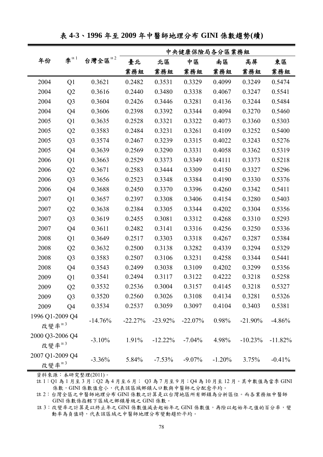|                          |                |            |           |            | 中央健康保險局各分區業務組 |          |            |           |
|--------------------------|----------------|------------|-----------|------------|---------------|----------|------------|-----------|
| 年份                       | 李 $1$          | 註2<br>台灣全區 | 臺北        | 北區         | 中區            | 南區       | 高屏         | 東區        |
|                          |                |            | 業務組       | 業務組        | 業務組           | 業務組      | 業務組        | 業務組       |
| 2004                     | Q <sub>1</sub> | 0.3621     | 0.2482    | 0.3531     | 0.3329        | 0.4099   | 0.3249     | 0.5474    |
| 2004                     | Q2             | 0.3616     | 0.2440    | 0.3480     | 0.3338        | 0.4067   | 0.3247     | 0.5541    |
| 2004                     | Q <sub>3</sub> | 0.3604     | 0.2426    | 0.3446     | 0.3281        | 0.4136   | 0.3244     | 0.5484    |
| 2004                     | Q4             | 0.3606     | 0.2398    | 0.3392     | 0.3344        | 0.4094   | 0.3270     | 0.5460    |
| 2005                     | Q1             | 0.3635     | 0.2528    | 0.3321     | 0.3322        | 0.4073   | 0.3360     | 0.5303    |
| 2005                     | Q2             | 0.3583     | 0.2484    | 0.3231     | 0.3261        | 0.4109   | 0.3252     | 0.5400    |
| 2005                     | Q <sub>3</sub> | 0.3574     | 0.2467    | 0.3239     | 0.3315        | 0.4022   | 0.3243     | 0.5276    |
| 2005                     | Q4             | 0.3639     | 0.2569    | 0.3290     | 0.3331        | 0.4058   | 0.3362     | 0.5319    |
| 2006                     | Q1             | 0.3663     | 0.2529    | 0.3373     | 0.3349        | 0.4111   | 0.3373     | 0.5218    |
| 2006                     | Q2             | 0.3671     | 0.2583    | 0.3444     | 0.3309        | 0.4150   | 0.3327     | 0.5296    |
| 2006                     | Q <sub>3</sub> | 0.3656     | 0.2523    | 0.3348     | 0.3384        | 0.4190   | 0.3330     | 0.5376    |
| 2006                     | Q4             | 0.3688     | 0.2450    | 0.3370     | 0.3396        | 0.4260   | 0.3342     | 0.5411    |
| 2007                     | Q1             | 0.3657     | 0.2397    | 0.3308     | 0.3406        | 0.4154   | 0.3280     | 0.5403    |
| 2007                     | Q2             | 0.3638     | 0.2384    | 0.3305     | 0.3344        | 0.4202   | 0.3304     | 0.5356    |
| 2007                     | Q <sub>3</sub> | 0.3619     | 0.2455    | 0.3081     | 0.3312        | 0.4268   | 0.3310     | 0.5293    |
| 2007                     | Q4             | 0.3611     | 0.2482    | 0.3141     | 0.3316        | 0.4256   | 0.3250     | 0.5336    |
| 2008                     | Q1             | 0.3649     | 0.2517    | 0.3303     | 0.3318        | 0.4267   | 0.3287     | 0.5384    |
| 2008                     | Q2             | 0.3632     | 0.2500    | 0.3138     | 0.3282        | 0.4339   | 0.3294     | 0.5329    |
| 2008                     | Q <sub>3</sub> | 0.3583     | 0.2507    | 0.3106     | 0.3231        | 0.4258   | 0.3344     | 0.5441    |
| 2008                     | Q4             | 0.3543     | 0.2499    | 0.3038     | 0.3109        | 0.4202   | 0.3299     | 0.5356    |
| 2009                     | Q1             | 0.3541     | 0.2494    | 0.3117     | 0.3122        | 0.4222   | 0.3218     | 0.5258    |
| 2009                     | Q <sub>2</sub> | 0.3532     | 0.2536    | 0.3004     | 0.3157        | 0.4145   | 0.3218     | 0.5327    |
| 2009                     | Q <sub>3</sub> | 0.3520     | 0.2560    | 0.3026     | 0.3108        | 0.4134   | 0.3281     | 0.5326    |
| 2009                     | Q <sub>4</sub> | 0.3534     | 0.2537    | 0.3059     | 0.3097        | 0.4104   | 0.3403     | 0.5381    |
| 1996 Q1-2009 Q4<br>改變率#3 |                | $-14.76%$  | $-22.27%$ | $-23.92\%$ | $-22.07%$     | 0.98%    | $-21.90\%$ | $-4.86%$  |
| 2000 Q3-2006 Q4<br>改變率#3 |                | $-3.10%$   | 1.91%     | $-12.22%$  | $-7.04%$      | 4.98%    | $-10.23%$  | $-11.82%$ |
| 2007 Q1-2009 Q4<br>改變率#3 |                | $-3.36\%$  | 5.84%     | $-7.53\%$  | $-9.07\%$     | $-1.20%$ | 3.75%      | $-0.41%$  |

表 **4-3**、**1996** 年至 **2009** 年中醫師地理分布 **GINI** 係數趨勢**(**續**)** 

註 1:Q1 為 1 月至 3 月;Q2 為 4 月至 6 月; Q3 為 7 月至 9 月;Q4 為 10 月至 12 月。其中數值為當季 GINI 係數,GINI 係數值愈小,代表該區域鄉鎮人口數與中醫師之分配愈平均。

註 2:台灣全區之中醫師地理分布 GINI 係數之計算是以台灣地區所有鄉鎮為分析區位。而各業務組中醫師 GINI 係數係指轄下區域之鄉鎮層級之 GINI 係數。

註 3:改變率之計算是以終止年之 GINI 係數值減去起始年之 GINI 係數值,再除以起始年之值的百分率,變 動率為負值時,代表該區域之中醫師地理分布變動趨於平均。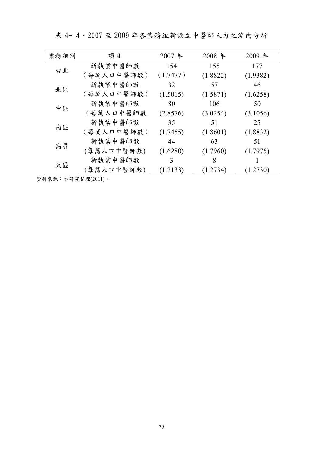| 業務組別 | 項目         | 2007年    | 2008 年   | 2009年    |
|------|------------|----------|----------|----------|
| 台北   | 新執業中醫師數    | 154      | 155      | 177      |
|      | (每萬人口中醫師數) | (1.7477) | (1.8822) | (1.9382) |
| 北區   | 新執業中醫師數    | 32       | 57       | 46       |
|      | (每萬人口中醫師數) | (1.5015) | (1.5871) | (1.6258) |
| 中區   | 新執業中醫師數    | 80       | 106      | 50       |
|      | (每萬人口中醫師數  | (2.8576) | (3.0254) | (3.1056) |
|      | 新執業中醫師數    | 35       | 51       | 25       |
| 南區   | (每萬人口中醫師數) | (1.7455) | (1.8601) | (1.8832) |
| 高屏   | 新執業中醫師數    | 44       | 63       | 51       |
|      | (每萬人口中醫師數) | (1.6280) | (1.7960) | (1.7975) |
| 東區   | 新執業中醫師數    | 3        | 8        |          |
|      | (每萬人口中醫師數) | (1.2133) | (1.2734) | (1.2730) |

表 4- 4、2007 至 2009 年各業務組新設立中醫師人力之流向分析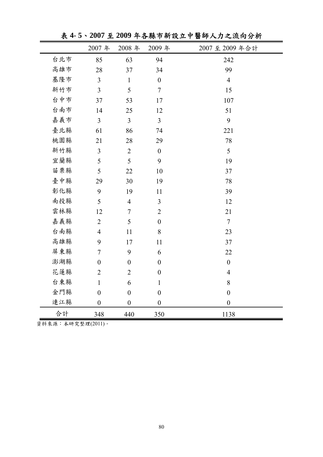|     | 2007年            | 2008年            | 2009年            | 2007至2009年合計     |
|-----|------------------|------------------|------------------|------------------|
| 台北市 | 85               | 63               | 94               | 242              |
| 高雄市 | 28               | 37               | 34               | 99               |
| 基隆市 | 3                | $\mathbf{1}$     | $\boldsymbol{0}$ | $\overline{4}$   |
| 新竹市 | 3                | 5                | $\overline{7}$   | 15               |
| 台中市 | 37               | 53               | 17               | 107              |
| 台南市 | 14               | 25               | 12               | 51               |
| 嘉義市 | $\overline{3}$   | $\overline{3}$   | $\overline{3}$   | 9                |
| 臺北縣 | 61               | 86               | 74               | 221              |
| 桃園縣 | 21               | 28               | 29               | 78               |
| 新竹縣 | 3                | $\overline{2}$   | $\boldsymbol{0}$ | 5                |
| 宜蘭縣 | 5                | 5                | 9                | 19               |
| 苗栗縣 | 5                | 22               | 10               | 37               |
| 臺中縣 | 29               | 30               | 19               | 78               |
| 彰化縣 | 9                | 19               | 11               | 39               |
| 南投縣 | 5                | $\overline{4}$   | 3                | 12               |
| 雲林縣 | 12               | $\tau$           | $\overline{2}$   | 21               |
| 嘉義縣 | $\sqrt{2}$       | 5                | $\boldsymbol{0}$ | $\overline{7}$   |
| 台南縣 | $\overline{4}$   | 11               | 8                | 23               |
| 高雄縣 | 9                | 17               | 11               | 37               |
| 屏東縣 | $\overline{7}$   | 9                | 6                | 22               |
| 澎湖縣 | $\boldsymbol{0}$ | $\boldsymbol{0}$ | $\boldsymbol{0}$ | $\boldsymbol{0}$ |
| 花蓮縣 | $\overline{2}$   | $\sqrt{2}$       | $\boldsymbol{0}$ | $\overline{4}$   |
| 台東縣 | $\mathbf{1}$     | 6                | $\mathbf{1}$     | $\,8\,$          |
| 金門縣 | $\boldsymbol{0}$ | $\boldsymbol{0}$ | $\boldsymbol{0}$ | $\boldsymbol{0}$ |
| 連江縣 | $\boldsymbol{0}$ | $\boldsymbol{0}$ | $\boldsymbol{0}$ | $\boldsymbol{0}$ |
| 合計  | 348              | 440              | 350              | 1138             |

表 **4- 5**、**2007** 至 **2009** 年各縣市新設立中醫師人力之流向分析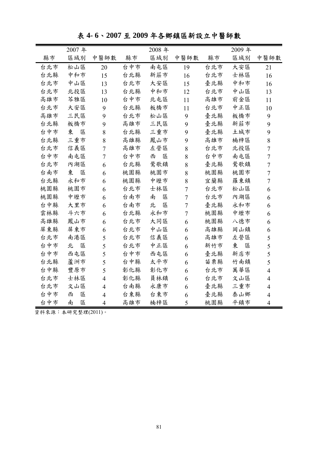表 **4- 6**、**2007** 至 **2009** 年各鄉鎮區新設立中醫師數

|     | 2007年  |                |     | 2008年  |                  |     | 2009年  |                  |
|-----|--------|----------------|-----|--------|------------------|-----|--------|------------------|
| 縣市  | 區域別    | 中醫師數           | 縣市  | 區域別    | 中醫師數             | 縣市  | 區域別    | 中醫師數             |
| 台北市 | 松山區    | 20             | 台中市 | 南屯區    | 19               | 台北市 | 大安區    | 21               |
| 台北縣 | 中和市    | 15             | 台北縣 | 新莊市    | 16               | 台北市 | 士林區    | 16               |
| 台北市 | 中山區    | 13             | 台北市 | 大安區    | 15               | 臺北縣 | 中和市    | 16               |
| 台北市 | 北投區    | 13             | 台北縣 | 中和市    | 12               | 台北市 | 中山區    | 13               |
| 高雄市 | 芩雅區    | 10             | 台中市 | 北屯區    | 11               | 高雄市 | 前金區    | 11               |
| 台北市 | 大安區    | 9              | 台北縣 | 板橋市    | 11               | 台北市 | 中正區    | 10               |
| 高雄市 | 三民區    | 9              | 台北市 | 松山區    | 9                | 臺北縣 | 板橋市    | 9                |
| 台北縣 | 板橋市    | 9              | 高雄市 | 三民區    | 9                | 臺北縣 | 新莊市    | 9                |
| 台中市 | 東<br>區 | 8              | 台北縣 | 三重市    | 9                | 臺北縣 | 土城市    | 9                |
| 台北縣 | 三重市    | 8              | 高雄縣 | 鳳山市    | 9                | 高雄市 | 楠梓區    | 8                |
| 台北市 | 信義區    | $\overline{7}$ | 高雄市 | 左營區    | 8                | 台北市 | 北投區    | $\tau$           |
| 台中市 | 南屯區    | $\overline{7}$ | 台中市 | 西<br>區 | 8                | 台中市 | 南屯區    | $\overline{7}$   |
| 台北市 | 內湖區    | 6              | 台北縣 | 鶯歌鎮    | $8\,$            | 臺北縣 | 鶯歌鎮    | $\boldsymbol{7}$ |
| 台南市 | 東<br>區 | 6              | 桃園縣 | 桃園市    | 8                | 桃園縣 | 桃園市    | $\overline{7}$   |
| 台北縣 | 永和市    | 6              | 桃園縣 | 中壢市    | 8                | 宜蘭縣 | 羅東鎮    | $\overline{7}$   |
| 桃園縣 | 桃園市    | 6              | 台北市 | 士林區    | $\tau$           | 台北市 | 松山區    | 6                |
| 桃園縣 | 中壢市    | 6              | 台南市 | 南<br>區 | $\overline{7}$   | 台北市 | 內湖區    | 6                |
| 台中縣 | 大里市    | 6              | 台南市 | 北<br>區 | $\boldsymbol{7}$ | 臺北縣 | 永和市    | 6                |
| 雲林縣 | 斗六市    | 6              | 台北縣 | 永和市    | $\overline{7}$   | 桃園縣 | 中壢市    | 6                |
| 高雄縣 | 鳳山市    | 6              | 台北市 | 大同區    | 6                | 桃園縣 | 八德市    | 6                |
| 屏東縣 | 屏東市    | 6              | 台北市 | 中山區    | 6                | 高雄縣 | 岡山鎮    | 6                |
| 台北市 | 南港區    | 5              | 台北市 | 信義區    | 6                | 高雄市 | 左營區    | 5                |
| 台中市 | 區<br>北 | 5              | 台北市 | 中正區    | 6                | 新竹市 | 東<br>區 | 5                |
| 台中市 | 西屯區    | 5              | 台中市 | 西屯區    | 6                | 臺北縣 | 新店市    | 5                |
| 台北縣 | 蘆洲市    | 5              | 台中縣 | 太平市    | 6                | 苗栗縣 | 竹南鎮    | 5                |
| 台中縣 | 豐原市    | 5              | 彰化縣 | 彰化市    | 6                | 台北市 | 萬華區    | $\overline{4}$   |
| 台北市 | 士林區    | $\overline{4}$ | 彰化縣 | 員林鎮    | 6                | 台北市 | 文山區    | $\overline{4}$   |
| 台北市 | 文山區    | $\overline{4}$ | 台南縣 | 永康市    | 6                | 臺北縣 | 三重市    | $\overline{4}$   |
| 台中市 | 西<br>區 | $\overline{4}$ | 台東縣 | 台東市    | 6                | 臺北縣 | 泰山鄉    | $\overline{4}$   |
| 台中市 | 南<br>區 | $\overline{4}$ | 高雄市 | 楠梓區    | 5                | 桃園縣 | 平鎮市    | $\overline{4}$   |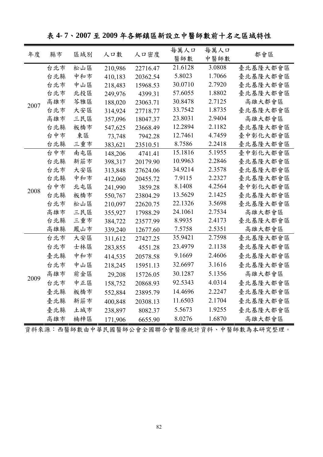表 **4- 7**、**2007** 至 **2009** 年各鄉鎮區新設立中醫師數前十名之區域特性

| 醫師數<br>中醫師數<br>21.6128<br>台北市<br>松山區<br>3.0808<br>臺北基隆大都會區<br>210,986<br>22716.47<br>5.8023<br>中和市<br>1.7066<br>台北縣<br>臺北基隆大都會區<br>410,183<br>20362.54<br>30.0710<br>2.7920<br>台北市<br>中山區<br>臺北基隆大都會區<br>218,483<br>15968.53<br>57.6055<br>1.8802<br>台北市<br>北投區<br>臺北基隆大都會區<br>249,976<br>4399.31<br>30.8478<br>2.7125<br>高雄市<br>芩雅區<br>高雄大都會區<br>188,020<br>23063.71<br>2007<br>33.7542<br>1.8735<br>台北市<br>臺北基隆大都會區<br>大安區<br>314,924<br>27718.77<br>23.8031<br>2.9404<br>高雄市<br>三民區<br>高雄大都會區<br>357,096<br>18047.37<br>12.2894<br>2.1182<br>台北縣<br>板橋市<br>臺北基隆大都會區<br>547,625<br>23668.49<br>台中市<br>12.7461<br>4.7459<br>東區<br>臺中彰化大都會區<br>73,748<br>7942.28<br>三重市<br>8.7586<br>2.2418<br>台北縣<br>臺北基隆大都會區<br>383,621<br>23510.51<br>15.1816<br>5.1955<br>台中市<br>南屯區<br>臺中彰化大都會區<br>148,206<br>4741.41<br>10.9963<br>台北縣<br>新莊市<br>2.2846<br>臺北基隆大都會區<br>398,317<br>20179.90<br>34.9214<br>2.3578<br>台北市<br>臺北基隆大都會區<br>大安區<br>313,848<br>27624.06<br>7.9115<br>中和市<br>2.2327<br>台北縣<br>412,060<br>臺北基隆大都會區<br>20455.72<br>8.1408<br>4.2564<br>台中市<br>北屯區<br>臺中彰化大都會區<br>241,990<br>3859.28<br>2008<br>13.5629<br>2.1425<br>台北縣<br>板橋市<br>臺北基隆大都會區<br>550,767<br>23804.29<br>22.1326<br>3.5698<br>松山區<br>台北市<br>臺北基隆大都會區<br>210,097<br>22620.75<br>24.1061<br>2.7534<br>高雄市<br>三民區<br>高雄大都會區<br>355,927<br>17988.29<br>台北縣<br>三重市<br>8.9935<br>2.4173<br>臺北基隆大都會區<br>384,722<br>23577.99<br>7.5758<br>2.5351<br>高雄縣<br>鳳山市<br>高雄大都會區<br>339,240<br>12677.60<br>35.9421<br>2.7598<br>大安區<br>台北市<br>臺北基隆大都會區<br>311,612<br>27427.25<br>23.4979<br>台北市<br>2.1138<br>士林區<br>臺北基隆大都會區<br>283,855<br>4551.28<br>中和市<br>9.1669<br>2.4606<br>臺北縣<br>臺北基隆大都會區<br>414,535<br>20578.58<br>3.1616<br>中山區<br>32.6697<br>台北市<br>臺北基隆大都會區<br>218,245<br>15951.13<br>30.1287<br>5.1356<br>高雄市<br>前金區<br>高雄大都會區<br>29,208<br>15726.05<br>2009<br>92.5343<br>4.0314<br>台北市<br>中正區<br>158,752<br>臺北基隆大都會區<br>20868.93<br>14.4696<br>2.2247<br>臺北縣<br>板橋市<br>臺北基隆大都會區<br>552,884<br>23895.79 |    | 縣市  |     |         |          | 每萬人口    | 每萬人口   |          |
|------------------------------------------------------------------------------------------------------------------------------------------------------------------------------------------------------------------------------------------------------------------------------------------------------------------------------------------------------------------------------------------------------------------------------------------------------------------------------------------------------------------------------------------------------------------------------------------------------------------------------------------------------------------------------------------------------------------------------------------------------------------------------------------------------------------------------------------------------------------------------------------------------------------------------------------------------------------------------------------------------------------------------------------------------------------------------------------------------------------------------------------------------------------------------------------------------------------------------------------------------------------------------------------------------------------------------------------------------------------------------------------------------------------------------------------------------------------------------------------------------------------------------------------------------------------------------------------------------------------------------------------------------------------------------------------------------------------------------------------------------------------------------------------------------------------------------------------------------------------------------------------------------------------------------------------------------------------------------|----|-----|-----|---------|----------|---------|--------|----------|
|                                                                                                                                                                                                                                                                                                                                                                                                                                                                                                                                                                                                                                                                                                                                                                                                                                                                                                                                                                                                                                                                                                                                                                                                                                                                                                                                                                                                                                                                                                                                                                                                                                                                                                                                                                                                                                                                                                                                                                              | 年度 |     | 區域別 | 人口數     | 人口密度     |         |        | 都會區      |
|                                                                                                                                                                                                                                                                                                                                                                                                                                                                                                                                                                                                                                                                                                                                                                                                                                                                                                                                                                                                                                                                                                                                                                                                                                                                                                                                                                                                                                                                                                                                                                                                                                                                                                                                                                                                                                                                                                                                                                              |    |     |     |         |          |         |        |          |
|                                                                                                                                                                                                                                                                                                                                                                                                                                                                                                                                                                                                                                                                                                                                                                                                                                                                                                                                                                                                                                                                                                                                                                                                                                                                                                                                                                                                                                                                                                                                                                                                                                                                                                                                                                                                                                                                                                                                                                              |    |     |     |         |          |         |        |          |
|                                                                                                                                                                                                                                                                                                                                                                                                                                                                                                                                                                                                                                                                                                                                                                                                                                                                                                                                                                                                                                                                                                                                                                                                                                                                                                                                                                                                                                                                                                                                                                                                                                                                                                                                                                                                                                                                                                                                                                              |    |     |     |         |          |         |        |          |
|                                                                                                                                                                                                                                                                                                                                                                                                                                                                                                                                                                                                                                                                                                                                                                                                                                                                                                                                                                                                                                                                                                                                                                                                                                                                                                                                                                                                                                                                                                                                                                                                                                                                                                                                                                                                                                                                                                                                                                              |    |     |     |         |          |         |        |          |
|                                                                                                                                                                                                                                                                                                                                                                                                                                                                                                                                                                                                                                                                                                                                                                                                                                                                                                                                                                                                                                                                                                                                                                                                                                                                                                                                                                                                                                                                                                                                                                                                                                                                                                                                                                                                                                                                                                                                                                              |    |     |     |         |          |         |        |          |
|                                                                                                                                                                                                                                                                                                                                                                                                                                                                                                                                                                                                                                                                                                                                                                                                                                                                                                                                                                                                                                                                                                                                                                                                                                                                                                                                                                                                                                                                                                                                                                                                                                                                                                                                                                                                                                                                                                                                                                              |    |     |     |         |          |         |        |          |
|                                                                                                                                                                                                                                                                                                                                                                                                                                                                                                                                                                                                                                                                                                                                                                                                                                                                                                                                                                                                                                                                                                                                                                                                                                                                                                                                                                                                                                                                                                                                                                                                                                                                                                                                                                                                                                                                                                                                                                              |    |     |     |         |          |         |        |          |
|                                                                                                                                                                                                                                                                                                                                                                                                                                                                                                                                                                                                                                                                                                                                                                                                                                                                                                                                                                                                                                                                                                                                                                                                                                                                                                                                                                                                                                                                                                                                                                                                                                                                                                                                                                                                                                                                                                                                                                              |    |     |     |         |          |         |        |          |
|                                                                                                                                                                                                                                                                                                                                                                                                                                                                                                                                                                                                                                                                                                                                                                                                                                                                                                                                                                                                                                                                                                                                                                                                                                                                                                                                                                                                                                                                                                                                                                                                                                                                                                                                                                                                                                                                                                                                                                              |    |     |     |         |          |         |        |          |
|                                                                                                                                                                                                                                                                                                                                                                                                                                                                                                                                                                                                                                                                                                                                                                                                                                                                                                                                                                                                                                                                                                                                                                                                                                                                                                                                                                                                                                                                                                                                                                                                                                                                                                                                                                                                                                                                                                                                                                              |    |     |     |         |          |         |        |          |
|                                                                                                                                                                                                                                                                                                                                                                                                                                                                                                                                                                                                                                                                                                                                                                                                                                                                                                                                                                                                                                                                                                                                                                                                                                                                                                                                                                                                                                                                                                                                                                                                                                                                                                                                                                                                                                                                                                                                                                              |    |     |     |         |          |         |        |          |
|                                                                                                                                                                                                                                                                                                                                                                                                                                                                                                                                                                                                                                                                                                                                                                                                                                                                                                                                                                                                                                                                                                                                                                                                                                                                                                                                                                                                                                                                                                                                                                                                                                                                                                                                                                                                                                                                                                                                                                              |    |     |     |         |          |         |        |          |
|                                                                                                                                                                                                                                                                                                                                                                                                                                                                                                                                                                                                                                                                                                                                                                                                                                                                                                                                                                                                                                                                                                                                                                                                                                                                                                                                                                                                                                                                                                                                                                                                                                                                                                                                                                                                                                                                                                                                                                              |    |     |     |         |          |         |        |          |
|                                                                                                                                                                                                                                                                                                                                                                                                                                                                                                                                                                                                                                                                                                                                                                                                                                                                                                                                                                                                                                                                                                                                                                                                                                                                                                                                                                                                                                                                                                                                                                                                                                                                                                                                                                                                                                                                                                                                                                              |    |     |     |         |          |         |        |          |
|                                                                                                                                                                                                                                                                                                                                                                                                                                                                                                                                                                                                                                                                                                                                                                                                                                                                                                                                                                                                                                                                                                                                                                                                                                                                                                                                                                                                                                                                                                                                                                                                                                                                                                                                                                                                                                                                                                                                                                              |    |     |     |         |          |         |        |          |
|                                                                                                                                                                                                                                                                                                                                                                                                                                                                                                                                                                                                                                                                                                                                                                                                                                                                                                                                                                                                                                                                                                                                                                                                                                                                                                                                                                                                                                                                                                                                                                                                                                                                                                                                                                                                                                                                                                                                                                              |    |     |     |         |          |         |        |          |
|                                                                                                                                                                                                                                                                                                                                                                                                                                                                                                                                                                                                                                                                                                                                                                                                                                                                                                                                                                                                                                                                                                                                                                                                                                                                                                                                                                                                                                                                                                                                                                                                                                                                                                                                                                                                                                                                                                                                                                              |    |     |     |         |          |         |        |          |
|                                                                                                                                                                                                                                                                                                                                                                                                                                                                                                                                                                                                                                                                                                                                                                                                                                                                                                                                                                                                                                                                                                                                                                                                                                                                                                                                                                                                                                                                                                                                                                                                                                                                                                                                                                                                                                                                                                                                                                              |    |     |     |         |          |         |        |          |
|                                                                                                                                                                                                                                                                                                                                                                                                                                                                                                                                                                                                                                                                                                                                                                                                                                                                                                                                                                                                                                                                                                                                                                                                                                                                                                                                                                                                                                                                                                                                                                                                                                                                                                                                                                                                                                                                                                                                                                              |    |     |     |         |          |         |        |          |
|                                                                                                                                                                                                                                                                                                                                                                                                                                                                                                                                                                                                                                                                                                                                                                                                                                                                                                                                                                                                                                                                                                                                                                                                                                                                                                                                                                                                                                                                                                                                                                                                                                                                                                                                                                                                                                                                                                                                                                              |    |     |     |         |          |         |        |          |
|                                                                                                                                                                                                                                                                                                                                                                                                                                                                                                                                                                                                                                                                                                                                                                                                                                                                                                                                                                                                                                                                                                                                                                                                                                                                                                                                                                                                                                                                                                                                                                                                                                                                                                                                                                                                                                                                                                                                                                              |    |     |     |         |          |         |        |          |
|                                                                                                                                                                                                                                                                                                                                                                                                                                                                                                                                                                                                                                                                                                                                                                                                                                                                                                                                                                                                                                                                                                                                                                                                                                                                                                                                                                                                                                                                                                                                                                                                                                                                                                                                                                                                                                                                                                                                                                              |    |     |     |         |          |         |        |          |
|                                                                                                                                                                                                                                                                                                                                                                                                                                                                                                                                                                                                                                                                                                                                                                                                                                                                                                                                                                                                                                                                                                                                                                                                                                                                                                                                                                                                                                                                                                                                                                                                                                                                                                                                                                                                                                                                                                                                                                              |    |     |     |         |          |         |        |          |
|                                                                                                                                                                                                                                                                                                                                                                                                                                                                                                                                                                                                                                                                                                                                                                                                                                                                                                                                                                                                                                                                                                                                                                                                                                                                                                                                                                                                                                                                                                                                                                                                                                                                                                                                                                                                                                                                                                                                                                              |    |     |     |         |          |         |        |          |
|                                                                                                                                                                                                                                                                                                                                                                                                                                                                                                                                                                                                                                                                                                                                                                                                                                                                                                                                                                                                                                                                                                                                                                                                                                                                                                                                                                                                                                                                                                                                                                                                                                                                                                                                                                                                                                                                                                                                                                              |    |     |     |         |          |         |        |          |
|                                                                                                                                                                                                                                                                                                                                                                                                                                                                                                                                                                                                                                                                                                                                                                                                                                                                                                                                                                                                                                                                                                                                                                                                                                                                                                                                                                                                                                                                                                                                                                                                                                                                                                                                                                                                                                                                                                                                                                              |    |     |     |         |          |         |        |          |
|                                                                                                                                                                                                                                                                                                                                                                                                                                                                                                                                                                                                                                                                                                                                                                                                                                                                                                                                                                                                                                                                                                                                                                                                                                                                                                                                                                                                                                                                                                                                                                                                                                                                                                                                                                                                                                                                                                                                                                              |    |     |     |         |          |         |        |          |
|                                                                                                                                                                                                                                                                                                                                                                                                                                                                                                                                                                                                                                                                                                                                                                                                                                                                                                                                                                                                                                                                                                                                                                                                                                                                                                                                                                                                                                                                                                                                                                                                                                                                                                                                                                                                                                                                                                                                                                              |    | 臺北縣 | 新莊市 | 400,848 | 20308.13 | 11.6503 | 2.1704 | 臺北基隆大都會區 |
| 5.5673<br>1.9255<br>臺北縣<br>土城市<br>臺北基隆大都會區<br>238,897<br>8082.37                                                                                                                                                                                                                                                                                                                                                                                                                                                                                                                                                                                                                                                                                                                                                                                                                                                                                                                                                                                                                                                                                                                                                                                                                                                                                                                                                                                                                                                                                                                                                                                                                                                                                                                                                                                                                                                                                                             |    |     |     |         |          |         |        |          |
| 8.0276<br>1.6870<br>高雄市<br>楠梓區<br>高雄大都會區<br>171,906<br>6655.90                                                                                                                                                                                                                                                                                                                                                                                                                                                                                                                                                                                                                                                                                                                                                                                                                                                                                                                                                                                                                                                                                                                                                                                                                                                                                                                                                                                                                                                                                                                                                                                                                                                                                                                                                                                                                                                                                                               |    |     |     |         |          |         |        |          |

資料來源:西醫師數由中華民國醫師公會全國聯合會醫療統計資料、中醫師數為本研究整理。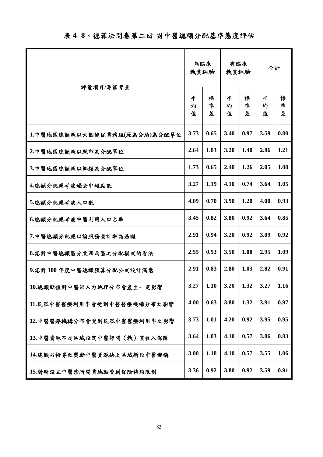|                              |             | 無臨床<br>執業經驗 | 有臨床<br>執業經驗 |             | 合計          |             |
|------------------------------|-------------|-------------|-------------|-------------|-------------|-------------|
| 評量項目/專家背景                    | 平<br>均<br>值 | 標<br>凖<br>差 | 平<br>均<br>值 | 標<br>凖<br>差 | 平<br>均<br>值 | 標<br>凖<br>差 |
| 1.中醫地區總額應以六個健保業務組(原為分局)為分配單位 | 3.73        | 0.65        | 3.40        | 0.97        | 3.59        | 0.80        |
| 2.中醫地區總額應以縣市為分配單位            | 2.64        | 1.03        | 3.20        | 1.40        | 2.86        | 1.21        |
| 3.中醫地區總額應以鄉鎮為分配單位            | 1.73        | 0.65        | 2.40        | 1.26        | 2.05        | 1.00        |
| 4.總額分配應考慮過去申報點數              | 3.27        | 1.19        | 4.10        | 0.74        | 3.64        | 1.05        |
| 5.總額分配應考慮人口數                 | 4.09        | 0.70        | 3.90        | 1.20        | 4.00        | 0.93        |
| 6.總額分配應考慮中醫利用人口占率            | 3.45        | 0.82        | 3.80        | 0.92        | 3.64        | 0.85        |
| 7.中醫總額分配應以論服務量計酬為基礎          | 2.91        | 0.94        | 3.20        | 0.92        | 3.09        | 0.92        |
| 8.您對中醫總額區分東西兩區之分配模式的看法       | 2.55        | 0.93        | 3.50        | 1.08        | 2.95        | 1.09        |
| 9.您對100年度中醫總額預算分配公式設計滿意      | 2.91        | 0.83        | 2.80        | 1.03        | 2.82        | 0.91        |
| 10.總額點值對中醫師人力地理分布會產生一定影響     | 3.27        | 1.10        | 3.20        | 1.32        | 3.27        | 1.16        |
| 11.民眾中醫醫療利用率會受到中醫醫療機構分布之影響   | 4.00        | 0.63        | 3.80        | 1.32        | 3.91        | 0.97        |
| 12.中醫醫療機構分布會受到民眾中醫醫療利用率之影響   | 3.73        | 1.01        | 4.20        | 0.92        | 3.95        | 0.95        |
| 13.中醫資源不足區域設定中醫師開(執)業收入保障    | 3.64        | 1.03        | 4.10        | 0.57        | 3.86        | 0.83        |
| 14.總額另撥專款獎勵中醫資源缺乏區域新設中醫機構    | 3.00        | 1.18        | 4.10        | 0.57        | 3.55        | 1.06        |
| 15.對新設立中醫診所開業地點受到保險特約限制      | 3.36        | 0.92        | 3.80        | 0.92        | 3.59        | 0.91        |

表 **4- 8**、德菲法問卷第二回**-**對中醫總額分配基準態度評估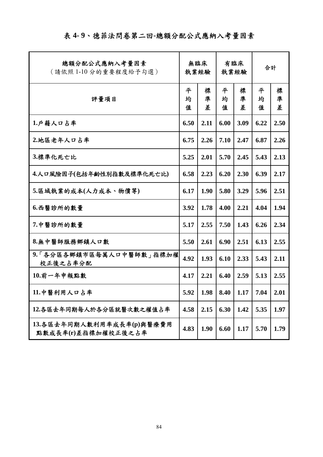## 表 **4- 9**、德菲法問卷第二回**-**總額分配公式應納入考量因素

| 總額分配公式應納入考量因素<br>(請依照1-10分的重要程度給予勾選)             | 無臨床<br>執業經驗 |             | 有臨床<br>執業經驗 |             | 合計          |             |
|--------------------------------------------------|-------------|-------------|-------------|-------------|-------------|-------------|
| 評量項目                                             | 平<br>均<br>值 | 標<br>凖<br>差 | 平<br>均<br>值 | 標<br>凖<br>差 | 平<br>均<br>值 | 標<br>凖<br>差 |
| 1.戶籍人口占率                                         | 6.50        | 2.11        | 6.00        | 3.09        | 6.22        | 2.50        |
| 2.地區老年人口占率                                       | 6.75        | 2.26        | 7.10        | 2.47        | 6.87        | 2.26        |
| 3.標準化死亡比                                         | 5.25        | 2.01        | 5.70        | 2.45        | 5.43        | 2.13        |
| 4.人口風險因子(包括年齡性別指數及標準化死亡比)                        | 6.58        | 2.23        | 6.20        | 2.30        | 6.39        | 2.17        |
| 5.區域執業的成本(人力成本、物價等)                              | 6.17        | 1.90        | 5.80        | 3.29        | 5.96        | 2.51        |
| 6.西醫診所的數量                                        | 3.92        | 1.78        | 4.00        | 2.21        | 4.04        | 1.94        |
| 7.中醫診所的數量                                        | 5.17        | 2.55        | 7.50        | 1.43        | 6.26        | 2.34        |
| 8.無中醫師服務鄉鎮人口數                                    | 5.50        | 2.61        | 6.90        | 2.51        | 6.13        | 2.55        |
| 9.「各分區各鄉鎮市區每萬人口中醫師數」指標加權<br>校正後之占率分配             | 4.92        | 1.93        | 6.10        | 2.33        | 5.43        | 2.11        |
| 10.前一年申報點數                                       | 4.17        | 2.21        | 6.40        | 2.59        | 5.13        | 2.55        |
| 11.中醫利用人口占率                                      | 5.92        | 1.98        | 8.40        | 1.17        | 7.04        | 2.01        |
| 12.各區去年同期每人於各分區就醫次數之權值占率                         | 4.58        | 2.15        | 6.30        | 1.42        | 5.35        | 1.97        |
| 13.各區去年同期人數利用率成長率(p)與醫療費用<br>點數成長率(r)差指標加權校正後之占率 | 4.83        | 1.90        | 6.60        | 1.17        | 5.70        | 1.79        |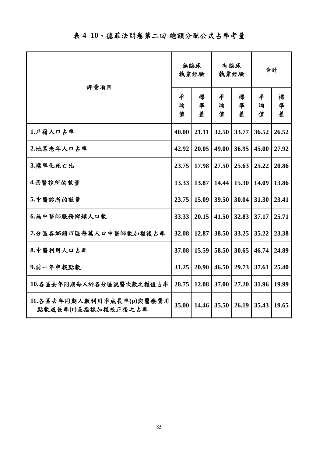|  |  |  |  | 表 4-10、德菲法問卷第二回-總額分配公式占率考量 |  |  |  |  |  |  |  |  |
|--|--|--|--|----------------------------|--|--|--|--|--|--|--|--|
|--|--|--|--|----------------------------|--|--|--|--|--|--|--|--|

| 評量項目                                             | 無臨床<br>執業經驗 |             | 有臨床<br>執業經驗 |             | 合計          |             |
|--------------------------------------------------|-------------|-------------|-------------|-------------|-------------|-------------|
|                                                  | 平<br>均<br>值 | 標<br>凖<br>差 | 平<br>均<br>值 | 標<br>凖<br>差 | 平<br>均<br>值 | 標<br>凖<br>差 |
| 1.戶籍人口占率                                         | 40.00       | 21.11       | 32.50       | 33.77       | 36.52       | 26.52       |
| 2.地區老年人口占率                                       | 42.92       | 20.05       | 49.00       | 36.95       | 45.00       | 27.92       |
| 3.標準化死亡比                                         | 23.75       | 17.98       | 27.50       | 25.63       | 25.22       | 20.86       |
| 4.西醫診所的數量                                        | 13.33       | 13.87       | 14.44       | 15.30       | 14.09       | 13.86       |
| 5.中醫診所的數量                                        | 23.75       | 15.09       | 39.50       | 30.04       | 31.30       | 23.41       |
| 6.無中醫師服務鄉鎮人口數                                    | 33.33       | 20.15       | 41.50       | 32.83       | 37.17       | 25.71       |
| 7.分區各鄉鎮市區每萬人口中醫師數加權後占率                           | 32.08       | 12.87       | 38.50       | 33.25       | 35.22       | 23.38       |
| 8.中醫利用人口占率                                       | 37.08       | 15.59       | 58.50       | 30.65       | 46.74       | 24.89       |
| 9.前一年申報點數                                        | 31.25       | 20.90       | 46.50       | 29.73       | 37.61       | 25.40       |
| 10.各區去年同期每人於各分區就醫次數之權值占率                         | 28.75       | 12.08       | 37.00       | 27.20       | 31.96       | 19.99       |
| 11.各區去年同期人數利用率成長率(p)與醫療費用<br>點數成長率(r)差指標加權校正後之占率 | 35.00       | 14.46       | 35.50       | 26.19       | 35.43       | 19.65       |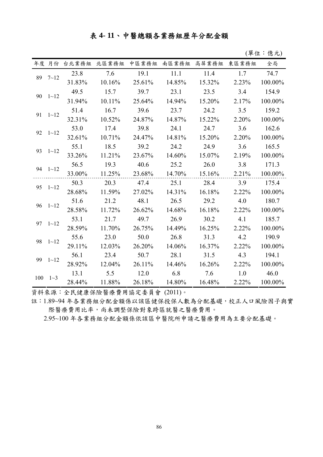### 表 **4- 11**、中醫總額各業務組歷年分配金額

(單位:億元)

|     | 年度 月份    |        | 台北業務組 北區業務組 | 中區業務組  | 南區業務組  | 高屏業務組  | 東區業務組 | 全局      |
|-----|----------|--------|-------------|--------|--------|--------|-------|---------|
| 89  | $7 - 12$ | 23.8   | 7.6         | 19.1   | 11.1   | 11.4   | 1.7   | 74.7    |
|     |          | 31.83% | 10.16%      | 25.61% | 14.85% | 15.32% | 2.23% | 100.00% |
|     |          | 49.5   | 15.7        | 39.7   | 23.1   | 23.5   | 3.4   | 154.9   |
| 90  | $1 - 12$ | 31.94% | 10.11%      | 25.64% | 14.94% | 15.20% | 2.17% | 100.00% |
| 91  |          | 51.4   | 16.7        | 39.6   | 23.7   | 24.2   | 3.5   | 159.2   |
|     | $1 - 12$ | 32.31% | 10.52%      | 24.87% | 14.87% | 15.22% | 2.20% | 100.00% |
| 92  | $1 - 12$ | 53.0   | 17.4        | 39.8   | 24.1   | 24.7   | 3.6   | 162.6   |
|     |          | 32.61% | 10.71%      | 24.47% | 14.81% | 15.20% | 2.20% | 100.00% |
| 93  | $1 - 12$ | 55.1   | 18.5        | 39.2   | 24.2   | 24.9   | 3.6   | 165.5   |
|     |          | 33.26% | 11.21%      | 23.67% | 14.60% | 15.07% | 2.19% | 100.00% |
| 94  | $1 - 12$ | 56.5   | 19.3        | 40.6   | 25.2   | 26.0   | 3.8   | 171.3   |
|     |          | 33.00% | 11.25%      | 23.68% | 14.70% | 15.16% | 2.21% | 100.00% |
| 95  | $1 - 12$ | 50.3   | 20.3        | 47.4   | 25.1   | 28.4   | 3.9   | 175.4   |
|     |          | 28.68% | 11.59%      | 27.02% | 14.31% | 16.18% | 2.22% | 100.00% |
| 96  | $1 - 12$ | 51.6   | 21.2        | 48.1   | 26.5   | 29.2   | 4.0   | 180.7   |
|     |          | 28.58% | 11.72%      | 26.62% | 14.68% | 16.18% | 2.22% | 100.00% |
| 97  | $1 - 12$ | 53.1   | 21.7        | 49.7   | 26.9   | 30.2   | 4.1   | 185.7   |
|     |          | 28.59% | 11.70%      | 26.75% | 14.49% | 16.25% | 2.22% | 100.00% |
| 98  | $1 - 12$ | 55.6   | 23.0        | 50.0   | 26.8   | 31.3   | 4.2   | 190.9   |
|     |          | 29.11% | 12.03%      | 26.20% | 14.06% | 16.37% | 2.22% | 100.00% |
| 99  | $1 - 12$ | 56.1   | 23.4        | 50.7   | 28.1   | 31.5   | 4.3   | 194.1   |
|     |          | 28.92% | 12.04%      | 26.11% | 14.46% | 16.26% | 2.22% | 100.00% |
| 100 | $1\sim3$ | 13.1   | 5.5         | 12.0   | 6.8    | 7.6    | 1.0   | 46.0    |
|     |          | 28.44% | 11.88%      | 26.18% | 14.80% | 16.48% | 2.22% | 100.00% |

資料來源:全民健康保險醫療費用協定委員會 (2011)。

註:1.89~94 年各業務組分配金額係以該區健保投保人數為分配基礎,校正人口風險因子與實 際醫療費用比率,尚未調整保險對象跨區就醫之醫療費用。

2.95~100 年各業務組分配金額係依該區中醫院所申請之醫療費用為主要分配基礎。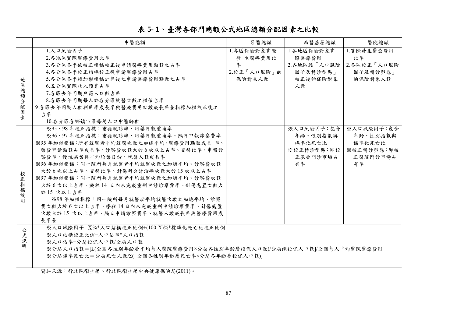### 表 **5- 1**、臺灣各部門總額公式地區總額分配因素之比較

|                                                 | 中醫總額                                                                | 牙醫總額        | 西醫基層總額      | 醫院總額        |
|-------------------------------------------------|---------------------------------------------------------------------|-------------|-------------|-------------|
|                                                 | 1.人口風險因子                                                            | 1.各區保險對象實際  | 1.各地區保險對象實  | 1.實際發生醫療費用  |
|                                                 | 2.各地區實際醫療費用比率                                                       | 發 生醫療費用比    | 際醫療費用       | 比率          |
|                                                 | 3.各分區各季依校正指標校正後申請醫療費用點數之占率                                          | 率           | 2.各地區經「人口風險 | 2.各區校正「人口風險 |
|                                                 | 4.各分區各季校正指標校正後申請醫療費用占率                                              | 2.校正「人口風險」的 | 因子及轉診型態」    | 因子及轉診型態」    |
| 地                                               | 5.各分區各季經加權指標計算後之申請醫療費用點數之占率                                         | 保險對象人數      | 校正後的保險對象    | 的保險對象人數     |
| $\mathbb{F}_{\!\!\scriptscriptstyle\mathrm{D}}$ | 6.五分區實際收入預算占率                                                       |             | 人數          |             |
| 總<br>額                                          | 7.各區去年同期戶籍人口數占率                                                     |             |             |             |
| 分                                               | 8.各區去年同期每人於各分區就醫次數之權值占率                                             |             |             |             |
| 配                                               | 9 各區去年同期人數利用率成長率與醫療費用點數成長率差指標加權校正後之                                 |             |             |             |
| 因<br>素                                          | 占率                                                                  |             |             |             |
|                                                 | 10.各分區各鄉鎮市區每萬人口中醫師數                                                 |             |             |             |
|                                                 | ※95、98年校正指標:重複就診率、用藥日數重複率                                           |             | ※人口風險因子:包含  | ※人口風險因子:包含  |
|                                                 | ※96、97年校正指標:重複就診率、用藥日數重複率、隔日申報診察費率                                  |             | 年齡、性別指數與    | 年齡、性別指數與    |
|                                                 | ※95年加權指標:所有就醫者平均就醫次數之加總平均、醫療費用點數成長 率、                               |             | 標準化死亡比      | 標準化死亡比      |
|                                                 | 藥費申請點數占率成長率、診察費次數大於6次以上占率、交替比率、申報診                                  |             | ※校正轉診型態:即校  | ※校正轉診型態:即校  |
|                                                 | 察費率、慢性病案件平均給藥日份、就醫人數成長率                                             |             | 正基層門診市場占    | 正醫院門診市場占    |
|                                                 | ※96年加權指標:同一院所每月就醫者平均就醫次數之加總平均、診察費次數                                 |             | 有率          | 有率          |
| 校                                               | 大於6次以上占率、交替比率、針傷科合計治療次數大於15次以上占率                                    |             |             |             |
| 正                                               | ※97年加權指標:同一院所每月就醫者平均就醫次數之加總平均、診察費次數                                 |             |             |             |
| 指                                               | 大於6次以上占率、療程14日內未完成重新申請診察費率、針傷處置次數大                                  |             |             |             |
| 標<br>說                                          | 於15次以上占率                                                            |             |             |             |
| 明                                               | ※98年加權指標:同一院所每月就醫者平均就醫次數之加總平均、診察                                    |             |             |             |
|                                                 | 費次數大於6次以上占率、療程14日內未完成重新申請診察費率、針傷處置                                  |             |             |             |
|                                                 | 次數大於15次以上占率、隔日申請診察費率、就醫人數成長率與醫療費用成                                  |             |             |             |
|                                                 | 長率差                                                                 |             |             |             |
| 公                                               | ※人口風險因子=X%*人口結構校正比例+(100-X)%*標準化死亡比校正比例                             |             |             |             |
| 式                                               | ※人口結構校正比例=人口佔率*人口指數                                                 |             |             |             |
| 說<br>明                                          | ※人口佔率=分局投保人口數/全局人口數                                                 |             |             |             |
|                                                 | ※分局人口指數=[∑(全國各性別年齡層平均每人醫院醫療費用×分局各性別年齡層投保人口數)/分局總投保人口數 /全國每人平均醫院醫療費用 |             |             |             |
|                                                 | ※分局標準死亡比=分局死亡人數/Z(全國各性別年齡層死亡率×分局各年齡層投保人口數)                          |             |             |             |
|                                                 |                                                                     |             |             |             |

資料來源:行政院衛生署、行政院衛生署中央健康保險局(2011)。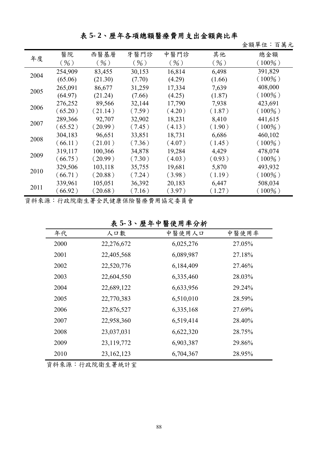### 表 **5- 2**、歷年各項總額醫療費用支出金額與比率

金額單位:百萬元

| 年度   | 醫院      | 西醫基層    | 牙醫門診   | 中醫門診   | 其他     | 總金額       |
|------|---------|---------|--------|--------|--------|-----------|
|      | (96)    | $($ %)  | ( %)   | ( %)   | ( %)   | $(100\%)$ |
| 2004 | 254,909 | 83,455  | 30,153 | 16,814 | 6,498  | 391,829   |
|      | (65.06) | (21.30) | (7.70) | (4.29) | (1.66) | $(100\%)$ |
| 2005 | 265,091 | 86,677  | 31,259 | 17,334 | 7,639  | 408,000   |
|      | (64.97) | (21.24) | (7.66) | (4.25) | (1.87) | $(100\%)$ |
| 2006 | 276,252 | 89,566  | 32,144 | 17,790 | 7,938  | 423,691   |
|      | (65.20) | (21.14) | (7.59) | (4.20) | (1.87) | $(100\%)$ |
| 2007 | 289,366 | 92,707  | 32,902 | 18,231 | 8,410  | 441,615   |
|      | (65.52) | (20.99) | (7.45) | (4.13) | (1.90) | $(100\%)$ |
| 2008 | 304,183 | 96,651  | 33,851 | 18,731 | 6,686  | 460,102   |
|      | (66.11) | (21.01) | (7.36) | (4.07) | (1.45) | $(100\%)$ |
| 2009 | 319,117 | 100,366 | 34,878 | 19,284 | 4,429  | 478,074   |
|      | (66.75) | (20.99) | (7.30) | (4.03) | (0.93) | $(100\%)$ |
| 2010 | 329,506 | 103,118 | 35,755 | 19,681 | 5,870  | 493,932   |
|      | (66.71) | (20.88) | (7.24) | (3.98) | (1.19) | $(100\%)$ |
| 2011 | 339,961 | 105,051 | 36,392 | 20,183 | 6,447  | 508,034   |
|      | (66.92) | (20.68) | (7.16) | (3.97) | (1.27) | $(100\%)$ |

資料來源:行政院衛生署全民健康保險醫療費用協定委員會

表 **5- 3**、歷年中醫使用率分析

| 年代<br>人口數<br>中醫使用率<br>中醫使用人口<br>2000<br>22,276,672<br>6,025,276<br>27.05%<br>27.18%<br>2001<br>6,089,987<br>22,405,568<br>2002<br>22,520,776<br>6,184,409<br>27.46%<br>2003<br>28.03%<br>22,604,550<br>6,335,460<br>2004<br>22,689,122<br>29.24%<br>6,633,956<br>2005<br>22,770,383<br>6,510,010<br>28.59%<br>2006<br>6,335,168<br>27.69%<br>22,876,527<br>2007<br>22,958,360<br>6,519,414<br>28.40%<br>2008<br>28.75%<br>23,037,031<br>6,622,320<br>2009<br>29.86%<br>23,119,772<br>6,903,387<br>2010<br>23, 162, 123<br>28.95%<br>6,704,367 |  |  |  |
|-----------------------------------------------------------------------------------------------------------------------------------------------------------------------------------------------------------------------------------------------------------------------------------------------------------------------------------------------------------------------------------------------------------------------------------------------------------------------------------------------------------------------------------------------|--|--|--|
|                                                                                                                                                                                                                                                                                                                                                                                                                                                                                                                                               |  |  |  |
|                                                                                                                                                                                                                                                                                                                                                                                                                                                                                                                                               |  |  |  |
|                                                                                                                                                                                                                                                                                                                                                                                                                                                                                                                                               |  |  |  |
|                                                                                                                                                                                                                                                                                                                                                                                                                                                                                                                                               |  |  |  |
|                                                                                                                                                                                                                                                                                                                                                                                                                                                                                                                                               |  |  |  |
|                                                                                                                                                                                                                                                                                                                                                                                                                                                                                                                                               |  |  |  |
|                                                                                                                                                                                                                                                                                                                                                                                                                                                                                                                                               |  |  |  |
|                                                                                                                                                                                                                                                                                                                                                                                                                                                                                                                                               |  |  |  |
|                                                                                                                                                                                                                                                                                                                                                                                                                                                                                                                                               |  |  |  |
|                                                                                                                                                                                                                                                                                                                                                                                                                                                                                                                                               |  |  |  |
|                                                                                                                                                                                                                                                                                                                                                                                                                                                                                                                                               |  |  |  |
|                                                                                                                                                                                                                                                                                                                                                                                                                                                                                                                                               |  |  |  |

資料來源:行政院衛生署統計室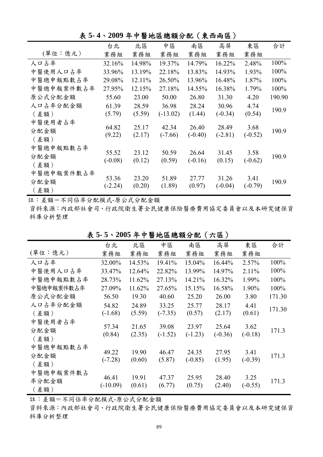|            | 台北        | 北區     | 中區         | 南區        | 高屏        | 東區        | 合計     |
|------------|-----------|--------|------------|-----------|-----------|-----------|--------|
| (單位:億元)    | 業務組       | 業務組    | 業務組        | 業務組       | 業務組       | 業務組       |        |
| 人口占率       | 32.16%    | 14.98% | 19.37%     | 14.79%    | 16.22%    | 2.48%     | 100%   |
| 中醫使用人口占率   | 33.96%    | 13.19% | 22.18%     | 13.83%    | 14.93%    | 1.93%     | 100%   |
| 中醫總申報點數占率  | 29.08%    | 12.11% | 26.50%     | 13.96%    | 16.48%    | 1.87%     | 100%   |
| 中醫總申報案件數占率 | 27.95%    | 12.15% | 27.18%     | 14.55%    | 16.38%    | 1.79%     | 100%   |
| 原公式分配金額    | 55.60     | 23.00  | 50.00      | 26.80     | 31.30     | 4.20      | 190.90 |
| 人口占率分配金額   | 61.39     | 28.59  | 36.98      | 28.24     | 30.96     | 4.74      |        |
| (差額)       | (5.79)    | (5.59) | $(-13.02)$ | (1.44)    | $(-0.34)$ | (0.54)    | 190.9  |
| 中醫使用者占率    |           |        |            |           |           |           |        |
| 分配金額       | 64.82     | 25.17  | 42.34      | 26.40     | 28.49     | 3.68      | 190.9  |
| (差額)       | (9.22)    | (2.17) | $(-7.66)$  | $(-0.40)$ | $(-2.81)$ | $(-0.52)$ |        |
| 中醫總申報點數占率  |           |        |            |           |           |           |        |
| 分配金額       | 55.52     | 23.12  | 50.59      | 26.64     | 31.45     | 3.58      | 190.9  |
| (差額)       | $(-0.08)$ | (0.12) | (0.59)     | $(-0.16)$ | (0.15)    | $(-0.62)$ |        |
| 中醫總申報案件數占率 |           |        |            |           |           |           |        |
| 分配金額       | 53.36     | 23.20  | 51.89      | 27.77     | 31.26     | 3.41      | 190.9  |
| (差額)       | $(-2.24)$ | (0.20) | (1.89)     | (0.97)    | $(-0.04)$ | $(-0.79)$ |        |
|            |           |        |            |           |           |           |        |

表 **5- 4**、**2009** 年中醫地區總額分配(東西兩區)

註:差額=不同佔率分配模式-原公式分配金額

資料來源:內政部社會司、行政院衛生署全民健康保險醫療費用協定委員會以及本研究健保資 料庫分析整理

|                            | 台北                  | 北區              | 中區                 | 南區                 | 高屏                 | 東區                | 合計     |
|----------------------------|---------------------|-----------------|--------------------|--------------------|--------------------|-------------------|--------|
| (單位:億元)                    | 業務組                 | 業務組             | 業務組                | 業務組                | 業務組                | 業務組               |        |
| 人口占率                       | 32.00%              | 14.53%          | 19.41%             | 15.04%             | 16.44%             | 2.57%             | 100%   |
| 中醫使用人口占率                   | 33.47%              | 12.64%          | 22.82%             | 13.99%             | 14.97%             | 2.11%             | 100%   |
| 中醫總申報點數占率                  | 28.73%              | 11.62%          | 27.13%             | 14.21%             | 16.32%             | 1.99%             | 100%   |
| 中醫總申報案件數占率                 | 27.09%              | 11.62%          | 27.65%             | 15.15%             | 16.58%             | 1.90%             | 100%   |
| 原公式分配金額                    | 56.50               | 19.30           | 40.60              | 25.20              | 26.00              | 3.80              | 171.30 |
| 人口占率分配金額                   | 54.82               | 24.89           | 33.25              | 25.77              | 28.17              | 4.41              | 171.30 |
| (差額)                       | $(-1.68)$           | (5.59)          | $(-7.35)$          | (0.57)             | (2.17)             | (0.61)            |        |
| 中醫使用者占率<br>分配金額<br>(差額)    | 57.34<br>(0.84)     | 21.65<br>(2.35) | 39.08<br>$(-1.52)$ | 23.97<br>$(-1.23)$ | 25.64<br>$(-0.36)$ | 3.62<br>$(-0.18)$ | 171.3  |
| 中醫總申報點數占率<br>分配金額<br>(差額)  | 49.22<br>$(-7.28)$  | 19.90<br>(0.60) | 46.47<br>(5.87)    | 24.35<br>$(-0.85)$ | 27.95<br>(1.95)    | 3.41<br>$(-0.39)$ | 171.3  |
| 中醫總申報案件數占<br>率分配金額<br>(差額) | 46.41<br>$(-10.09)$ | 19.91<br>(0.61) | 47.37<br>(6.77)    | 25.95<br>(0.75)    | 28.40<br>(2.40)    | 3.25<br>$(-0.55)$ | 171.3  |

表 **5- 5**、**2005** 年中醫地區總額分配(六區)

註:差額=不同佔率分配模式-原公式分配金額

資料來源:內政部社會司、行政院衛生署全民健康保險醫療費用協定委員會以及本研究健保資 料庫分析整理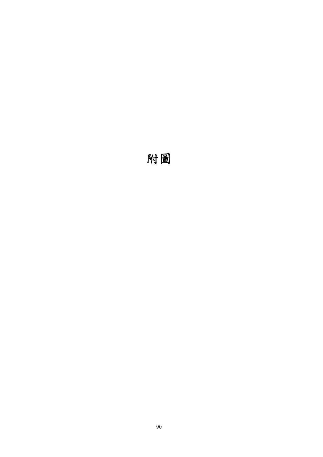# 附圖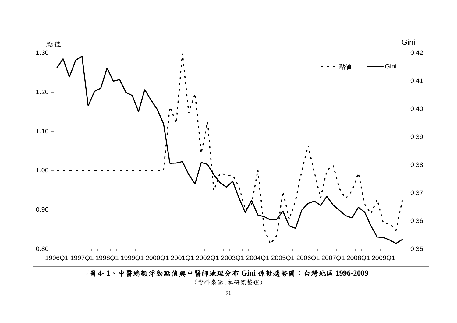

圖 **4- 1**、中醫總額浮動點值與中醫師地理分布 **Gini** 係數趨勢圖:台灣地區 **1996-2009**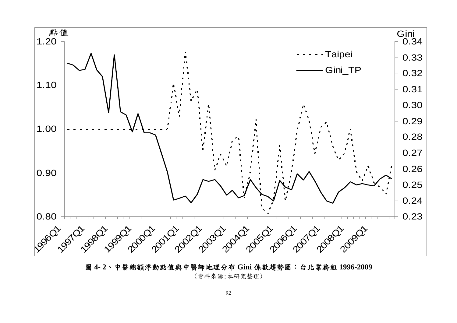

圖 **4- 2**、中醫總額浮動點值與中醫師地理分布 **Gini** 係數趨勢圖:台北業務組 **1996-2009**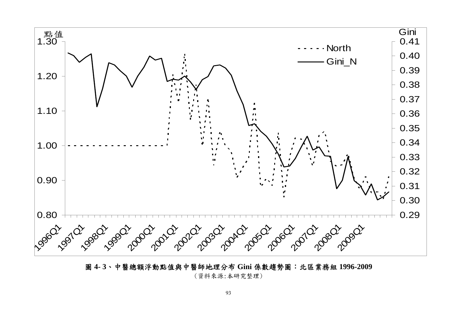

圖 **4- 3**、中醫總額浮動點值與中醫師地理分布 **Gini** 係數趨勢圖:北區業務組 **1996-2009**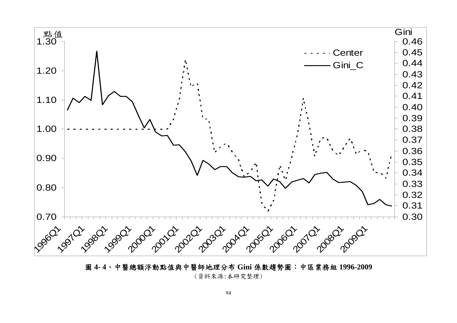

圖 **4- 4**、中醫總額浮動點值與中醫師地理分布 **Gini** 係數趨勢圖:中區業務組 **1996-2009**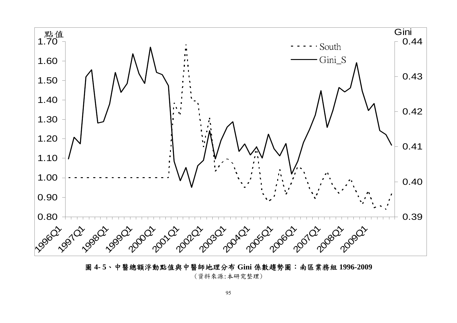

圖 **4- 5**、中醫總額浮動點值與中醫師地理分布 **Gini** 係數趨勢圖:南區業務組 **1996-2009**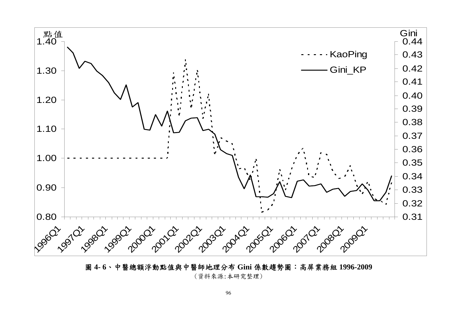

圖 **4- 6**、中醫總額浮動點值與中醫師地理分布 **Gini** 係數趨勢圖:高屏業務組 **1996-2009**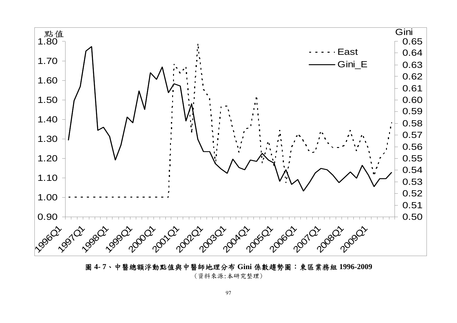

圖 **4- 7**、中醫總額浮動點值與中醫師地理分布 **Gini** 係數趨勢圖:東區業務組 **1996-2009** 

(資料來源:本研究整理)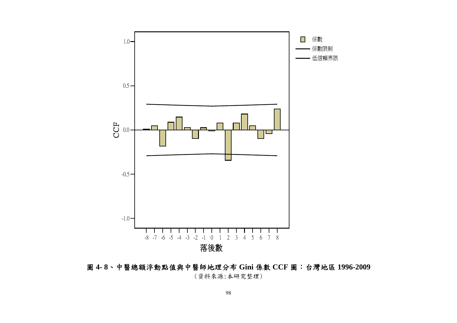

圖 **4- 8**、中醫總額浮動點值與中醫師地理分布 **Gini** 係數 **CCF** 圖:台灣地區 **1996-2009**  (資料來源:本研究整理)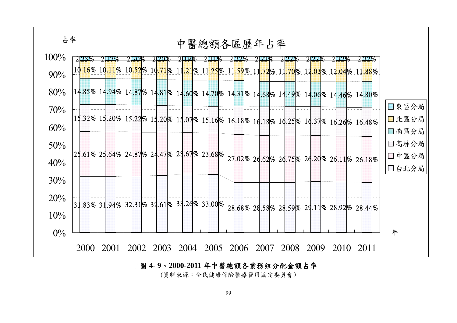



(資料來源:全民健康保險醫療費用協定委員會)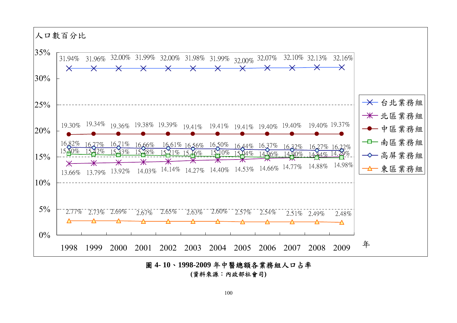

圖 **4- 10**、**1998-2009** 年中醫總額各業務組人口占率

**(**資料來源:內政部社會司**)**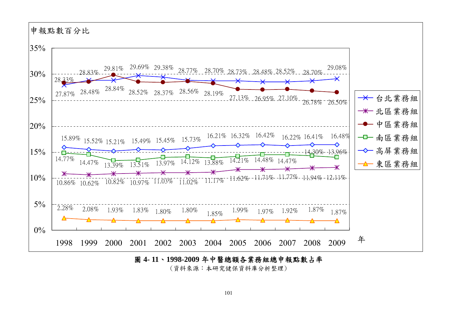

圖 **4- 11**、**1998-2009** 年中醫總額各業務組總申報點數占率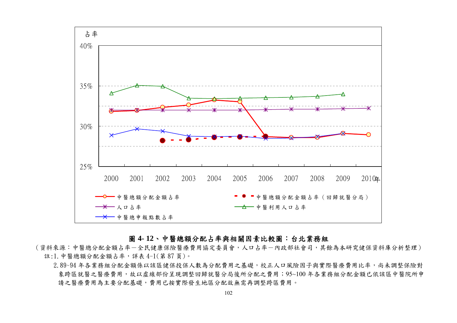

### 圖 **4- 12**、中醫總額分配占率與相關因素比較圖:台北業務組

(資料來源:中醫總分配金額占率一全民健康保險醫療費用協定委員會,人口占率一內政部社會司,其餘為本研究健保資料庫分析整理) 註:1.中醫總額分配金額占率,詳表 4-1(第 87 頁)。

2.89~94年各業務組分配金額係以該區健保投保人數為分配費用之基礎,校正人口風險因子與實際醫療費用比率,尚未調整保險對 象跨區就醫之醫療費用,故以虛線部份呈現調整回歸就醫分局後所分配之費用;95~100 年各業務組分配金額已依該區中醫院所申 請之醫療費用為主要分配基礎,費用已按實際發生地區分配故無需再調整跨區費用。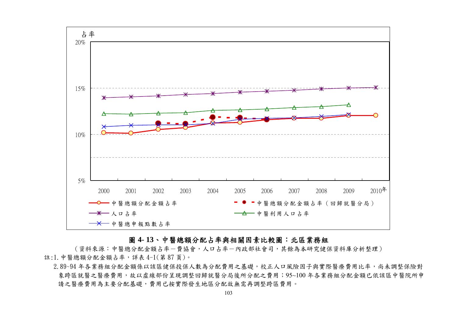

### 圖 **4- 13**、中醫總額分配占率與相關因素比較圖:北區業務組

(資料來源:中醫總分配金額占率-費協會,人口占率-內政部社會司,其餘為本研究健保資料庫分析整理) 註:1.中醫總額分配金額占率,詳表 4-1(第 87 頁)。

2.89~94年各業務組分配金額係以該區健保投保人數為分配費用之基礎,校正人口風險因子與實際醫療費用比率,尚未調整保險對 象跨區就醫之醫療費用,故以虛線部份呈現調整回歸就醫分局後所分配之費用;95~100 年各業務組分配金額已依該區中醫院所申 請之醫療費用為主要分配基礎,費用已按實際發生地區分配故無需再調整跨區費用。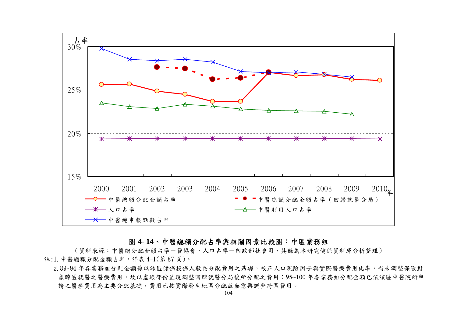

### 圖 **4- 14**、中醫總額分配占率與相關因素比較圖:中區業務組

(資料來源:中醫總分配金額占率-曹協會,人口占率-內政部社會司,其餘為本研究健保資料庫分析整理) 註:1.中醫總額分配金額占率,詳表 4-1(第 87 頁)。

<sup>2.89~94</sup>年各業務組分配金額係以該區健保投保人數為分配費用之基礎,校正人口風險因子與實際醫療費用比率,尚未調整保險對 象跨區就醫之醫療費用,故以虛線部份呈現調整回歸就醫分局後所分配之費用;95~100年各業務組分配金額已依該區中醫院所申 請之醫療費用為主要分配基礎,費用已按實際發生地區分配故無需再調整跨區費用。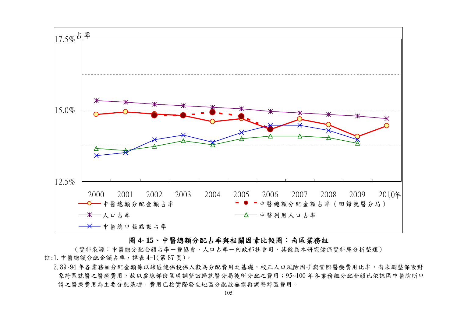

### 圖 **4- 15**、中醫總額分配占率與相關因素比較圖:南區業務組

(資料來源:中醫總分配金額占率-費協會,人口占率-內政部社會司,其餘為本研究健保資料庫分析整理) 註:1.中醫總額分配金額占率,詳表 4-1(第 87 頁)。

2.89~94年各業務組分配金額係以該區健保投保人數為分配費用之基礎,校正人口風險因子與實際醫療費用比率,尚未調整保險對 象跨區就醫之醫療費用,故以虛線部份呈現調整回歸就醫分局後所分配之費用;95~100 年各業務組分配金額已依該區中醫院所申 請之醫療費用為主要分配基礎,費用已按實際發生地區分配故無需再調整跨區費用。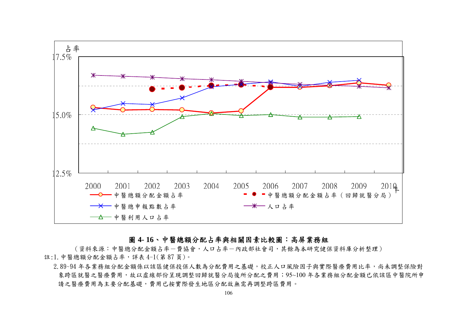

### 圖 **4- 16**、中醫總額分配占率與相關因素比較圖:高屏業務組

(資料來源:中醫總分配金額占率-費協會,人口占率-內政部社會司,其餘為本研究健保資料庫分析整理) 註:1.中醫總額分配金額占率,詳表 4-1(第 87 頁)。

2.89~94年各業務組分配金額係以該區健保投保人數為分配費用之基礎,校正人口風險因子與實際醫療費用比率,尚未調整保險對 象跨區就醫之醫療費用,故以虛線部份呈現調整回歸就醫分局後所分配之費用;95~100年各業務組分配金額已依該區中醫院所申 請之醫療費用為主要分配基礎,費用已按實際發生地區分配故無需再調整跨區費用。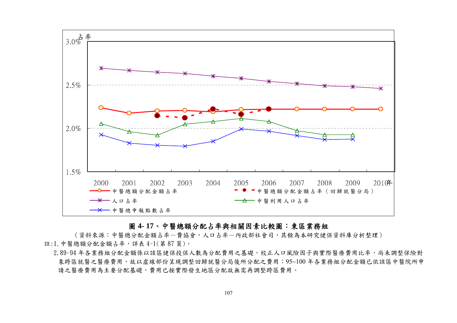

### 圖 **4- 17**、中醫總額分配占率與相關因素比較圖:東區業務組

(資料來源:中醫總分配金額占率-費協會,人口占率-內政部社會司,其餘為本研究健保資料庫分析整理) 註:1. 中醫總額分配金額占率,詳表 4-1(第87頁)。

2.89~94年各業務組分配金額係以該區健保投保人數為分配費用之基礎,校正人口風險因子與實際醫療費用比率,尚未調整保險對 象跨區就醫之醫療費用,故以虛線部份呈現調整回歸就醫分局後所分配之費用;95~100年各業務組分配金額已依該區中醫院所申 請之醫療費用為主要分配基礎,費用已按實際發生地區分配故無需再調整跨區費用。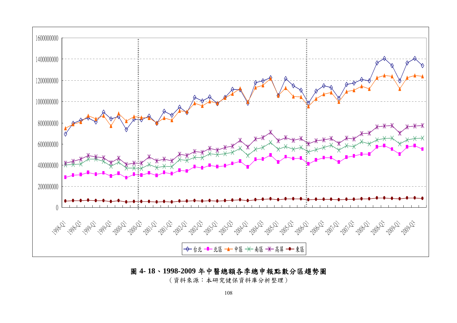

# 圖 **4- 18**、**1998-2009** 年中醫總額各季總申報點數分區趨勢圖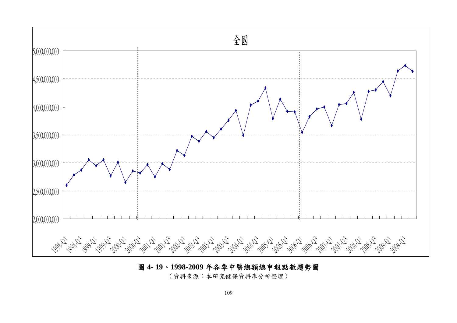

# 圖 **4- 19**、**1998-2009** 年各季中醫總額總申報點數趨勢圖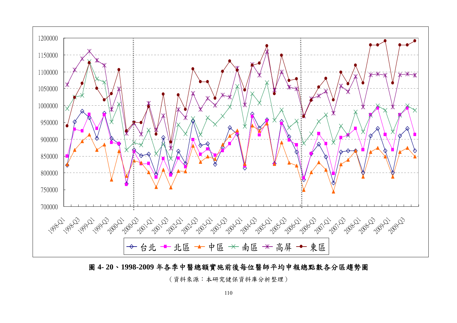

圖 **4- 20**、**1998-2009** 年各季中醫總額實施前後每位醫師平均申報總點數各分區趨勢圖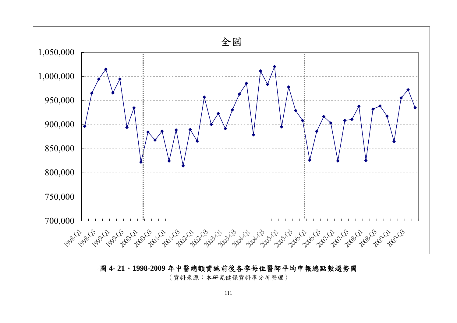

圖 **4- 21**、**1998-2009** 年中醫總額實施前後各季每位醫師平均申報總點數趨勢圖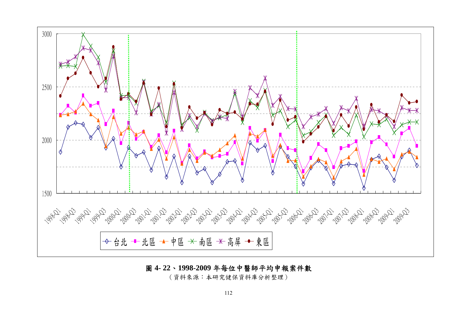

### 圖 **4- 22**、**1998-2009** 年每位中醫師平均申報案件數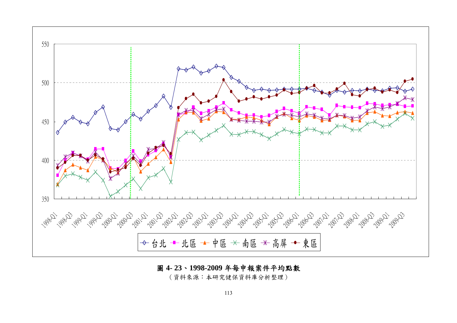

### 圖 **4- 23**、**1998-2009** 年每申報案件平均點數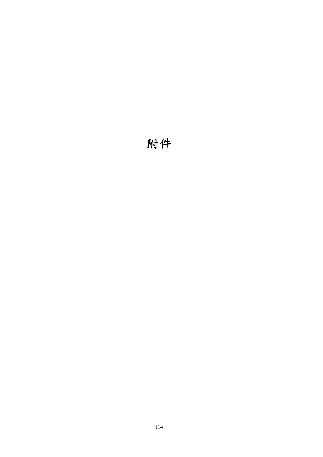# 附件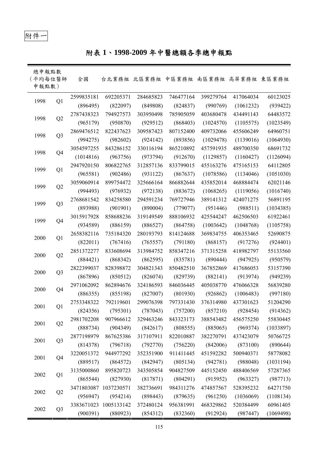# 附件一

# 附表 **1**、**1998-2009** 年中醫總額各季總申報點

| 總申報點數<br>(平均每位醫師<br>申報點數) |                | 全國         |                       | 台北業務組 北區業務組 中區業務組 南區業務組 高屏業務組 東區業務組 |           |           |           |           |
|---------------------------|----------------|------------|-----------------------|-------------------------------------|-----------|-----------|-----------|-----------|
| 1998                      | Q1             | 2599835181 | 692205371             | 284685823                           | 746477164 | 399279764 | 417064034 | 60123025  |
|                           |                | (896495)   | (822097)              | (849808)                            | (824837)  | (990769)  | (1061232) | (939422)  |
|                           |                | 2787438323 | 794927573             | 303950498                           | 785905059 | 403680478 | 434491143 | 64483572  |
| 1998                      | Q2             | (965179)   | (950870)              | (929512)                            | (868403)  | (1024570) | (1105575) | (1023549) |
| 1998                      | Q <sub>3</sub> | 2869476512 | 822437623             | 309587423                           | 807152400 | 409732066 | 455606249 | 64960751  |
|                           |                | (994275)   | (982602)              | (924142)                            | (893856)  | (1029478) | (1139016) | (1064930) |
| 1998                      |                | 3054597255 | 843286152             | 330116194                           | 865210892 | 457591935 | 489700350 | 68691732  |
|                           | Q <sub>4</sub> | (1014816)  | (963756)              | (973794)                            | (912670)  | (1129857) | (1160427) | (1126094) |
| 1999                      | Q1             | 2947920150 | 806822765             | 312857136                           | 833799015 | 455163276 | 475165153 | 64112805  |
|                           |                | (965581)   | (902486)              | (931122)                            | (867637)  | (1078586) | (1134046) | (1051030) |
|                           |                | 3059060914 | 899754472             | 325666164                           | 866882644 | 435852014 | 468884474 | 62021146  |
| 1999                      | Q2             | (994493)   | (976932)              | (972138)                            | (883672)  | (1068265) | (1119056) | (1016740) |
| 1999                      |                | 2768681542 | 834258580             | 294591234                           | 769727946 | 389141312 | 424071275 | 56891195  |
|                           | Q <sub>3</sub> | (893988)   | (901901)              | (890004)                            | (779077)  | (951446)  | (988511)  | (1034385) |
| 1999                      | Q4             | 3015917928 | 858688236             | 319149549                           | 888106932 | 425544247 | 462506503 | 61922461  |
|                           |                | (934589)   | (886159)              | (886527)                            | (864758)  | (1003642) | (1048768) | (1105758) |
| 2000                      |                | 2658382116 | 735184320             | 280193793                           | 814124688 | 369834755 | 406353465 | 52690875  |
|                           | Q1             | (822011)   | (767416)              | (765557)                            | (791180)  | (868157)  | (917276)  | (924401)  |
| 2000                      |                | 2851372277 | 833608694             | 313984752                           | 858347216 | 371315258 | 418982797 | 55133560  |
|                           | Q2             | (884421)   | (868342)              | (862595)                            | (835781)  | (890444)  | (947925)  | (950579)  |
|                           |                | 2822399037 | 828398872             | 304821343                           | 850482510 | 367852869 | 417686053 | 53157390  |
| 2000                      | Q <sub>3</sub> | (867896)   | (850512)              | (826074)                            | (829739)  | (882141)  | (913974)  | (949239)  |
| 2000                      |                | 2971062092 | 862894676             | 324186593                           | 846036445 | 405038770 | 476066328 | 56839280  |
|                           | Q4             | (886355)   | (855198)              | (827007)                            | (801930)  | (926862)  | (1006483) | (997180)  |
| 2001                      | Q1             | 2753348322 | 792119601             | 299076398                           | 797331430 | 376314980 | 437301623 | 51204290  |
|                           |                | (824356)   | (795301)              | (787043)                            | (757200)  | (857210)  | (928454)  | (914362)  |
| 2001                      |                | 2981702208 | 907966612             | 329463246                           | 843323173 | 388543482 | 456575250 | 55830445  |
|                           | Q2             | (888734)   | (904349)              | (842617)                            | (808555)  | (885065)  | (969374)  | (1033897) |
| 2001                      | Q <sub>3</sub> | 2877198979 | 867625386             | 317107911                           | 822010887 | 382270791 | 437423079 | 50766725  |
|                           |                | (814378)   | (796718)              | (792770)                            | (756220)  | (842006)  | (873100)  | (890644)  |
| 2001                      | Q4             | 3220051372 | 944977292             | 352351900                           | 911411445 | 451592282 | 500940371 | 58778082  |
|                           |                | (889517)   | (864572)              | (842947)                            | (805134)  | (942781)  | (988048)  | (1031194) |
| 2002                      |                | 3135000860 | 895820723             | 343505854                           | 904827509 | 445152450 | 488406569 | 57287365  |
|                           | Q1             | (865544)   | (827930)              | (817871)                            | (804291)  | (915952)  | (963327)  | (987713)  |
|                           |                | 3471803087 | 1037230571            | 382736691                           | 984311276 | 474857567 | 528395232 | 64271750  |
| 2002                      | Q2             | (956947)   | (954214)              | (898443)                            | (879635)  | (961250)  | (1036069) | (1108134) |
|                           |                |            | 3383671023 1005133142 | 372480124                           | 956381991 | 468329862 | 520384499 | 60961405  |
| 2002                      | Q <sub>3</sub> | (900391)   | (880923)              | (854312)                            | (832360)  | (912924)  | (987447)  | (1069498) |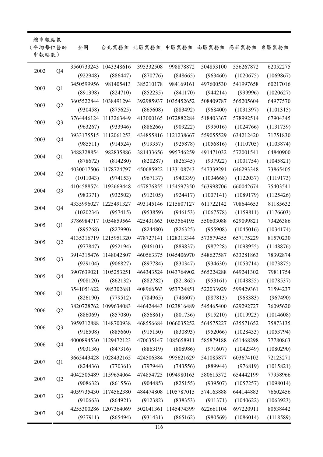| 總申報點數<br>(平均每位醫師<br>申報點數) |                | 全國         |                       | 台北業務組 北區業務組 中區業務組 南區業務組 高屏業務組 東區業務組 |                      |           |                        |           |
|---------------------------|----------------|------------|-----------------------|-------------------------------------|----------------------|-----------|------------------------|-----------|
|                           |                |            | 3560733243 1043348616 | 395332508                           | 998878872            | 504853100 | 556267872              | 62052275  |
| 2002                      | Q <sub>4</sub> | (922948)   | (886447)              | (870776)                            | (848665)             | (963460)  | (1020675)              | (1069867) |
|                           |                | 3450599956 | 981405413             | 385210178                           | 984169161            | 497600530 | 541997658              | 60217016  |
| 2003                      | Q1             | (891398)   | (824710)              | (852235)                            | (841170)             | (944214)  | (999996)               | (1020627) |
|                           |                |            | 3605522844 1038491294 |                                     | 392985937 1035452652 | 508409787 | 565205604              | 64977570  |
| 2003                      | Q2             | (930458)   | (875625)              | (865608)                            | (883492)             | (968400)  | (1031397)              | (1101315) |
|                           |                |            | 3764446124 1113263449 |                                     | 413000165 1072882284 | 518403367 | 578992514              | 67904345  |
| 2003                      | Q <sub>3</sub> | (963267)   | (933946)              | (886266)                            | (909222)             | (995016)  | (1024766)              | (1131739) |
|                           |                |            | 3933175515 1112061253 |                                     | 434855816 1121238667 | 559055529 | 634212420              | 71751830  |
| 2003                      | Q <sub>4</sub> | (985511)   | (914524)              | (919357)                            | (925878)             | (1056816) | (1110705)              | (1103874) |
|                           |                | 3488328854 | 982835886             | 381433656                           | 995746259            | 491471032 | 572001541              | 64840900  |
| 2004                      | Q1             | (878672)   | (814280)              | (820287)                            | (826345)             | (937922)  | (1001754)              | (1045821) |
|                           |                |            | 4030017506 1178724797 |                                     | 450685922 1133108743 | 547339291 | 646293348              | 73865405  |
| 2004                      | Q2             | (1011043)  | (974153)              | (967137)                            | (940339)             | (1034668) | (1122037)              | (1119173) |
|                           |                |            | 4104588574 1192669448 |                                     | 457876855 1154597350 | 563998706 | 660042674              | 75403541  |
| 2004                      | Q <sub>3</sub> | (983371)   | (932502)              | (912105)                            | (924417)             | (1007141) | (1089179)              | (1125426) |
|                           |                |            | 4335996027 1225491327 |                                     | 493145146 1215807127 | 611722142 | 708644653              | 81185632  |
| 2004                      | Q4             | (1020234)  | (957415)              | (953859)                            | (946153)             | (1067578) | (1159811)              | (1176603) |
|                           |                |            | 3786984717 1054859564 |                                     | 425431663 1053564195 | 550603088 | 629099821              | 73426386  |
| 2005                      | Q1             | (895268)   | (827990)              | (824480)                            | (826325)             | (955908)  | (1045016)              | (1034174) |
|                           |                |            | 4135316719 1215951320 |                                     | 478727141 1128313344 | 573579455 | 657175229              | 81570230  |
| 2005                      | Q2             | (977847)   | (952194)              | (946101)                            | (889837)             | (987228)  | (1098955)              | (1148876) |
|                           |                |            | 3914315476 1148042807 |                                     | 460563375 1045406970 | 548627587 | 633281863              | 78392874  |
| 2005                      | Q <sub>3</sub> | (929104)   | (906827)              | (897784)                            | (830347)             | (934630)  | (1053714)              | (1073875) |
|                           |                |            | 3907639021 1105253251 |                                     | 464343524 1043764902 | 565224288 | 649241302              | 79811754  |
| 2005                      | Q <sub>4</sub> | (908120)   |                       | $(862132)$ $(882782)$               | (821862)             |           | $(953161)$ $(1048855)$ | (1078537) |
|                           |                | 3541051622 | 985302681             | 408966563                           | 953724851            | 522033929 | 599429361              | 71594237  |
| 2006                      | Q1             | (826190)   | (779512)              | (784965)                            | (748607)             | (887813)  | (968383)               | (967490)  |
|                           |                |            | 3820728762 1099634083 |                                     | 446424443 1023816489 | 545465400 | 629292727              | 76095620  |
| 2006                      | Q2             | (886069)   | (857080)              | (856861)                            | (801736)             | (915210)  | (1019923)              | (1014608) |
|                           |                |            | 3959312888 1148700938 |                                     | 468556684 1066035252 | 564575227 | 635571652              | 75873135  |
| 2006                      | Q <sub>3</sub> | (916508)   | (885660)              | (915150)                            | (830893)             | (952066)  | (1028433)              | (1053794) |
|                           |                |            | 4000894530 1129472123 |                                     | 470635147 1085658911 | 585879188 | 651468298              | 77780863  |
| 2006                      | Q4             | (903136)   | (847316)              | (886319)                            | (808986)             | (971607)  | (1042349)              | (1080290) |
|                           |                |            | 3665443428 1028432165 | 424506384                           | 995621629            | 541085877 | 603674102              | 72123271  |
| 2007                      | Q1             | (824436)   | (770361)              | (797944)                            | (743556)             | (889944)  | (976819)               | (1015821) |
|                           |                |            | 4042505489 1159654064 |                                     | 474854725 1094980163 | 580615372 | 654442199              | 77958966  |
| 2007                      | Q2             | (908632)   | (861556)              | (904485)                            | (825155)             | (939507)  | (1057257)              | (1098014) |
|                           |                |            | 4059735430 1174562380 |                                     | 484474808 1105787015 | 574163888 | 644144883              | 76602456  |
| 2007                      | Q <sub>3</sub> | (910663)   | (864921)              | (912382)                            | (838353)             | (911371)  | (1040622)              | (1063923) |
|                           |                |            | 4255300286 1207364069 |                                     | 502041361 1145474399 | 622661104 | 697220911              | 80538442  |
| 2007                      | Q <sub>4</sub> | (937911)   | (865494)              | (931431)                            | (865162)             | (980569)  | (1086014)              | (1118589) |

l.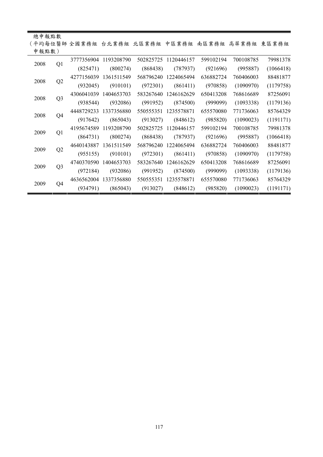| 總申報點數      |                        |                |                       |            |                                                   |            |           |           |           |
|------------|------------------------|----------------|-----------------------|------------|---------------------------------------------------|------------|-----------|-----------|-----------|
|            |                        |                |                       |            | (平均每位醫師 全國業務組 台北業務組 北區業務組 中區業務組 南區業務組 高屏業務組 東區業務組 |            |           |           |           |
|            | 申報點數)                  |                |                       |            |                                                   |            |           |           |           |
| 2008<br>Q1 |                        |                | 3777356904 1193208790 | 502825725  | 1120446157                                        | 599102194  | 700108785 | 79981378  |           |
|            |                        | (825471)       | (800274)              | (868438)   | (787937)                                          | (921696)   | (995887)  | (1066418) |           |
|            | 2008                   | Q2             | 4277156039            | 1361511549 | 568796240                                         | 1224065494 | 636882724 | 760406003 | 88481877  |
|            |                        |                | (932045)              | (910101)   | (972301)                                          | (861411)   | (970858)  | (1090970) | (1179758) |
|            | 2008<br>Q <sub>3</sub> |                | 4306041039            | 1404653703 | 583267640                                         | 1246162629 | 650413208 | 768616689 | 87256091  |
|            |                        |                | (938544)              | (932086)   | (991952)                                          | (874500)   | (999099)  | (1093338) | (1179136) |
|            | 2008                   | Q4             | 4448729233            | 1337356880 | 550555351                                         | 1235578871 | 655570080 | 771736063 | 85764329  |
|            |                        |                | (917642)              | (865043)   | (913027)                                          | (848612)   | (985820)  | (1090023) | (1191171) |
|            | 2009                   |                | 4195674589            | 1193208790 | 502825725                                         | 1120446157 | 599102194 | 700108785 | 79981378  |
|            |                        | Q1             | (864731)              | (800274)   | (868438)                                          | (787937)   | (921696)  | (995887)  | (1066418) |
|            | 2009                   | Q2             | 4640143887            | 1361511549 | 568796240                                         | 1224065494 | 636882724 | 760406003 | 88481877  |
|            |                        |                | (955155)              | (910101)   | (972301)                                          | (861411)   | (970858)  | (1090970) | (1179758) |
|            |                        |                | 4740370590            | 1404653703 | 583267640                                         | 1246162629 | 650413208 | 768616689 | 87256091  |
|            | 2009                   | Q <sub>3</sub> | (972184)              | (932086)   | (991952)                                          | (874500)   | (999099)  | (1093338) | (1179136) |
|            | 2009                   |                | 4636562004            | 1337356880 | 550555351                                         | 1235578871 | 655570080 | 771736063 | 85764329  |
|            |                        | Q4             | (934791)              | (865043)   | (913027)                                          | (848612)   | (985820)  | (1090023) | (1191171) |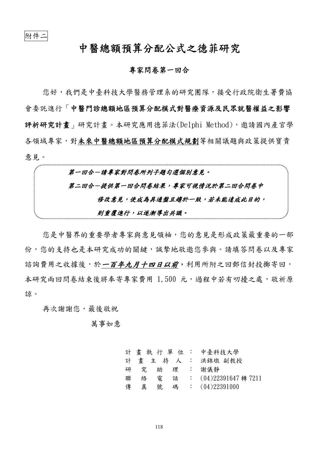# 中醫總額預算分配公式之德菲研究

### 專家問卷第一回合

您好,我們是中臺科技大學醫務管理系的研究團隊,接受行政院衛生署費協 會委託進行「中醫門診總額地區預算分配模式對醫療資源及民眾就醫權益之影響 評析研究計畫」研究計畫。本研究應用德菲法(Delphi Method),邀請國內產官學 各領域專家,對未來中醫總額地區預算分配模式規劃等相關議題與政策提供寶貴 意見。

第一回合一請專家對問卷所列子題勾選個別意見。 第二回合一提供第一回合問卷結果,專家可視情況於第二回合問卷中 修改意見,使成為具通盤且趨於一致,若未能達成此目的, 則重覆進行,以逐漸導出共識。

您是中醫界的重要學者專家與意見領袖,您的意見是形成政策最重要的一部 份,您的支持也是本研究成功的關鍵,誠摰地敬邀您參與。請填答問卷以及專家 諮詢費用之收據後,於一百年九月十四日以前,利用所附之回郵信封投擲寄回, 本研究兩回問卷結束後將奉寄專家費用 1,500 元,過程中若有叨擾之處,敬祈原 諒。

再次謝謝您,最後敬祝

萬事如意

|   |   |   |   | 計 畫 執 行 單 位 : 中臺科技大學    |
|---|---|---|---|-------------------------|
|   |   |   |   | 計 畫 主 持 人 : 洪錦墩 副教授     |
| 研 | 究 | 助 |   | 理 : 謝儀靜                 |
| 聯 | 絡 | 雷 | 話 | : $(04)22391647$ 轉 7211 |
| 傳 | 真 | 號 |   | 碼 : $(04)22391000$      |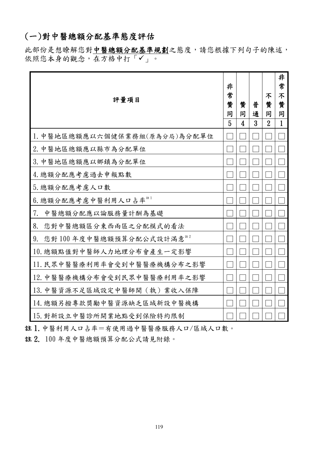# (一)對中醫總額分配基準態度評估

此部份是想瞭解您對中醫總額分配基準規劃之態度,請您根據下列句子的陳述, 依照您本身的觀念,在方格中打「√」。

| 評量項目                          | 非<br>常<br>贊<br>同<br>5 | 贊<br>同<br>4 | 普<br>通<br>3 | 不<br>贊<br>同<br>$\overline{2}$ | 非<br>常<br>不<br>贊<br>同<br>$\mathbf{1}$ |
|-------------------------------|-----------------------|-------------|-------------|-------------------------------|---------------------------------------|
| 1. 中醫地區總額應以六個健保業務組(原為分局)為分配單位 |                       |             |             |                               |                                       |
| 2. 中醫地區總額應以縣市為分配單位            |                       |             |             |                               |                                       |
| 3. 中醫地區總額應以鄉鎮為分配單位            |                       |             |             |                               |                                       |
| 4. 總額分配應考慮過去申報點數              |                       |             |             |                               |                                       |
| 5. 總額分配應考慮人口數                 |                       |             |             |                               |                                       |
| 6. 總額分配應考慮中醫利用人口占率            |                       |             |             |                               |                                       |
| 中醫總額分配應以論服務量計酬為基礎<br>7.       |                       |             |             |                               |                                       |
| 8.<br>您對中醫總額區分東西兩區之分配模式的看法    |                       |             |             |                               |                                       |
| 您對100年度中醫總額預算分配公式設計滿意<br>9.   |                       |             |             |                               |                                       |
| 10. 總額點值對中醫師人力地理分布會產生一定影響     |                       |             |             |                               |                                       |
| 11. 民眾中醫醫療利用率會受到中醫醫療機構分布之影響   |                       |             |             |                               |                                       |
| 12. 中醫醫療機構分布會受到民眾中醫醫療利用率之影響   |                       |             |             |                               |                                       |
| 13. 中醫資源不足區域設定中醫師開(執)業收入保障    |                       |             |             |                               |                                       |
| 14. 總額另撥專款獎勵中醫資源缺乏區域新設中醫機構    |                       |             |             |                               |                                       |
| 15. 對新設立中醫診所開業地點受到保險特約限制      |                       |             |             |                               |                                       |

註 1.中醫利用人口占率=有使用過中醫醫療服務人口/區域人口數。

註 2. 100 年度中醫總額預算分配公式請見附錄。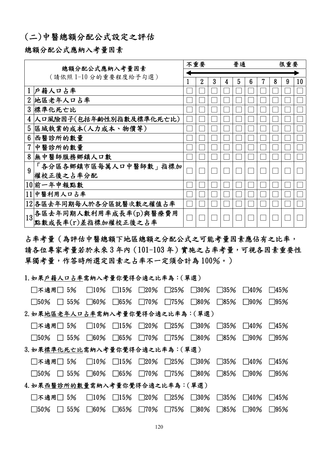# (二)中醫總額分配公式設定之評估

### 總額分配公式應納入考量因素

| 總額分配公式應納入考量因素   |                           |  |                |   | 普通 |   |   | 很重要 |   |   |    |
|-----------------|---------------------------|--|----------------|---|----|---|---|-----|---|---|----|
|                 |                           |  |                |   |    |   |   |     |   |   |    |
|                 | (請依照1-10分的重要程度給予勾選)       |  | $\overline{2}$ | 3 | 4  | 5 | 6 |     | 8 | 9 | 10 |
|                 | 戶籍人口占率                    |  |                |   |    |   |   |     |   |   |    |
| $\overline{2}$  | 地區老年人口占率                  |  |                |   |    |   |   |     |   |   |    |
| $3\overline{)}$ | 標準化死亡比                    |  |                |   |    |   |   |     |   |   |    |
| 4               | 人口風險因子(包括年齡性別指數及標準化死亡比)   |  |                |   |    |   |   |     |   |   |    |
| 5               | 區域執業的成本(人力成本、物價等)         |  |                |   |    |   |   |     |   |   |    |
| 6               | 西醫診所的數量                   |  |                |   |    |   |   |     |   |   |    |
| 7               | 中醫診所的數量                   |  |                |   |    |   |   |     |   |   |    |
| 8               | 無中醫師服務鄉鎮人口數               |  |                |   |    |   |   |     |   |   |    |
| $\overline{9}$  | 「各分區各鄉鎮市區每萬人口中醫師數」指標加     |  |                |   |    |   |   |     |   |   |    |
|                 | 權校正後之占率分配                 |  |                |   |    |   |   |     |   |   |    |
|                 | 10前一年申報點數                 |  |                |   |    |   |   |     |   |   |    |
|                 | 11中醫利用人口占率                |  |                |   |    |   |   |     |   |   |    |
|                 | 12 各區去年同期每人於各分區就醫次數之權值占率  |  |                |   |    |   |   |     |   |   |    |
|                 | 13 各區去年同期人數利用率成長率(p)與醫療費用 |  |                |   |    |   |   |     |   |   |    |
|                 | 點數成長率(r)差指標加權校正後之占率       |  |                |   |    |   |   |     |   |   |    |

占率考量(為評估中醫總額下地區總額之分配公式之可能考量因素應佔有之比率, 請各位專家考量若於未來 3 年內(101-103 年)實施之占率考量,可視各因素重要性 單獨考量,作答時所選定因素之占率不一定須合計為 100%。)

### 1.如果戶籍人口占率需納入考量你覺得合適之比率為:(單選)

| □不適用□ 5%                         | $\Box$ 10%         | $\Box$ 15%    | $\square$ 20% | $\square$ 25% | $\Box$ 30%  | $\Box$ 35% | $\Box 40\%$ | ∏45%       |
|----------------------------------|--------------------|---------------|---------------|---------------|-------------|------------|-------------|------------|
| $\Box$ 55%<br>$\Box$ 50%         | $\square$ 60%      | $\square$ 65% | $\square$ 70% | $\Box$ 75%    | $\Box$ 80%  | $\Box$ 85% | $\Box$ 90%  | $\Box$ 95% |
| 2. 如果地區老年人口占率需納入考量你覺得合適之比率為:(單選) |                    |               |               |               |             |            |             |            |
| $\Box$ 不適用 $\Box$ 5%             | $\Box$ 10%         | $\Box$ 15%    | $\square$ 20% | $\square$ 25% | $\Box 30\%$ | $\Box$ 35% | $\Box$ 40%  | $\Box$ 45% |
| $\Box$ 55%<br>$\square$ 50%      | $\Box 60\%$        | $\Box$ 65%    | $\Box$ 70%    | $\square$ 75% | $\Box$ 80%  | $\Box$ 85% | $\Box$ 90%  | $\Box$ 95% |
| 3. 如果標準化死亡比需納入考量你覺得合適之比率為:(單選)   |                    |               |               |               |             |            |             |            |
| $\Box$ 不適用 $\Box$ 5%             | $\Box$ 10%         | $\Box$ 15%    | $\square$ 20% | $\square$ 25% | $\Box$ 30%  | $\Box$ 35% | $\Box$ 40%  | $\Box$ 45% |
| $\Box$ 55%<br>$\square$ 50%      | $\Box 60\%$        | $\Box 65\%$   | $\Box$ 70%    | $\square$ 75% | $\Box$ 80%  | $\Box$ 85% | $\Box$ 90%  | $\Box$ 95% |
| 4. 如果西醫診所的數量需納入考量你覺得合適之比率為:(單選)  |                    |               |               |               |             |            |             |            |
| □不適用□ 5%                         | $\Box$ 10%         | $\Box$ 15%    | $\Box$ 20%    | $\square$ 25% | $\Box$ 30%  | $\Box$ 35% | $\Box$ 40%  | $\Box$ 45% |
| $\Box 50\%$<br>$\perp$           | 55%<br>$\Box 60\%$ | $\Box$ 65%    | $\Box$ 70%    | $\Box$ 75%    | $\Box$ 80%  | $\Box$ 85% | $\Box$ 90%  | $\Box$ 95% |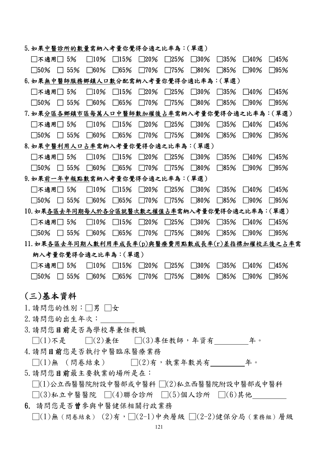| □不適用□ 5%                                                                                            |            | $\Box$ 10%           | $\Box$ 15%    | $\square 20\%$ | $\square$ 25% | $\square$ 30% | $\square$ 35%  | $\square$ 40% | $\Box$ 45%     |
|-----------------------------------------------------------------------------------------------------|------------|----------------------|---------------|----------------|---------------|---------------|----------------|---------------|----------------|
| $\Box$ 50%                                                                                          | $\Box$ 55% | $\square$ 60%        | $\square$ 65% | $\square$ 70%  | $\square$ 75% | $\square$ 80% | $\Box$ 85%     | $\Box$ 90%    | $\square$ 95%  |
| 6.如果無中醫師服務鄉鎮人口數分配需納入考量你覺得合適比率為:(單選)                                                                 |            |                      |               |                |               |               |                |               |                |
| □不適用□ 5%                                                                                            |            | $\Box$ 10%           | $\Box$ 15%    | $\square$ 20%  | $\square$ 25% | $\Box$ 30%    | $\square$ 35%  | $\square$ 40% | $\Box$ 45%     |
| $\square$ 50%                                                                                       | $\Box$ 55% | $\square$ 60%        | $\square$ 65% | $\square$ 70%  | $\square$ 75% | $\Box$ 80%    | $\square$ 85%  | $\Box$ 90%    | $\Box$ 95%     |
| 7. 如果分區各鄉鎮市區每萬人口中醫師數加權後占率需納入考量你覺得合適之比率為:( 單選 )                                                      |            |                      |               |                |               |               |                |               |                |
| □不適用□ 5%                                                                                            |            | $\Box$ 10%           | $\Box$ 15%    | $\square$ 20%  | $\Box$ 25%    | $\square$ 30% | $\square$ 35%  | $\square$ 40% | $\square 45\%$ |
| $\Box$ 50%                                                                                          | $\Box$ 55% | $\square$ 60%        | $\square$ 65% | $\Box$ 70%     | $\Box$ 75%    | $\Box$ 80%    | $\Box$ 85%     | $\Box$ 90%    | $\Box$ 95%     |
| 8. 如果中醫利用人口占率需納入考量你覺得合適之比率為:( 單選 )                                                                  |            |                      |               |                |               |               |                |               |                |
| □不適用□ 5%                                                                                            |            | $\Box$ 10%           | $\Box$ 15%    | $\square$ 20%  | $\square$ 25% | $\square$ 30% | $\square$ 35%  | $\square$ 40% | $\Box$ 45%     |
| $\square$ 50%                                                                                       | $\Box$ 55% | $\square$ 60%        | $\square$ 65% | $\square$ 70%  | $\square$ 75% | $\Box$ 80%    | $\Box$ 85%     | $\Box$ 90%    | $\Box$ 95%     |
| 9.如果前一年申報點數需納入考量你覺得合適之比率為:(單選)                                                                      |            |                      |               |                |               |               |                |               |                |
| □不適用□ 5%                                                                                            |            | $\Box$ 10%           | $\Box$ 15%    | $\square$ 20%  | $\square$ 25% | $\square$ 30% | $\square 35\%$ | $\square$ 40% | $\Box$ 45%     |
| $\square$ 50%                                                                                       | $\Box$ 55% | $\square$ 60%        | $\square$ 65% | $\square$ 70%  | $\Box$ 75%    | $\Box$ 80%    | $\square$ 85%  | $\Box$ 90%    | $\square$ 95%  |
| 10. 如果各區去年同期每人於各分區就醫次數之權值占率需納入考量你覺得合適之比率為: (單選)                                                     |            |                      |               |                |               |               |                |               |                |
| □不適用□ 5%                                                                                            |            | $\Box$ 10%           | $\Box$ 15%    | $\square$ 20%  | $\square$ 25% | $\square$ 30% | $\square$ 35%  | $\square$ 40% | $\square 45\%$ |
| $\square 50\% \square 55\%$                                                                         |            | $\square$ 60%        | $\square$ 65% | $\square$ 70%  | $\Box$ 75%    | $\square$ 80% | $\square$ 85%  | $\Box$ 90%    | $\Box$ 95%     |
| 11. 如果各區去年同期人數利用率成長率(p)與醫療費用點數成長率(r)差指標加權校正後之占率需                                                    |            |                      |               |                |               |               |                |               |                |
| 納入考量你覺得合適之比率為:(單選)                                                                                  |            |                      |               |                |               |               |                |               |                |
| $\Box$ 不適用 $\Box$ 5%                                                                                |            | $\Box$ 10%           | $\Box$ 15%    | $\square$ 20%  | $\square$ 25% | $\square$ 30% | $\square$ 35%  | $\Box$ 40%    | $\Box$ 45%     |
| $\square$ 50%                                                                                       | $\Box$ 55% | $\square$ 60%        | $\square$ 65% | $\square$ 70%  | $\Box$ 75%    | $\square$ 80% | $\square$ 85%  | $\square$ 90% | $\square$ 95%  |
|                                                                                                     |            |                      |               |                |               |               |                |               |                |
| (三)基本資料                                                                                             |            |                      |               |                |               |               |                |               |                |
| $1.$ 請問您的性別: $\Box$ 男 $\Box$ 女                                                                      |            |                      |               |                |               |               |                |               |                |
| 2. 請問您的出生年次:                                                                                        |            |                      |               |                |               |               |                |               |                |
| 3. 請問您目前是否為學校專兼任教職                                                                                  |            |                      |               |                |               |               |                |               |                |
| $\Box(1)$ 不是 $\Box(2)$ 兼任 $\Box(3)$ 專任教師,年資有 $\Box(1)$ 不是 $\Box(2)$ 兼任 $\Box(3)$ 專任教師,年資有 $\Box(2)$ |            |                      |               |                |               |               |                |               |                |
|                                                                                                     |            |                      |               |                |               |               |                |               |                |
|                                                                                                     |            | 4. 請問目前您是否執行中醫臨床醫療業務 |               |                |               |               |                |               |                |
| $\square(1)$ 無 (問卷結束) $\square(2)$ 有,執業年數共有 $\_\_\_\_\_\_\_\_\_\$ 午。                                |            |                      |               |                |               |               |                |               |                |
| 5. 請問您目前最主要執業的場所是在:                                                                                 |            |                      |               |                |               |               |                |               |                |
| $\Box(1)$ 公立西醫醫院附設中醫部或中醫科 $\Box(2)$ 私立西醫醫院附設中醫部或中醫科                                                 |            |                      |               |                |               |               |                |               |                |
| $\Box(3)$ 私立中醫醫院 $\Box(4)$ 聯合診所 $\Box(5)$ 個人診所 $\Box(6)$ 其他                                         |            |                      |               |                |               |               |                |               |                |
| 6. 請問您是否曾參與中醫健保相關行政業務                                                                               |            |                      |               |                |               |               |                |               |                |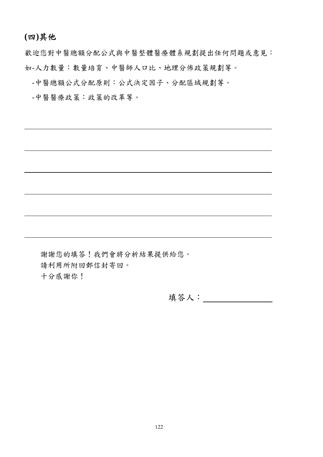# **(**四**)**其他

歡迎您對中醫總額分配公式與中醫整體醫療體系規劃提出任何問題或意見: 如-人力數量:數量培育、中醫師人口比、地理分佈政策規劃等。

-中醫總額公式分配原則:公式決定因子、分配區域規劃等。

-中醫醫療政策:政策的改革等。

謝謝您的填答!我們會將分析結果提供給您。 請利用所附回郵信封寄回。 十分感謝你!

填答人: \_\_\_\_\_\_\_\_\_\_\_\_\_\_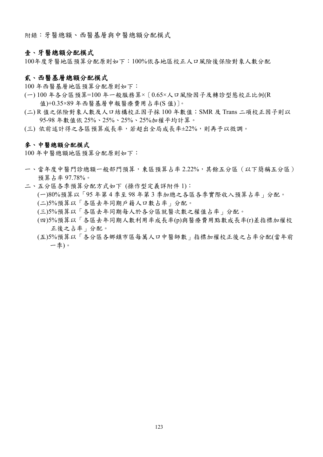附錄:牙醫總額、西醫基層與中醫總額分配模式

### 壹、牙醫總額分配模式

100年度牙醫地區預算分配原則如下:100%依各地區校正人口風險後保險對象人數分配

### 貳、西醫基層總額分配模式

100 年西醫基層地區預算分配原則如下:

- (一) 100 年各分區預算=100 年一般服務算×[0.65×人口風險因子及轉診型態校正比例(R 值)+0.35×89 年西醫基層申報醫療費用占率(S 值)]。
- (二) R 值之保險對象人數及人口結構校正因子採 100 年數值;SMR 及 Trans 二項校正因子則以 95-98 年數值依 25%、25%、25%、25%加權平均計算。
- (三) 依前述計得之各區預算成長率,若超出全局成長率±22%,則再予以微調。

#### 參、中醫總額分配模式

100 年中醫總額地區預算分配原則如下:

- 一、當年度中醫門診總額一般部門預算,東區預算占率 2.22%,其餘五分區(以下簡稱五分區) 預算占率 97.78%。
- 二、五分區各季預算分配方式如下 (操作型定義詳附件 1): (一)80%預算以「95 年第 4 季至 98 年第 3 季加總之各區各季實際收入預算占率」分配。 (二)5%預算以「各區去年同期戶籍人口數占率」分配。
	- (三)5%預算以「各區去年同期每人於各分區就醫次數之權值占率」分配。
	- (四)5%預算以「各區去年同期人數利用率成長率(p)與醫療費用點數成長率(r)差指標加權校 正後之占率」分配。
	- (五)5%預算以「各分區各鄉鎮市區每萬人口中醫師數」指標加權校正後之占率分配(當年前 一季)。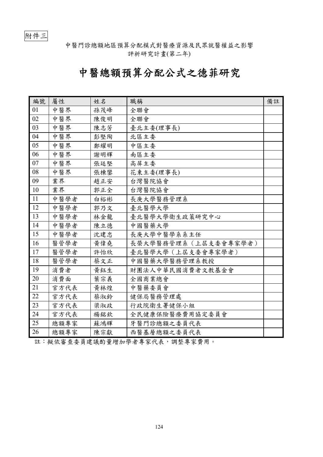附件三

中醫門診總額地區預算分配模式對醫療資源及民眾就醫權益之影響 評析研究計畫(第二年)

# 中醫總額預算分配公式之德菲研究

| 編號 | 屬性   | 姓名  | 職稱                    | 備註 |
|----|------|-----|-----------------------|----|
| 01 | 中醫界  | 孫茂峰 | 全聯會                   |    |
| 02 | 中醫界  | 陳俊明 | 全聯會                   |    |
| 03 | 中醫界  | 陳志芳 | 臺北主委(理事長)             |    |
| 04 | 中醫界  | 彭堅陶 | 北區主委                  |    |
| 05 | 中醫界  | 鄭耀明 | 中區主委                  |    |
| 06 | 中醫界  | 謝明輝 | 南區主委                  |    |
| 07 | 中醫界  | 張廷堅 | 高屏主委                  |    |
| 08 | 中醫界  | 張棟鑾 | 花東主委(理事長)             |    |
| 09 | 業界   | 趙正安 | 台灣醫院協會                |    |
| 10 | 業界   | 郭正全 | 台灣醫院協會                |    |
| 11 | 中醫學者 | 白裕彬 | 長庚大學醫務管理系             |    |
| 12 | 中醫學者 | 郭乃文 | 臺北醫學大學                |    |
| 13 | 中醫學者 | 林金龍 | 臺北醫學大學衛生政策研究中心        |    |
| 14 | 中醫學者 | 陳立德 | 中國醫藥大學                |    |
| 15 | 中醫學者 | 沈建忠 | 長庚大學中醫學系系主任           |    |
| 16 | 醫管學者 | 黄偉堯 | 長榮大學醫務管理系 (上屆支委會專家學者) |    |
| 17 | 醫管學者 | 許怡欣 | 臺北醫學大學 (上屆支委會專家學者)    |    |
| 18 | 醫管學者 | 蔡文正 | 中國醫藥大學醫務管理系教授         |    |
| 19 | 消費者  | 黃鈺生 | 財團法人中華民國消費者文教基金會      |    |
| 20 | 消費面  | 葉宗義 | 全國商業總會                |    |
| 21 | 官方代表 | 黄林煌 | 中醫藥委員會                |    |
| 22 | 官方代表 | 蔡淑鈴 | 健保局醫務管理處              |    |
| 23 | 官方代表 | 梁淑政 | 行政院衛生署健保小組            |    |
| 24 | 官方代表 | 楊銘欽 | 全民健康保險醫療費用協定委員會       |    |
| 25 | 總額專家 | 蘇鴻輝 | 牙醫門診總額之委員代表           |    |
| 26 | 總額專家 | 陳宗獻 | 西醫基層總額之委員代表           |    |

註:擬依審查委員建議酌量增加學者專家代表,調整專家費用。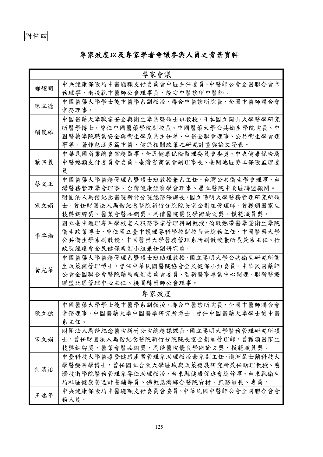# 專家效度以及專家學者會議參與人員之背景資料

|     | 專家會議                                                                                                                                               |
|-----|----------------------------------------------------------------------------------------------------------------------------------------------------|
| 鄭耀明 | 中央健康保險局中醫總額支付委員會中區主任委員、中醫師公會全國聯合會常<br>務理事、南投縣中醫師公會理事長、隆安中醫診所中醫師。                                                                                   |
| 陳立德 | 中國醫藥大學學士後中醫學系副教授、聯合中醫診所院長、全國中醫師聯合會<br>常務理事。                                                                                                        |
| 賴俊雄 | 中國醫藥大學職業安全與衛生學系暨碩士班教授,日本國立岡山大學醫學研究<br>所醫學博士,曾任中國醫藥學院副校長、中國醫藥大學公共衛生學院院長、中<br>國醫藥學院職業安全與衛生學系系主任等、中醫全聯會理事、公共衛生學會理<br>事等,著作包涵多篇中醫、健保相關政策之研究計畫與論文發表。    |
| 葉宗義 | 中華民國商業總會常務監事、全民健康保險監理委員會委員、中央健康保險局<br>中醫總額支付委員會委員、臺灣省商業會副理事長、臺閩地區勞工保險監理委<br>員                                                                      |
| 蔡文正 | 中國醫藥大學醫務管理系暨碩士班教授兼系主任、台灣公共衛生學會理事、台<br>灣醫務管理學會理事、台灣健康經濟學會理事、署立醫院中南區聯盟顧問。                                                                            |
| 宋文娟 | 財團法人馬偕紀念醫院新竹分院總務課課長,國立陽明大學醫務管理研究所碩<br>士,曾任財團法人馬偕紀念醫院新竹分院院長室企劃組管理師,曾獲頒國家生<br>技獎銅牌獎、醫策會醫品銅獎、馬偕醫院優良學術論文獎、模範職員獎。                                       |
| 李卓倫 | 國立臺中護理專科學校老人服務事業管理科副教授,倫敦熱帶醫學暨衛生學院<br>衛生政策博士,曾任國立臺中護理專科學校副校長兼總務主任、中國醫藥大學<br>公共衛生學系副教授、中國醫藥大學醫務管理系所副教授兼所長兼系主任、行<br>政院經建會全民健保規劃小組兼任副研究員。             |
| 黃光華 | 中國醫藥大學醫務管理系暨碩士班助理教授,國立陽明大學公共衛生研究所衛<br>生政策與管理博士,曾任中華民國醫院協會全民健保小組委員、中華民國藥師<br>公會全國聯合會醫院藥局規劃委員會委員、智新醫事專業中心副理、聯新醫療<br>聯盟北區管理中心主任、桃園縣藥師公會理事。            |
|     | 專家效度                                                                                                                                               |
| 陳立德 | 中國醫藥大學學士後中醫學系副教授、聯合中醫診所院長、全國中醫師聯合會<br>常務理事,中國醫藥大學中國醫學研究所博士,曾任中國醫藥大學學士後中醫<br>系主任。                                                                   |
| 宋文娟 | 財團法人馬偕紀念醫院新竹分院總務課課長,國立陽明大學醫務管理研究所碩<br>士,曾任財團法人馬偕紀念醫院新竹分院院長室企劃組管理師,曾獲頒國家生<br>技獎銅牌獎、醫策會醫品銅獎、馬偕醫院優良學術論文獎、模範職員獎。                                       |
| 何清治 | 中臺科技大學醫療暨健康產業管理系助理教授兼系副主任,澳洲昆士蘭科技大<br>學醫療科學博士,曾任國立台東大學區域與政策發展研究所兼任助理教授、慈<br>濟技術學院醫務管理系專任助理教授、台東縣健康促進會總幹事、台東縣衛生<br>局社區健康營造計畫輔導員、佛教慈濟綜合醫院資材、庶務組長、專員。 |
| 王逸年 | 中央健康保險局中醫總額支付委員會委員、中華民國中醫師公會全國聯合會會<br>務人員。                                                                                                         |

125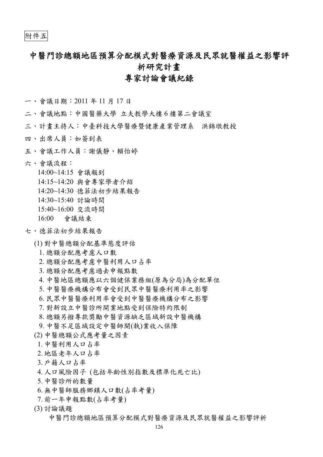# 中醫門診總額地區預算分配模式對醫療資源及民眾就醫權益之影響評 析研究計畫

# 專家討論會議紀錄

- 一、會議日期:2011 年 11 月 17 日
- 二、會議地點:中國醫藥大學 立夫教學大樓 6 樓第二會議室
- 三、計畫主持人:中臺科技大學醫療暨健康產業管理系 洪錦墩教授
- 四、出席人員:如簽到表
- 五、會議工作人員:謝儀靜、賴怡婷
- 六、會議流程:
	- 14:00~14:15 會議報到
	- 14:15~14:20 與會專家學者介紹
	- 14:20~14:30 德菲法初步結果報告
	- 14:30~15:40 討論時間
	- 15:40~16:00 交流時間
	- 16:00 會議結束

### 七、德菲法初步結果報告

- (1) 對中醫總額分配基準態度評估
	- 1. 總額分配應考慮人口數
	- 2. 總額分配應考慮中醫利用人口占率
	- 3. 總額分配應考慮過去申報點數
	- 4. 中醫地區總額應以六個健保業務組(原為分局)為分配單位
	- 5. 中醫醫療機構分布會受到民眾中醫醫療利用率之影響
	- 6. 民眾中醫醫療利用率會受到中醫醫療機構分布之影響
	- 7. 對新設立中醫診所開業地點受到保險特約限制
	- 8. 總額另撥專款獎勵中醫資源缺乏區域新設中醫機構
	- 9. 中醫不足區域設定中醫師開(執)業收入保障
- (2) 中醫總額公式應考量之因素
- 1. 中醫利用人口占率
- 2. 地區老年人口占率
- 3. 戶籍人口占率
- 4. 人口風險因子 (包括年齡性別指數及標準化死亡比)
- 5. 中醫診所的數量
- 6. 無中醫師服務鄉鎮人口數(占率考量)
- 7. 前一年申報點數(占率考量)
- (3) 討論議題

中醫門診總額地區預算分配模式對醫療資源及民眾就醫權益之影響評析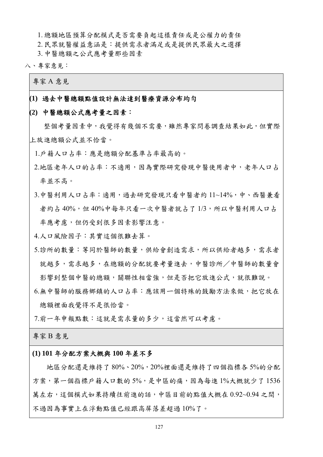1. 總額地區預算分配模式是否需要負起這樣責任或是公權力的責任

2. 民眾就醫權益意涵是:提供需求者滿足或是提供民眾最大之選擇

3. 中醫總額之公式應考量那些因素

八、專家意見:

專家 A 意見

### **(1)** 過去中醫總額點值設計無法達到醫療資源分布均勻

### **(2)** 中醫總額公式應考量之因素:

 整個考量因素中,我覺得有幾個不需要,雖然專家問卷調查結果如此,但實際 上放進總額公式並不恰當。

1.戶籍人口占率:應是總額分配基準占率最高的。

2.地區老年人口的占率:不適用,因為實際研究發現中醫使用者中,老年人口占 率並不高。

3.中醫利用人口占率:適用,過去研究發現只看中醫者約11~14%,中、西醫兼看 者約占 40%,但 40%中每年只看一次中醫者就占了 1/3,所以中醫利用人口占 率應考慮,但仍受到很多因素影響注意。

4.人口風險因子:其實這個很難去算。

- 5.診所的數量: 等同於醫師的數量, 供給會創造需求, 所以供給者越多, 需求者 就越多,需求越多,在總額的分配就要考量進去,中醫診所/中醫師的數量會 影響到整個中醫的總額,關聯性相當強,但是否把它放進公式,就很難說。
- 6.無中醫師的服務鄉鎮的人口占率:應該用一個特殊的鼓勵方法來做,把它放在 總額裡面我覺得不是很恰當。

7.前一年申報點數:這就是需求量的多少,這當然可以考慮。

專家 B 意見

### **(1) 101** 年分配方案大概與 **100** 年差不多

 地區分配還是維持了 80%、20%,20%裡面還是維持了四個指標各 5%的分配 方案,第一個指標戶籍人口數的 5%,是中區的痛,因為每進 1%大概就少了 1536 萬左右,這個模式如果持續往前進的話,中區目前的點值大概在 0.92~0.94 之間, 不過因為事實上在浮動點值已經跟高屏落差超過 10%了。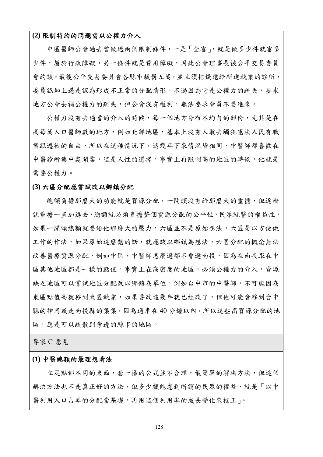### **(2)** 限制特約的問題需以公權力介入

 中區醫師公會過去曾做過兩個限制條件,一是「全審」,就是做多少件就審多 少件,屬於行政障礙,另一條件就是費用障礙,因此公會理事長被公平交易委員 會約談,最後公平交易委員會各縣市裁罰五萬,並且須把錢還給新進執業的診所, 委員認知上還是認為形成不正常的分配情形,不過因為它是公權力的疏失,要求 地方公會去補公權力的疏失,但公會沒有權利,無法要求會員不要進來。

公權力沒有去適當的介入的時候,每一個地方分布不均勻的部份,尤其是在 高每萬人口醫師數的地方,例如北部地區,基本上沒有人敢去觸犯憲法人民有職 業跟遷徙的自由,所以在這種情況下,這幾年下來情況皆相同,中醫師都喜歡在 中醫診所集中處開業,這是人性的選擇,事實上再限制高的地區的時候,他就是 需要公權力。

#### **(3)** 六區分配應嘗試改以鄉鎮分配

總額負擔那麼大的功能就是資源分配,一開頭沒有給那麼大的重擔,但逐漸 就重擔一直加進去,總額就必須負擔整個資源分配的公平性,民眾就醫的權益性, 如果一開頭總額就要給他那麼大的壓力,六區並不是原始想法,六區是以方便做 工作的作法,如果原始這麼想的話,就應該以鄉鎮為想法,六區分配的概念無法 改善醫療資源分配,例如中區,中醫師怎麼選都不會選南投,因為在南投跟在中 區其他地區都是一樣的點值。事實上在高密度的地區,必須公權力的介入,資源 缺乏地區可以嘗試地區分配改以鄉鎮為單位,例如台中市的中醫師,不可能因為 東區點值高就移到東區執業,如果要改這幾年就已經改了,但他可能會移到台中 縣的神岡或是南投縣的集集,因為通車在 40 分鐘以內,所以這些高資源分配的地 區,應是可以疏散到旁邊的縣市的地區。

專家 C 意見

### **(1)** 中醫總額的最理想看法

立足點都不同的東西,套一樣的公式並不合理,最簡單的解決方法,但這個 解決方法也不是真正好的方法,但多少顧能慮到所謂的民眾的權益,就是「以中 醫利用人口占率的分配當基礎,再用這個利用率的成長變化來校正」。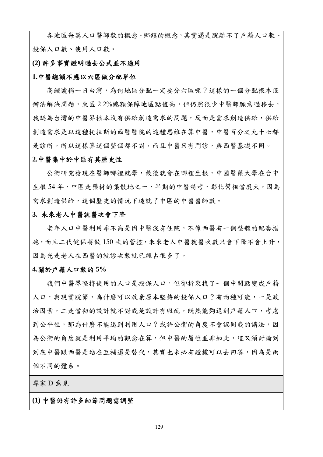各地區每萬人口醫師數的概念、鄉鎮的概念,其實還是脫離不了戶籍人口數、 投保人口數、使用人口數。

### **(2)** 許多事實證明過去公式並不適用

### **1.**中醫總額不應以六區做分配單位

高鐵號稱一日台灣,為何地區分配一定要分六區呢?這樣的一個分配根本沒 辦法解決問題,東區 2.2%總額保障地區點值高,但仍然很少中醫師願意過移去, 我認為台灣的中醫界根本沒有供給創造需求的問題,反而是需求創造供給,供給 創造需求是以這種托拉斯的西醫醫院的這種思維在算中醫,中醫百分之九十七都 是診所,所以這樣算這個整個都不對,而且中醫只有門診,與西醫基礎不同。

#### **2.**中醫集中於中區有其歷史性

 公衛研究發現在醫師哪裡就學,最後就會在哪裡生根,中國醫藥大學在台中 生根 54年,中區是藥材的集散地之一,早期的中醫特考,彰化幫相當龐大,因為 需求創造供給,這個歷史的情況下造就了中區的中醫醫師數。

### **3.** 未來老人中醫就醫次會下降

 老年人口中醫利用率不高是因中醫沒有住院,不像西醫有一個整體的配套措 施,而且二代健保將做 150 次的管控,未來老人中醫就醫次數只會下降不會上升, 因為光是老人在西醫的就診次數就已經占很多了。

#### **4.**關於戶籍人口數的 **5%**

我們中醫界堅持使用的人口是投保人口,但卻折衷找了一個中間點變成戶籍 人口,與現實脫節,為什麼可以放棄原本堅持的投保人口?有兩種可能,一是政 治因素,二是當初的設計就不對或是設計有瑕疵,既然能夠退到戶籍人口,考慮 到公平性,那為什麼不能退到利用人口?或許公衛的角度不會認同我的講法,因 為公衛的角度就是利用平均的觀念在算,但中醫的屬性並非如此,這又須討論到 到底中醫跟西醫是站在互補還是替代,其實也未必有證據可以去回答,因為是兩 個不同的體系。

專家 D 意見

### **(1)** 中醫仍有許多細節問題需調整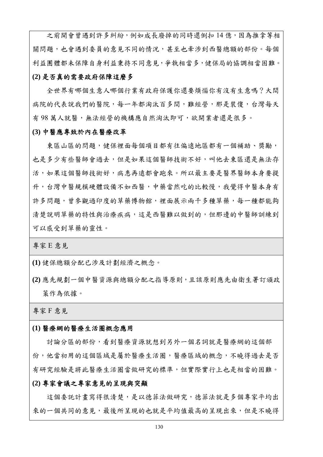之前開會曾遇到許多糾紛,例如成長廢掉的同時還倒扣14億,因為推拿等相 關問題,也會遇到委員的意見不同的情況,甚至也牽涉到西醫總額的部份。每個 利益團體都未保障自身利益秉持不同意見,爭執相當多,健保局的協調相當困難。

### **(2)** 是否真的需要政府保障這麼多

 全世界有哪個生意人哪個行業有政府保護你還要煩惱你有沒有生意嗎?大間 病院的代表說我們的醫院,每一年都淘汰百多間,難經營,那是裝傻,台灣每天 有 98 萬人就醫,無法經營的機構應自然淘汰即可,欲開業者還是很多。

### **(3)** 中醫應專致於內在醫療改革

東區山區的問題,健保裡面每個項目都有往偏遠地區都有一個補助、獎勵, 也是多少有些醫師會過去,但是如果這個醫師技術不好,叫他去東區還是無法存 活,如果這個醫師技術好,病患再遠都會跑來。所以最主要是醫界醫師本身要提 升,台灣中醫規模硬體設備不如西醫,中藥當然吃的比較慢,我覺得中醫本身有 許多問題,曾參觀過印度的草藥博物館,裡面展示兩千多種草藥,每一種都能夠 清楚說明草藥的特性與治療疾病,這是西醫難以做到的,但那邊的中醫師訓練到 可以感受到草藥的靈性。

專家 E 意見

**(1)** 健保總額分配已涉及計劃經濟之概念。

**(2)** 應先規劃一個中醫資源與總額分配之指導原則,且該原則應先由衛生署訂頒政 策作為依據。

專家 F 意見

#### **(1)** 醫療網的醫療生活圈概念應用

討論分區的部份,看到醫療資源就想到另外一個名詞就是醫療網的這個部 份,他當初用的這個區域是屬於醫療生活圈,醫療區域的概念,不曉得過去是否 有研究經驗是將此醫療生活圈當做研究的標準,但實際實行上也是相當的困難。

### **(2)** 專家會議之專家意見的呈現與突顯

這個委託計書寫得很清楚,是以德菲法做研究,德菲法就是多個專家平均出 來的一個共同的意見,最後所呈現的也就是平均值最高的呈現出來,但是不曉得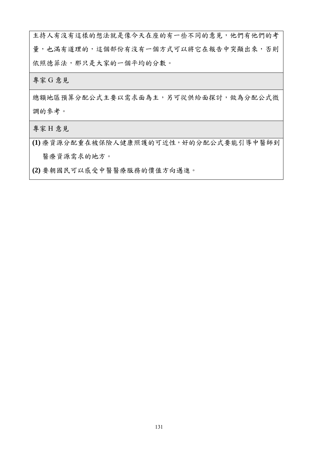主持人有沒有這樣的想法就是像今天在座的有一些不同的意見,他們有他們的考 量,也滿有道理的,這個部份有沒有一個方式可以將它在報告中突顯出來,否則 依照德菲法,那只是大家的一個平均的分數。

專家 G 意見

總額地區預算分配公式主要以需求面為主,另可從供給面探討,做為分配公式微 調的參考。

專家 H 意見

**(1)** 療資源分配重在被保險人健康照護的可近性,好的分配公式要能引導中醫師到 醫療資源需求的地方。

**(2)** 要朝國民可以感受中醫醫療服務的價值方向邁進。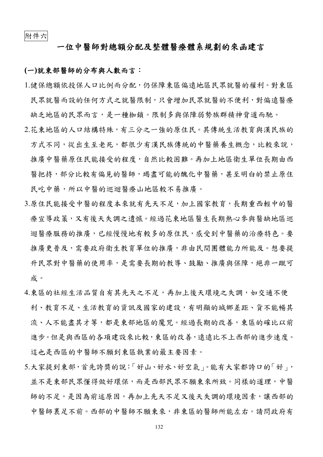# 一位中醫師對總額分配及整體醫療體系規劃的來函建言

### **(**一**)**就東部醫師的分布與人數而言:

- 1.健保總額依投保人口比例而分配,仍保障東區偏遠地區民眾就醫的權利。對東區 民眾就醫而設的任何方式之就醫限制,只會增加民眾就醫的不便利,對偏遠醫療 缺乏地區的民眾而言,是一種枷鎖。限制多與保障弱勢族群精神背道而馳。
- 2.花東地區的人口結構特殊,有三分之一強的原住民。其傳統生活教育與漢民族的 方式不同,從出生至老死,都很少有漢民族傳統的中醫藥養生概念,比較來說, 推廣中醫藥原住民能接受的程度,自然比較困難。再加上地區衛生單位長期由西 醫把持,部分比較有偏見的醫師,竭盡可能的醜化中醫藥,甚至明白的禁止原住 民吃中藥,所以中醫的巡迴醫療山地區較不易推廣。
- 3.原住民能接受中醫的程度本來就有先天不足,加上國家教育,長期重西輕中的醫 療宣導政策,又有後天失調之遺憾。經過花東地區醫生長期熱心參與醫缺地區巡 迴醫療服務的推廣,已經慢慢地有較多的原住民,感受到中醫藥的治療特色。要 推廣更普及,需要政府衛生教育單位的推廣,非由民間團體能力所能及。想要提 升民眾對中醫藥的使用率,是需要長期的教導、鼓勵、推廣與保障,絕非一蹴可 成。
- 4.東區的社經生活品質自有其先天之不足,再加上後天環境之失調,如交通不便 利、教育不足、生活教育的資訊及國家的建設,有明顯的城鄉差距、貨不能暢其 流、人不能盡其才等,都是東部地區的魔咒。經過長期的改善,東區的確比以前 進步。但是與西區的各項建設來比較,東區的改善,遠遠比不上西部的進步速度。 這也是西區的中醫師不願到東區執業的最主要因素。
- 5.大家提到東部,首先誇獎的說:「好山、好水、好空氣」。能有大家都誇口的「好」, 並不是東部民眾懂得做好環保,而是西部民眾不願東來所致。同樣的道理,中醫 師的不足,是因為前述原因,再加上先天不足又後天失調的環境因素,讓西部的 中醫師裹足不前。西部的中醫師不願東來,非東區的醫師所能左右。請問政府有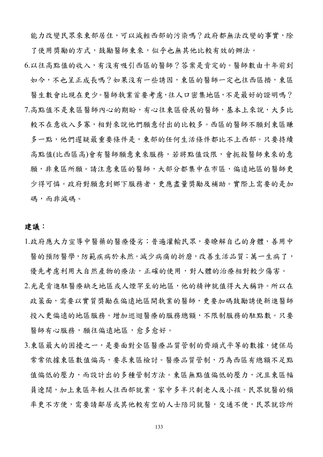能力改變民眾來東部居住,可以減輕西部的污染嗎?政府都無法改變的事實,除 了使用獎勵的方式,鼓勵醫師東來,似乎也無其他比較有效的辦法。

6.以往高點值的收入,有沒有吸引西區的醫師?答案是肯定的。醫師數由十年前到 如今,不也呈正成長嗎?如果沒有一些誘因,東區的醫師一定也往西區擠,東區 醫生數會比現在更少。醫師執業首要考慮,往人口密集地區,不是最好的證明嗎? 7.高點值不是東區醫師內心的期盼,有心往東區發展的醫師,基本上來說,大多比 較不在意收入多寡,相對來說他們願意付出的比較多。西區的醫師不願到東區賺 多一點,他們遲疑最重要條件是,東部的任何生活條件都比不上西部。只要持續 高點值(比西區高)會有醫師願意東來服務,若將點值設限,會扼殺醫師東來的意 願,非東區所願。請注意東區的醫師,大部分都集中在市區,偏遠地區的醫師更 少得可憐。政府對願意到鄉下服務者,更應盡量獎勵及補助。實際上需要的是加 碼,而非減碼。

## 建議:

- 1.政府應大力宣導中醫藥的醫療優劣;普遍灌輸民眾,要瞭解自己的身體,善用中 醫的預防醫學,防範疾病於未然。減少病痛的折磨,改善生活品質;萬一生病了, 優先考慮利用大自然產物的療法,正確的使用,對人體的治療相對較少傷害。
- 2.光是肯進駐醫療缺乏地區或人煙罕至的地區,他的精神就值得大大稱許。所以在 政策面,需要以實質獎勵在偏遠地區開執業的醫師,更要加碼鼓勵誘使新進醫師 投入更偏遠的地區服務。增加巡迴醫療的服務總額,不限制服務的駐點數。只要 醫師有心服務,願往偏遠地區,愈多愈好。
- 3.東區最大的困擾之一,是要面對全區醫療品質管制的齊頭式平等的數據,健保局 常常依據東區數值偏高,要求東區檢討。醫療品質管制,乃為西區有總額不足點 值偏低的壓力,而設計出的多種管制方法。東區無點值偏低的壓力,況且東區幅 員遼闊,加上東區年輕人往西部就業,家中多半只剩老人及小孩。民眾就醫的頻 率更不方便,需要請鄰居或其他較有空的人士陪同就醫,交通不便,民眾就診所

133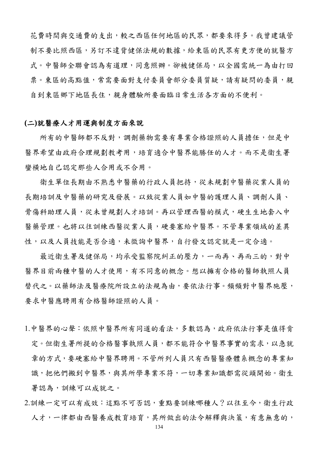花費時間與交通費的支出,較之西區任何地區的民眾,都要來得多。我曾建議管 制不要比照西區,另訂不違背健保法規的數據,給東區的民眾有更方便的就醫方 式。中醫師全聯會認為有道理,同意照辦。卻被健保局,以全國需統一為由打回 票。東區的高點值,常需要面對支付委員會部分委員質疑,請有疑問的委員,親 自到東區鄉下地區長住,親身體驗所要面臨日常生活各方面的不便利。

## **(**二**)**就醫療人才用運與制度方面來說

所有的中醫師都不反對,調劑藥物需要有專業合格證照的人員擔任,但是中 醫界希望由政府合理規劃教考用,培育適合中醫界能勝任的人才。而不是衛生署 蠻橫地自己認定那些人合用或不合用。

衛生單位長期由不熟悉中醫藥的行政人員把持,從未規劃中醫藥從業人員的 長期培訓及中醫藥的研究及發展。以致從業人員如中醫的護理人員、調劑人員、 骨傷科助理人員,從未曾規劃人才培訓。再以管理西醫的模式,硬生生地套入中 醫藥管理。也將以往訓練西醫從業人員,硬要塞給中醫界。不管專業領域的差異 性,以及人員技能是否合適,未徵詢中醫界,自行發文認定就是一定合適。

最近衛生署及健保局,均承受監察院糾正的壓力,一而再、再而三的,對中 醫界目前兩種中醫的人才使用,有不同意的概念。想以擁有合格的醫師執照人員 替代之。以藥師法及醫療院所設立的法規為由,要依法行事。頻頻對中醫界施壓, 要求中醫應聘用有合格醫師證照的人員。

- 1.中醫界的心聲:依照中醫界所有同道的看法,多數認為,政府依法行事是值得肯 定。但衛生署所提的合格醫事執照人員,都不能符合中醫界事實的需求,以急就 章的方式,要硬塞給中醫界聘用。不管所列人員只有西醫醫療體系概念的專業知 識, 把他們搬到中醫界,與其所學專業不符,一切專業知識都需從頭開始。衛生 署認為,訓練可以成就之。
- 2.訓練一定可以有成效:這點不可否認,重點要訓練哪種人?以往至今,衛生行政 人才,一律都由西醫養成教育培育,其所做出的法令解釋與決策,有意無意的,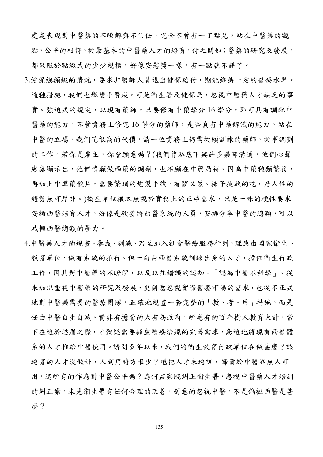處處表現對中醫藥的不瞭解與不信任,完全不曾有一丁點兒,站在中醫藥的觀 點,公平的相待。從最基本的中醫藥人才的培育,付之闕如;醫藥的研究及發展, 都只限於點綴式的少少規模,好像安慰獎一樣,有一點就不錯了。

- 3.健保總額線的情況,要求非醫師人員退出健保給付,期能維持一定的醫療水準。 這種措施,我們也舉雙手贊成。可是衛生署及健保局,忽視中醫藥人才缺乏的事 實。強迫式的規定,以現有藥師,只要修有中藥學分16學分,即可具有調配中 醫藥的能力。不管實務上修完16學分的藥師,是否真有中藥辨識的能力。站在 中醫的立場,我們花很高的代價,請一位實務上仍需從頭訓練的藥師,從事調劑 的工作。若你是雇主,你會願意嗎?(我們曾私底下與許多藥師溝通,他們心聲 處處顯示出,他們情願做西藥的調劑,也不願在中藥局待。因為中藥種類繁複, 再加上中草藥飲片,需要繁瑣的炮製手續,有髒又累。柿子挑軟的吃,乃人性的 趨勢無可厚非。)衛生單位根本無視於實務上的正確需求,只是一昧的硬性要求 安插西醫培育人才,好像是硬要將西醫系統的人員,安排分享中醫的總額,可以 減輕西醫總額的壓力。
- 4.中醫藥人才的規畫、養成、訓練、乃至加入社會醫療服務行列,理應由國家衛生、 教育單位、做有系統的推行。但一向由西醫系統訓練出身的人才,擔任衛生行政 工作,因其對中醫藥的不瞭解,以及以往錯誤的認知:「認為中醫不科學」。從 未加以重視中醫藥的研究及發展,更刻意忽視實際醫療市場的需求,也從不正式 地對中醫藥需要的醫療團隊,正確地規畫一套完整的「教、考、用」措施,而是 任由中醫自生自滅。實非有擔當的大有為政府,所應有的百年樹人教育大計。當 下在迫於燃眉之際,才體認需要顧慮醫療法規的完善需求,急迫地將現有西醫體 系的人才推給中醫使用。請問多年以來,我們的衛生教育行政單位在做甚麼?該 培育的人才沒做好,人到用時方恨少?還把人才未培訓,歸責於中醫界無人可 用,這所有的作為對中醫公平嗎?為何監察院糾正衛生署,忽視中醫藥人才培訓 的糾正案,未見衛生署有任何合理的改善。刻意的忽視中醫,不是偏袒西醫是甚 麼?

135